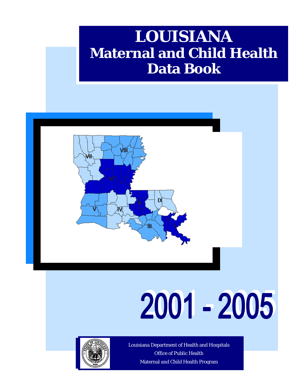## **LOUISIANA Maternal and Child Health Data Book**



# 2001 - 2005



Louisiana Department of Health and Hospitals Office of Public Health Maternal and Child Health Program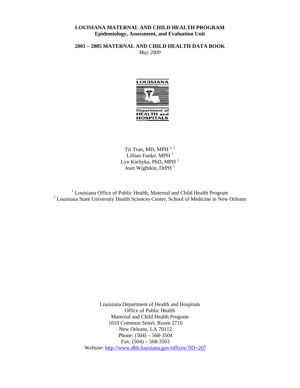#### **LOUISIANA MATERNAL AND CHILD HEALTH PROGRAM Epidemiology, Assessment, and Evaluation Unit**

**2001 – 2005 MATERNAL AND CHILD HEALTH DATA BOOK**  *May 2009* 



Tri Tran, MD, MPH $^{1,2}$ Lillian Funke, MPH $<sup>1</sup>$ </sup> Lyn Kieltyka, PhD, MPH $<sup>1</sup>$ </sup> Joan Wightkin, DrPH<sup>1</sup>

<sup>1</sup> Louisiana Office of Public Health, Maternal and Child Health Program <sup>2</sup> Louisiana State University Health Sciences Center, School of Medicine in New Orleans

> Louisiana Department of Health and Hospitals Office of Public Health Maternal and Child Health Program 1010 Common Street, Room 2710 New Orleans, LA 70112 Phone: (504) – 568-3504 Fax:  $(504) - 568 - 3503$ Website: http://www.dhh.louisiana.gov/offices/?ID=267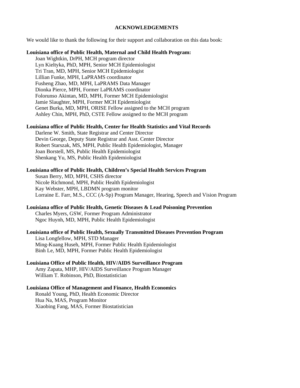#### **ACKNOWLEDGEMENTS**

We would like to thank the following for their support and collaboration on this data book:

#### **Louisiana office of Public Health, Maternal and Child Health Program:**

 Joan Wightkin, DrPH, MCH program director Lyn Kieltyka, PhD, MPH, Senior MCH Epidemiologist Tri Tran, MD, MPH, Senior MCH Epidemiologist Lillian Funke, MPH, LaPRAMS coordinator Fusheng Zhao, MD, MPH, LaPRAMS Data Manager Dionka Pierce, MPH, Former LaPRAMS coordinator Folorunso Akintan, MD, MPH, Former MCH Epidemiologist Jamie Slaughter, MPH, Former MCH Epidemiologist Genet Burka, MD, MPH, ORISE Fellow assigned to the MCH program Ashley Chin, MPH, PhD, CSTE Fellow assigned to the MCH program

#### **Louisiana office of Public Health, Center for Health Statistics and Vital Records**

Darlene W. Smith, State Registrar and Center Director Devin George, Deputy State Registrar and Asst. Center Director Robert Starszak, MS, MPH, Public Health Epidemiologist, Manager Joan Borstell, MS, Public Health Epidemiologist Shenkang Yu, MS, Public Health Epidemiologist

#### **Louisiana office of Public Health, Children's Special Health Services Program**

Susan Berry, MD, MPH, CSHS director Nicole Richmond, MPH, Public Health Epidemiologist Kay Webster, MPH, LBDMN program monitor Lorraine E. Farr, M.S., CCC (A-Sp) Program Manager, Hearing, Speech and Vision Program

#### **Louisiana office of Public Health, Genetic Diseases & Lead Poisoning Prevention**

 Charles Myers, GSW, Former Program Administrator Ngoc Huynh, MD, MPH, Public Health Epidemiologist

#### **Louisiana office of Public Health, Sexually Transmitted Diseases Prevention Program**

Lisa Longfellow, MPH, STD Manager Ming-Kuang Huseh, MPH, Former Public Health Epidemiologist Binh Le, MD, MPH, Former Public Health Epidemiologist

#### **Louisiana Office of Public Health, HIV/AIDS Surveillance Program**

 Amy Zapata, MHP, HIV/AIDS Surveillance Program Manager William T. Robinson, PhD, Biostatistician

#### **Louisiana Office of Management and Finance, Health Economics**

Ronald Young, PhD, Health Economic Director Hua Na, MAS, Program Monitor Xiaobing Fang, MAS, Former Biostatistician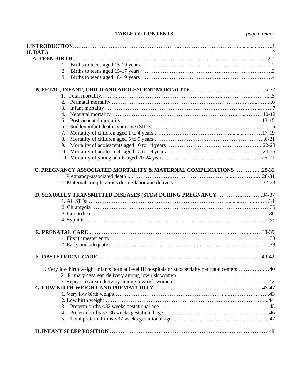#### **TABLE OF CONTENTS** *page number*

| 3.      |                                                                                                   |  |
|---------|---------------------------------------------------------------------------------------------------|--|
|         |                                                                                                   |  |
|         |                                                                                                   |  |
| $2_{1}$ |                                                                                                   |  |
|         |                                                                                                   |  |
|         |                                                                                                   |  |
|         |                                                                                                   |  |
|         |                                                                                                   |  |
|         |                                                                                                   |  |
|         |                                                                                                   |  |
|         |                                                                                                   |  |
|         |                                                                                                   |  |
|         |                                                                                                   |  |
|         | D. SEXUALLY TRANSMITTED DISEASES (STDs) DURING PREGNANCY 34-37                                    |  |
|         |                                                                                                   |  |
|         |                                                                                                   |  |
|         |                                                                                                   |  |
|         |                                                                                                   |  |
|         |                                                                                                   |  |
|         |                                                                                                   |  |
|         |                                                                                                   |  |
|         |                                                                                                   |  |
|         | 1. Very low birth weight infants born at level III hospitals or subspecialty perinatal centers 40 |  |
|         |                                                                                                   |  |
|         |                                                                                                   |  |
|         |                                                                                                   |  |
|         |                                                                                                   |  |
|         |                                                                                                   |  |
|         |                                                                                                   |  |
|         |                                                                                                   |  |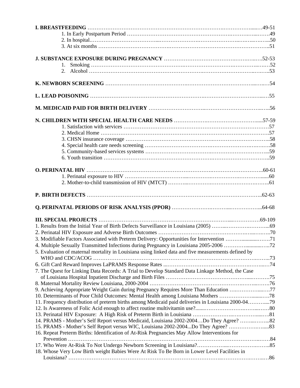| 4. Multiple Sexually Transmitted Infections during Pregnancy in Louisiana 2005-2006 72                                                                                                       |  |
|----------------------------------------------------------------------------------------------------------------------------------------------------------------------------------------------|--|
| 5. Evaluation of maternal mortality in Louisiana using linked data and five measurements defined by                                                                                          |  |
|                                                                                                                                                                                              |  |
|                                                                                                                                                                                              |  |
| 7. The Quest for Linking Data Records: A Trial to Develop Standard Data Linkage Method, the Case                                                                                             |  |
|                                                                                                                                                                                              |  |
|                                                                                                                                                                                              |  |
| 9. Achieving Appropriate Weight Gain during Pregnancy Requires More Than Education 77<br>10. Determinants of Poor Child Outcomes: Mental Health among Louisiana Mothers 78                   |  |
|                                                                                                                                                                                              |  |
|                                                                                                                                                                                              |  |
|                                                                                                                                                                                              |  |
|                                                                                                                                                                                              |  |
|                                                                                                                                                                                              |  |
| 11. Frequency distribution of preterm births among Medicaid paid deliveries in Louisiana 2000-0479<br>14. PRAMS - Mother's Self Report versus Medicaid, Louisiana 2002-2004Do They Agree? 82 |  |
|                                                                                                                                                                                              |  |
| 16. Repeat Preterm Births: Identification of At-Risk Pregnancies May Allow Interventions for                                                                                                 |  |
|                                                                                                                                                                                              |  |
| 18. Whose Very Low Birth weight Babies Were At Risk To Be Born in Lower Level Facilities in                                                                                                  |  |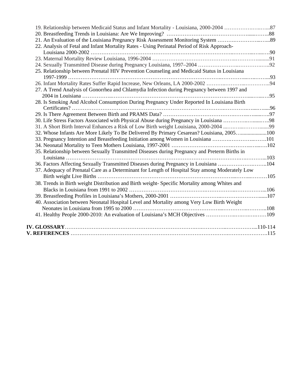| 21. An Evaluation of the Louisiana Pregnancy Risk Assessment Monitoring System 89               |  |
|-------------------------------------------------------------------------------------------------|--|
| 22. Analysis of Fetal and Infant Mortality Rates - Using Perinatal Period of Risk Approach-     |  |
|                                                                                                 |  |
|                                                                                                 |  |
|                                                                                                 |  |
| 25. Relationship between Prenatal HIV Prevention Counseling and Medicaid Status in Louisiana    |  |
|                                                                                                 |  |
| 27. A Trend Analysis of Gonorrhea and Chlamydia Infection during Pregnancy between 1997 and     |  |
|                                                                                                 |  |
| 28. Is Smoking And Alcohol Consumption During Pregnancy Under Reported In Louisiana Birth       |  |
|                                                                                                 |  |
|                                                                                                 |  |
|                                                                                                 |  |
|                                                                                                 |  |
| 32. Whose Infants Are More Likely To Be Delivered By Primary Cesarean? Louisiana, 2005100       |  |
| 33. Pregnancy Intention and Breastfeeding Initiation among Women in Louisiana 101               |  |
|                                                                                                 |  |
| 35. Relationship between Sexually Transmitted Diseases during Pregnancy and Preterm Births in   |  |
|                                                                                                 |  |
| 36. Factors Affecting Sexually Transmitted Diseases during Pregnancy in Louisiana 104           |  |
| 37. Adequacy of Prenatal Care as a Determinant for Length of Hospital Stay among Moderately Low |  |
| 38. Trends in Birth weight Distribution and Birth weight- Specific Mortality among Whites and   |  |
|                                                                                                 |  |
|                                                                                                 |  |
| 40. Association between Neonatal Hospital Level and Mortality among Very Low Birth Weight       |  |
|                                                                                                 |  |
| 41. Healthy People 2000-2010: An evaluation of Louisiana's MCH Objectives 109                   |  |
|                                                                                                 |  |
|                                                                                                 |  |
|                                                                                                 |  |
|                                                                                                 |  |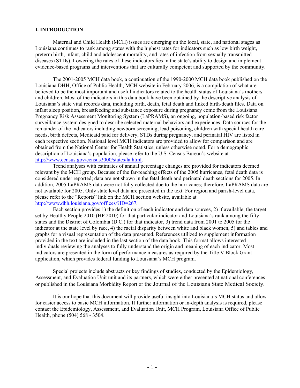#### **I. INTRODUCTION**

Maternal and Child Health (MCH) issues are emerging on the local, state, and national stages as Louisiana continues to rank among states with the highest rates for indicators such as low birth weight, preterm birth, infant, child and adolescent mortality, and rates of infection from sexually transmitted diseases (STDs). Lowering the rates of these indicators lies in the state's ability to design and implement evidence-based programs and interventions that are culturally competent and supported by the community.

The 2001-2005 MCH data book, a continuation of the 1990-2000 MCH data book published on the Louisiana DHH, Office of Public Health, MCH website in February 2006, is a compilation of what are believed to be the most important and useful indicators related to the health status of Louisiana's mothers and children. Most of the indicators in this data book have been obtained by the descriptive analysis of Louisiana's state vital records data, including birth, death, fetal death and linked birth-death files. Data on infant sleep position, breastfeeding and substance exposure during pregnancy come from the Louisiana Pregnancy Risk Assessment Monitoring System (LaPRAMS), an ongoing, population-based risk factor surveillance system designed to describe selected maternal behaviors and experiences. Data sources for the remainder of the indicators including newborn screening, lead poisoning, children with special health care needs, birth defects, Medicaid paid for delivery, STDs during pregnancy, and perinatal HIV are listed in each respective section. National level MCH indicators are provided to allow for comparison and are obtained from the National Center for Health Statistics, unless otherwise noted. For a demographic description of Louisiana's population, please refer to the U.S. Census Bureau's website at http://www.census.gov/census2000/states/la.html.

 Trend analyses with estimates of annual percentage changes are provided for indicators deemed relevant by the MCH group. Because of the far-reaching effects of the 2005 hurricanes, fetal death data is considered under reported; data are not shown in the fetal death and perinatal death sections for 2005. In addition, 2005 LaPRAMS data were not fully collected due to the hurricanes; therefore, LaPRAMS data are not available for 2005. Only state level data are presented in the text. For region and parish-level data, please refer to the "Reports" link on the MCH section website, available at http://www.dhh.louisiana.gov/offices/?ID=267.

 Each section provides 1) the definition of each indicator and data sources, 2) if available, the target set by Healthy People 2010 (HP 2010) for that particular indicator and Louisiana's rank among the fifty states and the District of Colombia (D.C.) for that indicator, 3) trend data from 2001 to 2005 for the indicator at the state level by race, 4) the racial disparity between white and black women, 5) and tables and graphs for a visual representation of the data presented. References utilized to supplement information provided in the text are included in the last section of the data book. This format allows interested individuals reviewing the analyses to fully understand the origin and meaning of each indicator. Most indicators are presented in the form of performance measures as required by the Title V Block Grant application, which provides federal funding to Louisiana's MCH program.

 Special projects include abstracts or key findings of studies, conducted by the Epidemiology, Assessment, and Evaluation Unit unit and its partners, which were either presented at national conferences or published in the Louisiana Morbidity Report or the Journal of the Louisiana State Medical Society.

 It is our hope that this document will provide useful insight into Louisiana's MCH status and allow for easier access to basic MCH information. If further information or in-depth analysis is required, please contact the Epidemiology, Assessment, and Evaluation Unit, MCH Program, Louisiana Office of Public Health, phone (504) 568 - 3504.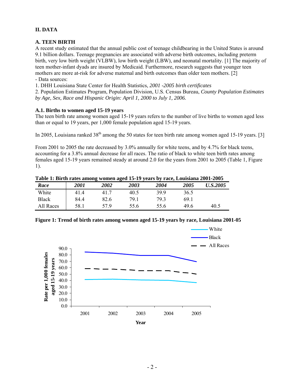#### **II. DATA**

#### **A. TEEN BIRTH**

A recent study estimated that the annual public cost of teenage childbearing in the United States is around 9.1 billion dollars. Teenage pregnancies are associated with adverse birth outcomes, including preterm birth, very low birth weight (VLBW), low birth weight (LBW), and neonatal mortality. [1] The majority of teen mother-infant dyads are insured by Medicaid. Furthermore, research suggests that younger teen mothers are more at-risk for adverse maternal and birth outcomes than older teen mothers. [2] - Data sources:

1. DHH Louisiana State Center for Health Statistics, *2001 -2005 birth certificates*

2. Population Estimates Program, Population Division, U.S. Census Bureau, *County Population Estimates by Age, Sex, Race and Hispanic Origin: April 1, 2000 to July 1, 2006.* 

#### **A.1. Births to women aged 15-19 years**

The teen birth rate among women aged 15-19 years refers to the number of live births to women aged less than or equal to 19 years, per 1,000 female population aged 15-19 years.

In 2005, Louisiana ranked  $38<sup>th</sup>$  among the 50 states for teen birth rate among women aged 15-19 years. [3]

From 2001 to 2005 the rate decreased by 3.0% annually for white teens, and by 4.7% for black teens, accounting for a 3.8% annual decrease for all races. The ratio of black to white teen birth rates among females aged 15-19 years remained steady at around 2.0 for the years from 2001 to 2005 (Table 1, Figure 1).

|  |  | Table 1: Birth rates among women aged 15-19 years by race, Louisiana 2001-2005 |               |
|--|--|--------------------------------------------------------------------------------|---------------|
|  |  |                                                                                | _____________ |

| Tuble 1: Difficultures annong women aged 10-17 years by race, Louisiana 2001-2000 |      |      |      |      |      |                 |
|-----------------------------------------------------------------------------------|------|------|------|------|------|-----------------|
| Race                                                                              | 2001 | 2002 | 2003 | 2004 | 2005 | <b>U.S.2005</b> |
| White                                                                             | 41.4 | 41.7 | 40.5 | 399  | 36.5 |                 |
| <b>Black</b>                                                                      | 84.4 | 82.6 | 79 1 | 793  | 69 1 |                 |
| All Races                                                                         | 58.1 | 57 9 | 55.6 | 55.6 | 49.6 | 40.5            |

#### **Figure 1: Trend of birth rates among women aged 15-19 years by race, Louisiana 2001-05**

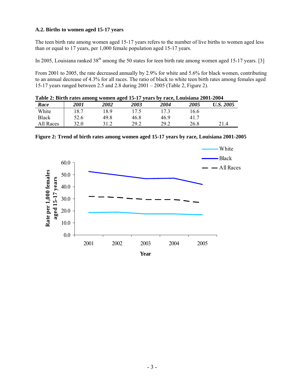#### **A.2. Births to women aged 15-17 years**

The teen birth rate among women aged 15-17 years refers to the number of live births to women aged less than or equal to 17 years, per 1,000 female population aged 15-17 years.

In 2005, Louisiana ranked  $38<sup>th</sup>$  among the 50 states for teen birth rate among women aged 15-17 years. [3]

From 2001 to 2005, the rate decreased annually by 2.9% for white and 5.6% for black women, contributing to an annual decrease of 4.3% for all races. The ratio of black to white teen birth rates among females aged 15-17 years ranged between 2.5 and 2.8 during 2001 – 2005 (Table 2, Figure 2).

| Table 2: Birth rates among women aged 15-17 years by race, Louisiana 2001-2004 |      |      |      |      |                    |           |  |
|--------------------------------------------------------------------------------|------|------|------|------|--------------------|-----------|--|
| Race                                                                           | 2001 | 2002 | 2003 | 2004 | <i><b>2005</b></i> | U.S. 2005 |  |
| White                                                                          | 18.7 | 189  | 17.5 | 173  | 16.6               |           |  |
| <b>Black</b>                                                                   | 52.6 | 49 8 | 46.8 | 46 9 | 41.7               |           |  |
| All Races                                                                      | 32.0 | 31 Z | 29.2 | 29.2 | 26.8               | 214       |  |

|                                            |        |      |      |      |      |      | White        |
|--------------------------------------------|--------|------|------|------|------|------|--------------|
|                                            | 60.0   |      |      |      |      |      | <b>Black</b> |
|                                            |        |      |      |      |      |      | - All Races  |
|                                            | 50.0   |      |      |      |      |      |              |
|                                            | 40.0   |      |      |      |      |      |              |
|                                            | $30.0$ |      |      |      |      |      |              |
| Rate per 1,000 females<br>aged 15-17 years | 20.0   |      |      |      |      |      |              |
|                                            | 10.0   |      |      |      |      |      |              |
|                                            | 0.0    |      |      |      |      |      |              |
|                                            |        | 2001 | 2002 | 2003 | 2004 | 2005 |              |
|                                            |        |      |      | Year |      |      |              |

**Figure 2: Trend of birth rates among women aged 15-17 years by race, Louisiana 2001-2005**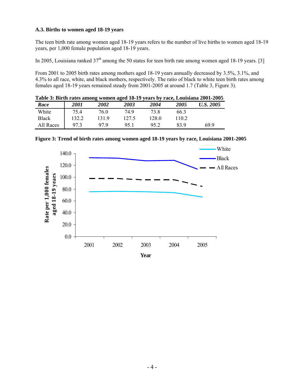#### **A.3. Births to women aged 18-19 years**

The teen birth rate among women aged 18-19 years refers to the number of live births to women aged 18-19 years, per 1,000 female population aged 18-19 years.

In 2005, Louisiana ranked  $37<sup>th</sup>$  among the 50 states for teen birth rate among women aged 18-19 years. [3]

From 2001 to 2005 birth rates among mothers aged 18-19 years annually decreased by 3.5%, 3.1%, and 4.3% to all race, white, and black mothers, respectively. The ratio of black to white teen birth rates among females aged 18-19 years remained steady from 2001-2005 at around 1.7 (Table 3, Figure 3).

|           |             |      |       |       |      | Table 3: Birth rates among women aged 18-19 years by race, Louisiana 2001-2005 |
|-----------|-------------|------|-------|-------|------|--------------------------------------------------------------------------------|
| Race      | <i>2001</i> | 2002 | 2003  | 2004  | 2005 | U.S. 2005                                                                      |
| White     | 754         | 76 O | 74 9  | 73 8  | 663  |                                                                                |
| Black     | 132.2       | 1319 | 127.5 | 128.0 | 1102 |                                                                                |
| All Races | 973         | 97 9 | 951   | 95.2  | 83 9 | 69 9                                                                           |



**Figure 3: Trend of birth rates among women aged 18-19 years by race, Louisiana 2001-2005**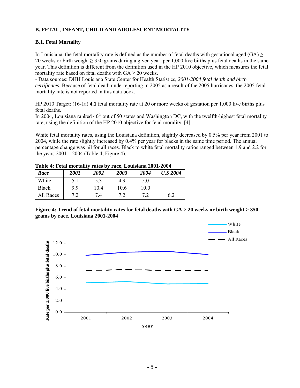#### **B. FETAL, INFANT, CHILD AND ADOLESCENT MORTALITY**

#### **B.1. Fetal Mortality**

In Louisiana, the fetal mortality rate is defined as the number of fetal deaths with gestational aged (GA)  $\geq$ 20 weeks or birth weight  $\geq$  350 grams during a given year, per 1,000 live births plus fetal deaths in the same year. This definition is different from the definition used in the HP 2010 objective, which measures the fetal mortality rate based on fetal deaths with  $GA \geq 20$  weeks.

- Data sources: DHH Louisiana State Center for Health Statistics, *2001-2004 fetal death and birth certificates.* Because of fetal death underreporting in 2005 as a result of the 2005 hurricanes, the 2005 fetal mortality rate is not reported in this data book.

HP 2010 Target: (16-1a) **4.1** fetal mortality rate at 20 or more weeks of gestation per 1,000 live births plus fetal deaths.

In 2004, Louisiana ranked  $40<sup>th</sup>$  out of 50 states and Washington DC, with the twelfth-highest fetal mortality rate, using the definition of the HP 2010 objective for fetal morality. [4]

White fetal mortality rates, using the Louisiana definition, slightly decreased by 0.5% per year from 2001 to 2004, while the rate slightly increased by 0.4% per year for blacks in the same time period. The annual percentage change was nil for all races. Black to white fetal mortality ratios ranged between 1.9 and 2.2 for the years  $2001 - 2004$  (Table 4, Figure 4).

#### **Table 4: Fetal mortality rates by race, Louisiana 2001-2004**

| Race         | <i>2001</i> | <i><b>2002</b></i> | 2003 | 2004 | <b>U.S 2004</b> |
|--------------|-------------|--------------------|------|------|-----------------|
| White        | 5.1         | 5.3                | 49   | 5.0  |                 |
| <b>Black</b> | 99          | 10.4               | 10.6 | 10.0 |                 |
| All Races    |             | 7.4                |      |      | 6.2             |

**Figure 4: Trend of fetal mortality rates for fetal deaths with GA > 20 weeks or birth weight > 350 grams by race, Louisiana 2001-2004** 

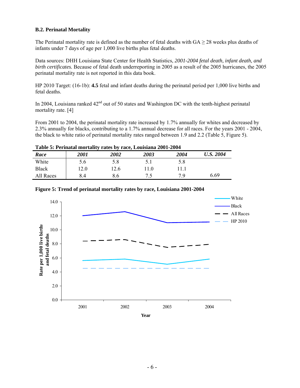#### **B.2. Perinatal Mortality**

The Perinatal mortality rate is defined as the number of fetal deaths with  $GA > 28$  weeks plus deaths of infants under 7 days of age per 1,000 live births plus fetal deaths.

Data sources: DHH Louisiana State Center for Health Statistics, *2001-2004 fetal death, infant death, and birth certificates.* Because of fetal death underreporting in 2005 as a result of the 2005 hurricanes, the 2005 perinatal mortality rate is not reported in this data book.

HP 2010 Target: (16-1b): **4.5** fetal and infant deaths during the perinatal period per 1,000 live births and fetal deaths.

In 2004, Louisiana ranked  $42<sup>nd</sup>$  out of 50 states and Washington DC with the tenth-highest perinatal mortality rate. [4]

From 2001 to 2004, the perinatal mortality rate increased by 1.7% annually for whites and decreased by 2.3% annually for blacks, contributing to a 1.7% annual decrease for all races. For the years 2001 - 2004, the black to white ratio of perinatal mortality rates ranged between 1.9 and 2.2 (Table 5, Figure 5).

| Table 5: Perinatal mortality rates by race, Louisiana 2001-2004 |             |      |      |      |           |  |  |
|-----------------------------------------------------------------|-------------|------|------|------|-----------|--|--|
| Race                                                            | <i>2001</i> | 2002 | 2003 | 2004 | U.S. 2004 |  |  |
| White                                                           | 56          | 5.8  |      | 58   |           |  |  |
| <b>Black</b>                                                    | 120         | 12 6 | 11 O | 111  |           |  |  |

All Races | 8.4 8.6 7.5 7.9 6.69



#### **Figure 5: Trend of perinatal mortality rates by race, Louisiana 2001-2004**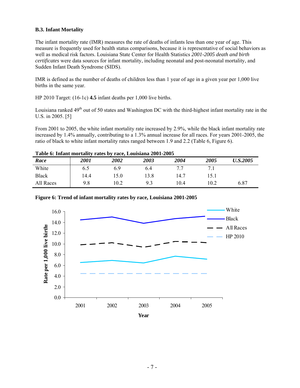#### **B.3. Infant Mortality**

The infant mortality rate (IMR) measures the rate of deaths of infants less than one year of age. This measure is frequently used for health status comparisons, because it is representative of social behaviors as well as medical risk factors. Louisiana State Center for Health Statistics *2001-2005 death and birth certificates* were data sources for infant mortality, including neonatal and post-neonatal mortality, and Sudden Infant Death Syndrome (SIDS).

IMR is defined as the number of deaths of children less than 1 year of age in a given year per 1,000 live births in the same year.

HP 2010 Target: (16-1c) **4.5** infant deaths per 1,000 live births.

Louisiana ranked  $49<sup>th</sup>$  out of 50 states and Washington DC with the third-highest infant mortality rate in the U.S. in 2005. [5]

From 2001 to 2005, the white infant mortality rate increased by 2.9%, while the black infant mortality rate increased by 1.4% annually, contributing to a 1.3% annual increase for all races. For years 2001-2005, the ratio of black to white infant mortality rates ranged between 1.9 and 2.2 (Table 6, Figure 6).

| Table 0. Infant mortanty rates by race, Louisland 2001-2005 |             |      |      |      |      |                 |  |
|-------------------------------------------------------------|-------------|------|------|------|------|-----------------|--|
| Race                                                        | <i>2001</i> | 2002 | 2003 | 2004 | 2005 | <b>U.S.2005</b> |  |
| White                                                       | 6.5         | 6.9  | 6.4  |      |      |                 |  |
| <b>Black</b>                                                | 14.4        | .5.0 | 13.8 | 14.7 | 15.1 |                 |  |
| All Races                                                   | 9.8         | 0.2  | 93   | 0.4  | 10.2 | 6.87            |  |

**Table 6: Infant mortality rates by race, Louisiana 2001-2005** 



**Figure 6: Trend of infant mortality rates by race, Louisiana 2001-2005**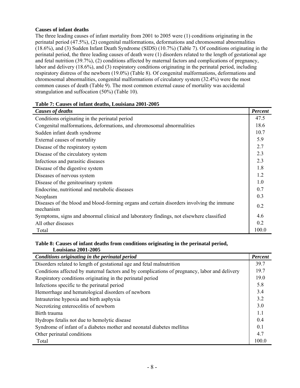#### **Causes of infant deaths**

The three leading causes of infant mortality from 2001 to 2005 were (1) conditions originating in the perinatal period (47.5%), (2) congenital malformations, deformations and chromosomal abnormalities (18.6%), and (3) Sudden Infant Death Syndrome (SIDS) (10.7%) (Table 7). Of conditions originating in the perinatal period, the three leading causes of death were (1) disorders related to the length of gestational age and fetal nutrition (39.7%), (2) conditions affected by maternal factors and complications of pregnancy, labor and delivery (18.6%), and (3) respiratory conditions originating in the perinatal period, including respiratory distress of the newborn (19.0%) (Table 8). Of congenital malformations, deformations and chromosomal abnormalities, congenital malformations of circulatory system (32.4%) were the most common causes of death (Table 9). The most common external cause of mortality was accidental strangulation and suffocation (50%) (Table 10).

| Causes of deaths                                                                                       | <b>Percent</b> |
|--------------------------------------------------------------------------------------------------------|----------------|
| Conditions originating in the perinatal period                                                         | 47.5           |
| Congenital malformations, deformations, and chromosomal abnormalities                                  | 18.6           |
| Sudden infant death syndrome                                                                           | 10.7           |
| External causes of mortality                                                                           | 5.9            |
| Disease of the respiratory system                                                                      | 2.7            |
| Disease of the circulatory system                                                                      | 2.3            |
| Infectious and parasitic diseases                                                                      | 2.3            |
| Disease of the digestive system                                                                        | 1.8            |
| Diseases of nervous system                                                                             | 1.2            |
| Disease of the genitourinary system                                                                    | 1.0            |
| Endocrine, nutritional and metabolic diseases                                                          | 0.7            |
| Neoplasm                                                                                               | 0.3            |
| Diseases of the blood and blood-forming organs and certain disorders involving the immune<br>mechanism | 0.2            |
| Symptoms, signs and abnormal clinical and laboratory findings, not elsewhere classified                | 4.6            |
| All other diseases                                                                                     | 0.2            |
| Total                                                                                                  | 100.0          |

#### **Table 7: Causes of infant deaths, Louisiana 2001-2005**

#### **Table 8: Causes of infant deaths from conditions originating in the perinatal period, Louisiana 2001-2005**

| Conditions originating in the perinatal period                                                | Percent |
|-----------------------------------------------------------------------------------------------|---------|
| Disorders related to length of gestational age and fetal malnutrition                         | 39.7    |
| Conditions affected by maternal factors and by complications of pregnancy, labor and delivery | 19.7    |
| Respiratory conditions originating in the perinatal period                                    | 19.0    |
| Infections specific to the perinatal period                                                   | 5.8     |
| Hemorrhage and hematological disorders of newborn                                             | 3.4     |
| Intrauterine hypoxia and birth asphyxia                                                       | 3.2     |
| Necrotizing enterocolitis of newborn                                                          | 3.0     |
| Birth trauma                                                                                  | 1.1     |
| Hydrops fetalis not due to hemolytic disease                                                  | 0.4     |
| Syndrome of infant of a diabetes mother and neonatal diabetes mellitus                        | 0.1     |
| Other perinatal conditions                                                                    | 4.7     |
| Total                                                                                         | 100.0   |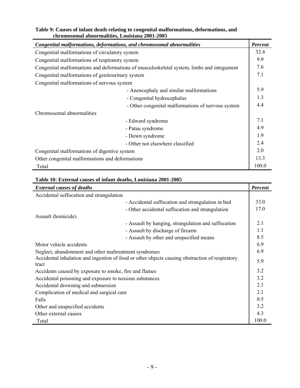| chromosomal abnormalities, Louisiana 2001-2005                        |                                                                                           |                |
|-----------------------------------------------------------------------|-------------------------------------------------------------------------------------------|----------------|
| Congenital malformations, deformations, and chromosomal abnormalities |                                                                                           | <b>Percent</b> |
| Congenital malformations of circulatory system                        |                                                                                           | 32.4           |
| Congenital malformations of respiratory system                        |                                                                                           | 9.9            |
|                                                                       | Congenital malformations and deformations of musculoskeletal system, limbs and integument | 7.6            |
| Congenital malformations of genitourinary system                      |                                                                                           | 7.1            |
| Congenital malformations of nervous system                            |                                                                                           |                |
|                                                                       | - Anencephaly and similar malformations                                                   | 5.9            |
|                                                                       | - Congenital hydrocephalus                                                                | 1.3            |
|                                                                       | - Other congenital malformations of nervous system                                        | 4.4            |
| Chromosomal abnormalities                                             |                                                                                           |                |
|                                                                       | - Edward syndrome                                                                         | 7.1            |
|                                                                       | - Patau syndrome                                                                          | 4.9            |
|                                                                       | - Down syndrome                                                                           | 1.9            |
|                                                                       | - Other not elsewhere classified                                                          | 2.4            |
| Congenital malformations of digestive system                          |                                                                                           | 2.0            |
| Other congenital malformations and deformations                       |                                                                                           | 13.3           |
| Total                                                                 |                                                                                           | 100.0          |

## **Table 9: Causes of infant death relating to congenital malformations, deformations, and**

### **Table 10: External causes of infant deaths, Louisiana 2001-2005**

| <b>External causes of deaths</b>                        |                                                                                                 | <b>Percent</b> |
|---------------------------------------------------------|-------------------------------------------------------------------------------------------------|----------------|
| Accidental suffocation and strangulation                |                                                                                                 |                |
|                                                         | - Accidental suffocation and strangulation in bed                                               | 33.0           |
|                                                         | - Other accidental suffocation and strangulation                                                | 17.0           |
| Assault (homicide)                                      |                                                                                                 |                |
|                                                         | - Assault by hanging, strangulation and suffocation                                             | 2.1            |
|                                                         | - Assault by discharge of firearm                                                               | 1.1            |
|                                                         | - Assault by other and unspecified means                                                        | 8.5            |
| Motor vehicle accidents                                 |                                                                                                 | 6.9            |
| Neglect, abandonment and other maltreatment syndromes   |                                                                                                 | 6.9            |
| tract                                                   | Accidental inhalation and ingestion of food or other objects causing obstruction of respiratory | 5.9            |
| Accidents caused by exposure to smoke, fire and flames  |                                                                                                 | 3.2            |
| Accidental poisoning and exposure to noxious substances |                                                                                                 | 3.2            |
| Accidental drowning and submersion                      |                                                                                                 | 2.1            |
| Complication of medical and surgical care               |                                                                                                 | 2.1            |
| Falls                                                   |                                                                                                 | 0.5            |
| Other and unspecified accidents                         |                                                                                                 | 3.2            |
| Other external causes                                   |                                                                                                 | 4.3            |
| Total                                                   |                                                                                                 | 100.0          |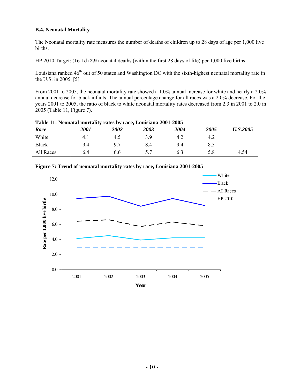#### **B.4. Neonatal Mortality**

The Neonatal mortality rate measures the number of deaths of children up to 28 days of age per 1,000 live births.

HP 2010 Target: (16-1d) **2.9** neonatal deaths (within the first 28 days of life) per 1,000 live births.

Louisiana ranked 46<sup>th</sup> out of 50 states and Washington DC with the sixth-highest neonatal mortality rate in the U.S. in 2005. [5]

From 2001 to 2005, the neonatal mortality rate showed a 1.0% annual increase for white and nearly a 2.0% annual decrease for black infants. The annual percentage change for all races was a 2.0% decrease. For the years 2001 to 2005, the ratio of black to white neonatal mortality rates decreased from 2.3 in 2001 to 2.0 in 2005 (Table 11, Figure 7).

|              | Table 11. Promatal mortanty rates by race, Louisiana 2001-2005 |      |      |      |      |                 |
|--------------|----------------------------------------------------------------|------|------|------|------|-----------------|
| Race         | 2001                                                           | 2002 | 2003 | 2004 | 2005 | <b>U.S.2005</b> |
| White        | 4.1                                                            | 4.5  | 3.9  | 4.2  |      |                 |
| <b>Black</b> | 9.4                                                            |      | 8.4  | 9.4  |      |                 |
| All Races    | 6.4                                                            | 6.6  |      | 6.3  | 5.8  | 4.54            |

**Table 11: Neonatal mortality rates by race, Louisiana 2001-2005** 



**Figure 7: Trend of neonatal mortality rates by race, Louisiana 2001-2005**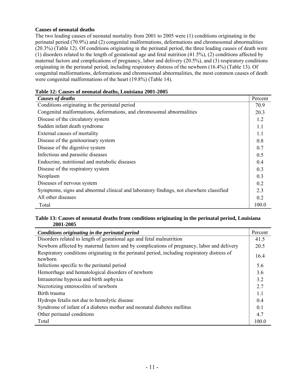#### **Causes of neonatal deaths**

The two leading causes of neonatal mortality from 2001 to 2005 were (1) conditions originating in the perinatal period (70.9%) and (2) congenital malformations, deformations and chromosomal abnormalities (20.3%) (Table 12). Of conditions originating in the perinatal period, the three leading causes of death were (1) disorders related to the length of gestational age and fetal nutrition (41.5%), (2) conditions affected by maternal factors and complications of pregnancy, labor and delivery (20.5%), and (3) respiratory conditions originating in the perinatal period, including respiratory distress of the newborn (16.4%) (Table 13). Of congenital malformations, deformations and chromosomal abnormalities, the most common causes of death were congenital malformations of the heart (19.8%) (Table 14).

| <b>Causes of deaths</b>                                                                 | Percent |
|-----------------------------------------------------------------------------------------|---------|
| Conditions originating in the perinatal period                                          | 70.9    |
| Congenital malformations, deformations, and chromosomal abnormalities                   | 20.3    |
| Disease of the circulatory system                                                       | 1.2     |
| Sudden infant death syndrome                                                            | 1.1     |
| External causes of mortality                                                            | 1.1     |
| Disease of the genitourinary system                                                     | 0.8     |
| Disease of the digestive system                                                         | 0.7     |
| Infectious and parasitic diseases                                                       | 0.5     |
| Endocrine, nutritional and metabolic diseases                                           | 0.4     |
| Disease of the respiratory system                                                       | 0.3     |
| Neoplasm                                                                                | 0.3     |
| Diseases of nervous system                                                              | 0.2     |
| Symptoms, signs and abnormal clinical and laboratory findings, not elsewhere classified | 2.3     |
| All other diseases                                                                      | 0.2     |
| Total                                                                                   | 100.0   |

#### **Table 12: Causes of neonatal deaths, Louisiana 2001-2005**

#### **Table 13: Causes of neonatal deaths from conditions originating in the perinatal period, Louisiana 2001-2005**

| Conditions originating in the perinatal period                                                           | Percent          |
|----------------------------------------------------------------------------------------------------------|------------------|
| Disorders related to length of gestational age and fetal malnutrition                                    | 41.5             |
| Newborn affected by maternal factors and by complications of pregnancy, labor and delivery               | 20.5             |
| Respiratory conditions originating in the perinatal period, including respiratory distress of<br>newhorn | 16.4             |
| Infections specific to the perinatal period                                                              | 5.6              |
| Hemorrhage and hematological disorders of newborn                                                        | 36               |
| Intrauterine hypoxia and birth asphyxia                                                                  | 32               |
| Necrotizing enterocolitis of newborn                                                                     | 2.7              |
| Birth trauma                                                                                             | 11               |
| Hydrops fetalis not due to hemolytic disease                                                             | 0.4              |
| Syndrome of infant of a diabetes mother and neonatal diabetes mellitus                                   | $\overline{0}$ 1 |
| Other perinatal conditions                                                                               | 47               |
| Total                                                                                                    | 100.0            |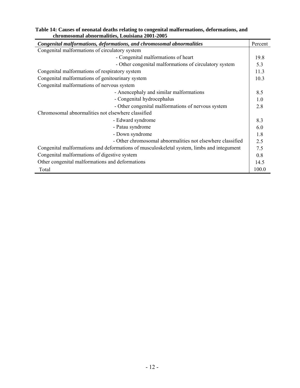| chromosomal abnormalities, Louisiana 2001-2005                                            |         |  |
|-------------------------------------------------------------------------------------------|---------|--|
| Congenital malformations, deformations, and chromosomal abnormalities                     | Percent |  |
| Congenital malformations of circulatory system                                            |         |  |
| - Congenital malformations of heart                                                       | 19.8    |  |
| - Other congenital malformations of circulatory system                                    | 5.3     |  |
| Congenital malformations of respiratory system                                            | 11.3    |  |
| Congenital malformations of genitourinary system                                          | 10.3    |  |
| Congenital malformations of nervous system                                                |         |  |
| - Anencephaly and similar malformations                                                   | 8.5     |  |
| - Congenital hydrocephalus                                                                | 1.0     |  |
| - Other congenital malformations of nervous system                                        | 2.8     |  |
| Chromosomal abnormalities not elsewhere classified                                        |         |  |
| - Edward syndrome                                                                         | 8.3     |  |
| - Patau syndrome                                                                          | 6.0     |  |
| - Down syndrome                                                                           | 1.8     |  |
| - Other chromosomal abnormalities not elsewhere classified                                | 2.5     |  |
| Congenital malformations and deformations of musculoskeletal system, limbs and integument |         |  |
| Congenital malformations of digestive system                                              |         |  |
| Other congenital malformations and deformations                                           |         |  |
| Total                                                                                     | 100.0   |  |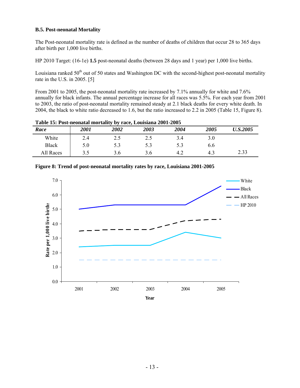#### **B.5. Post-neonatal Mortality**

The Post-neonatal mortality rate is defined as the number of deaths of children that occur 28 to 365 days after birth per 1,000 live births.

HP 2010 Target: (16-1e) **1.5** post-neonatal deaths (between 28 days and 1 year) per 1,000 live births.

Louisiana ranked  $50<sup>th</sup>$  out of 50 states and Washington DC with the second-highest post-neonatal mortality rate in the U.S. in 2005. [5]

From 2001 to 2005, the post-neonatal mortality rate increased by 7.1% annually for white and 7.6% annually for black infants. The annual percentage increase for all races was 5.5%. For each year from 2001 to 2003, the ratio of post-neonatal mortality remained steady at 2.1 black deaths for every white death. In 2004, the black to white ratio decreased to 1.6, but the ratio increased to 2.2 in 2005 (Table 15, Figure 8).

|              | Table 15. I ost-heonatal moltanty by face, Louisiana 2001-2005 |      |      |      |      |                        |
|--------------|----------------------------------------------------------------|------|------|------|------|------------------------|
| Race         | 2001                                                           | 2002 | 2003 | 2004 | 2005 | <i><b>U.S.2005</b></i> |
| White        | 2.4                                                            | 2.5  | 2.5  | 3.4  |      |                        |
| <b>Black</b> | 5.0                                                            | 5.3  | 5.3  | 5.3  | 6.6  |                        |
| All Races    | ? <                                                            | 3.6  | 3.6  | 4.2  | 43   | 2.33                   |

**Table 15: Post-neonatal mortality by race, Louisiana 2001-2005** 

| $7.0\,$                                                                                                                    |      |          |      |      |                    | White                  |
|----------------------------------------------------------------------------------------------------------------------------|------|----------|------|------|--------------------|------------------------|
| 6.0                                                                                                                        |      |          |      |      |                    | - Black<br>- All Races |
|                                                                                                                            |      |          |      |      | <b>The College</b> | $-$ HP 2010            |
| Rate per 1,000 live births<br>$\therefore$<br>$\therefore$<br>$\therefore$<br>$\therefore$<br>$\therefore$<br>$\therefore$ |      |          |      |      |                    |                        |
|                                                                                                                            |      |          |      |      |                    |                        |
|                                                                                                                            |      |          |      |      |                    |                        |
| $1.0\,$                                                                                                                    |      |          |      |      |                    |                        |
| $0.0\,$<br>┱                                                                                                               |      |          |      |      |                    |                        |
|                                                                                                                            | 2001 | $2002\,$ | 2003 | 2004 | 2005               |                        |
|                                                                                                                            |      |          | Year |      |                    |                        |

**Figure 8: Trend of post-neonatal mortality rates by race, Louisiana 2001-2005**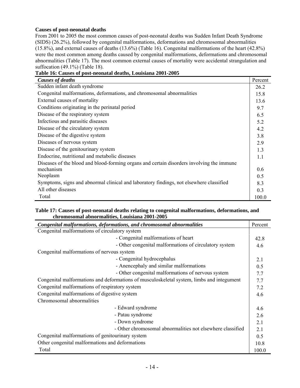#### **Causes of post-neonatal deaths**

From 2001 to 2005 the most common causes of post-neonatal deaths was Sudden Infant Death Syndrome (SIDS) (26.2%), followed by congenital malformations, deformations and chromosomal abnormalities (15.8%), and external causes of deaths (13.6%) (Table 16). Congenital malformations of the heart (42.8%) were the most common among deaths caused by congenital malformations, deformations and chromosomal abnormalities (Table 17). The most common external causes of mortality were accidental strangulation and suffocation (49.1%) (Table 18).

| <b>Causes of deaths</b>                                                                   | Percent |
|-------------------------------------------------------------------------------------------|---------|
| Sudden infant death syndrome                                                              | 26.2    |
| Congenital malformations, deformations, and chromosomal abnormalities                     | 15.8    |
| External causes of mortality                                                              | 13.6    |
| Conditions originating in the perinatal period                                            | 9.7     |
| Disease of the respiratory system                                                         | 6.5     |
| Infectious and parasitic diseases                                                         | 5.2     |
| Disease of the circulatory system                                                         | 4.2     |
| Disease of the digestive system                                                           | 3.8     |
| Diseases of nervous system                                                                | 2.9     |
| Disease of the genitourinary system                                                       | 1.3     |
| Endocrine, nutritional and metabolic diseases                                             | 1.1     |
| Diseases of the blood and blood-forming organs and certain disorders involving the immune |         |
| mechanism                                                                                 | 0.6     |
| Neoplasm                                                                                  | 0.5     |
| Symptoms, signs and abnormal clinical and laboratory findings, not elsewhere classified   | 8.3     |
| All other diseases                                                                        | 0.3     |
| Total                                                                                     | 100.0   |

**Table 16: Causes of post-neonatal deaths, Louisiana 2001-2005** 

#### **Table 17: Causes of post-neonatal deaths relating to congenital malformations, deformations, and chromosomal abnormalities, Louisiana 2001-2005**

|                                                                                           | Congenital malformations, deformations, and chromosomal abnormalities | Percent |  |
|-------------------------------------------------------------------------------------------|-----------------------------------------------------------------------|---------|--|
| Congenital malformations of circulatory system                                            |                                                                       |         |  |
|                                                                                           | - Congenital malformations of heart                                   | 42.8    |  |
|                                                                                           | - Other congenital malformations of circulatory system                | 4.6     |  |
| Congenital malformations of nervous system                                                |                                                                       |         |  |
|                                                                                           | - Congenital hydrocephalus                                            | 2.1     |  |
|                                                                                           | - Anencephaly and similar malformations                               | 0.5     |  |
|                                                                                           | - Other congenital malformations of nervous system                    | 7.7     |  |
| Congenital malformations and deformations of musculoskeletal system, limbs and integument |                                                                       |         |  |
| Congenital malformations of respiratory system                                            |                                                                       |         |  |
| Congenital malformations of digestive system                                              |                                                                       |         |  |
| Chromosomal abnormalities                                                                 |                                                                       |         |  |
|                                                                                           | - Edward syndrome                                                     | 4.6     |  |
|                                                                                           | - Patau syndrome                                                      | 2.6     |  |
|                                                                                           | - Down syndrome                                                       | 2.1     |  |
|                                                                                           | - Other chromosomal abnormalities not elsewhere classified            | 2.1     |  |
| Congenital malformations of genitourinary system                                          |                                                                       |         |  |
| Other congenital malformations and deformations                                           |                                                                       |         |  |
| Total                                                                                     |                                                                       | 100.0   |  |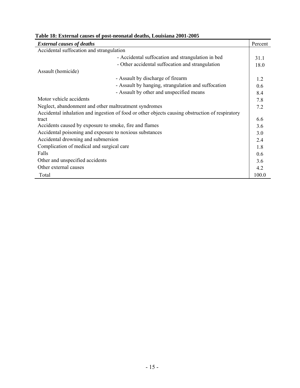| <b>External causes of deaths</b>                        |                                                                                                 | Percent |  |  |
|---------------------------------------------------------|-------------------------------------------------------------------------------------------------|---------|--|--|
| Accidental suffocation and strangulation                |                                                                                                 |         |  |  |
|                                                         | - Accidental suffocation and strangulation in bed                                               | 31.1    |  |  |
|                                                         | - Other accidental suffocation and strangulation                                                | 18.0    |  |  |
| Assault (homicide)                                      |                                                                                                 |         |  |  |
|                                                         | - Assault by discharge of firearm                                                               | 1.2     |  |  |
|                                                         | - Assault by hanging, strangulation and suffocation                                             | 0.6     |  |  |
|                                                         | - Assault by other and unspecified means                                                        | 8.4     |  |  |
| Motor vehicle accidents                                 |                                                                                                 | 7.8     |  |  |
| Neglect, abandonment and other maltreatment syndromes   |                                                                                                 |         |  |  |
|                                                         | Accidental inhalation and ingestion of food or other objects causing obstruction of respiratory |         |  |  |
| tract                                                   |                                                                                                 | 6.6     |  |  |
| Accidents caused by exposure to smoke, fire and flames  |                                                                                                 | 3.6     |  |  |
| Accidental poisoning and exposure to noxious substances |                                                                                                 | 3.0     |  |  |
| Accidental drowning and submersion                      |                                                                                                 | 2.4     |  |  |
| Complication of medical and surgical care               |                                                                                                 | 1.8     |  |  |
| Falls                                                   |                                                                                                 | 0.6     |  |  |
| Other and unspecified accidents                         |                                                                                                 |         |  |  |
| Other external causes                                   |                                                                                                 | 4.2     |  |  |
| Total                                                   |                                                                                                 | 100.0   |  |  |

#### **Table 18: External causes of post-neonatal deaths, Louisiana 2001-2005**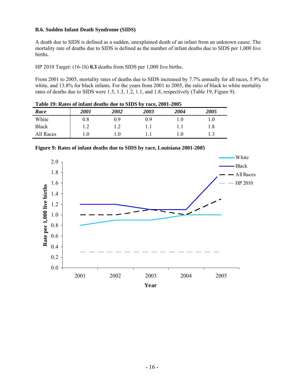#### **B.6. Sudden Infant Death Syndrome (SIDS)**

A death due to SIDS is defined as a sudden, unexplained death of an infant from an unknown cause. The mortality rate of deaths due to SIDS is defined as the number of infant deaths due to SIDS per 1,000 live births.

HP 2010 Target: (16-1h) **0.3** deaths from SIDS per 1,000 live births.

From 2001 to 2005, mortality rates of deaths due to SIDS increased by 7.7% annually for all races, 5.9% for white, and 13.8% for black infants. For the years from 2001 to 2005, the ratio of black to white mortality rates of deaths due to SIDS were 1.5, 1.3, 1.2, 1.1, and 1.8, respectively (Table 19, Figure 9).

**Table 19: Rates of infant deaths due to SIDS by race, 2001-2005** 

|              |             |      | ------ |      |      |
|--------------|-------------|------|--------|------|------|
| Race         | <i>2001</i> | 2002 | 2003   | 2004 | 2005 |
| White        | 0.8         | 0.9  | 0.9    |      |      |
| <b>Black</b> |             |      |        |      | 1.8  |
| All Races    | 1.0         |      |        | 1.0  |      |



**Figure 9: Rates of infant deaths due to SIDS by race, Louisiana 2001-2005**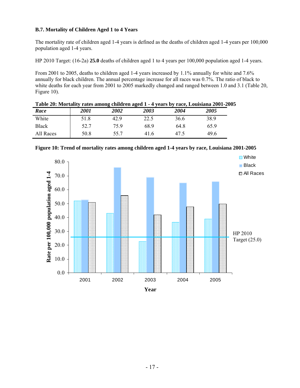#### **B.7. Mortality of Children Aged 1 to 4 Years**

The mortality rate of children aged 1-4 years is defined as the deaths of children aged 1-4 years per 100,000 population aged 1-4 years.

HP 2010 Target: (16-2a) **25.0** deaths of children aged 1 to 4 years per 100,000 population aged 1-4 years.

From 2001 to 2005, deaths to children aged 1-4 years increased by 1.1% annually for white and 7.6% annually for black children. The annual percentage increase for all races was 0.7%. The ratio of black to white deaths for each year from 2001 to 2005 markedly changed and ranged between 1.0 and 3.1 (Table 20, Figure 10).

| Table 20: Mortality rates among children aged 1 - 4 years by race, Louisiana 2001-2005 |             |      |      |      |      |  |
|----------------------------------------------------------------------------------------|-------------|------|------|------|------|--|
| Race                                                                                   | <i>2001</i> | 2002 | 2003 | 2004 | 2005 |  |
| White                                                                                  | 51.8        | 42.9 | 22.5 | 36.6 | 38.9 |  |
| <b>Black</b>                                                                           | 52.7        | 759  | 689  | 64.8 | 65.9 |  |
| All Races                                                                              | 50.8        | 55.7 | 416  | 47.5 | 49.6 |  |



**Figure 10: Trend of mortality rates among children aged 1-4 years by race, Louisiana 2001-2005**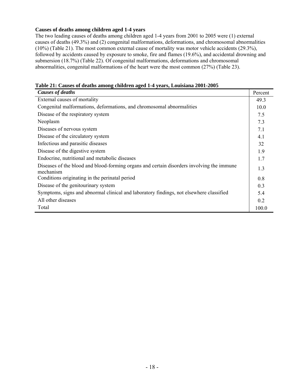#### **Causes of deaths among children aged 1-4 years**

The two leading causes of deaths among children aged 1-4 years from 2001 to 2005 were (1) external causes of deaths (49.3%) and (2) congenital malformations, deformations, and chromosomal abnormalities (10%) (Table 21). The most common external cause of mortality was motor vehicle accidents (29.3%), followed by accidents caused by exposure to smoke, fire and flames (19.6%), and accidental drowning and submersion (18.7%) (Table 22). Of congenital malformations, deformations and chromosomal abnormalities, congenital malformations of the heart were the most common (27%) (Table 23).

| Table 21: Causes of deaths among children aged 1-4 years, Louisiana 2001-2005 |  |  |  |
|-------------------------------------------------------------------------------|--|--|--|
|                                                                               |  |  |  |
|                                                                               |  |  |  |

| <b>Causes of deaths</b>                                                                                | Percent |
|--------------------------------------------------------------------------------------------------------|---------|
| External causes of mortality                                                                           | 49.3    |
| Congenital malformations, deformations, and chromosomal abnormalities                                  | 10.0    |
| Disease of the respiratory system                                                                      | 7.5     |
| Neoplasm                                                                                               | 7.3     |
| Diseases of nervous system                                                                             | 7.1     |
| Disease of the circulatory system                                                                      | 4.1     |
| Infectious and parasitic diseases                                                                      | 32      |
| Disease of the digestive system                                                                        | 1.9     |
| Endocrine, nutritional and metabolic diseases                                                          | 1.7     |
| Diseases of the blood and blood-forming organs and certain disorders involving the immune<br>mechanism | 1.3     |
| Conditions originating in the perinatal period                                                         | 0.8     |
| Disease of the genitourinary system                                                                    | 0.3     |
| Symptoms, signs and abnormal clinical and laboratory findings, not elsewhere classified                | 5.4     |
| All other diseases                                                                                     | 0.2     |
| Total                                                                                                  | 100.0   |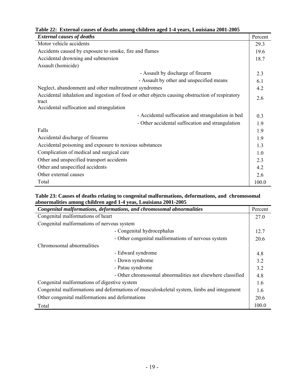|  |  | Table 22: External causes of deaths among children aged 1-4 years, Louisiana 2001-2005 |  |
|--|--|----------------------------------------------------------------------------------------|--|
|  |  |                                                                                        |  |

| <b>External causes of deaths</b>                                                                         | Percent                                                  |       |  |
|----------------------------------------------------------------------------------------------------------|----------------------------------------------------------|-------|--|
| Motor vehicle accidents                                                                                  | 29.3                                                     |       |  |
| Accidents caused by exposure to smoke, fire and flames                                                   | 19.6                                                     |       |  |
| Accidental drowning and submersion                                                                       | 18.7                                                     |       |  |
| Assault (homicide)                                                                                       |                                                          |       |  |
| - Assault by discharge of firearm                                                                        | 2.3                                                      |       |  |
|                                                                                                          | - Assault by other and unspecified means<br>6.1          |       |  |
| Neglect, abandonment and other maltreatment syndromes                                                    |                                                          |       |  |
| Accidental inhalation and ingestion of food or other objects causing obstruction of respiratory<br>tract |                                                          |       |  |
| Accidental suffocation and strangulation                                                                 |                                                          |       |  |
|                                                                                                          | - Accidental suffocation and strangulation in bed<br>0.3 |       |  |
|                                                                                                          | - Other accidental suffocation and strangulation<br>1.9  |       |  |
| Falls                                                                                                    | 1.9                                                      |       |  |
| Accidental discharge of firearms                                                                         | 1.9                                                      |       |  |
| Accidental poisoning and exposure to noxious substances                                                  | 1.3                                                      |       |  |
| Complication of medical and surgical care                                                                | 1.0                                                      |       |  |
| Other and unspecified transport accidents                                                                | 2.3                                                      |       |  |
| Other and unspecified accidents                                                                          | 4.2                                                      |       |  |
| Other external causes                                                                                    | 2.6                                                      |       |  |
| Total                                                                                                    |                                                          | 100.0 |  |

#### **Table 23: Causes of deaths relating to congenital malformations, deformations, and chromosomal abnormalities among children aged 1-4 yeas, Louisiana 2001-2005**

| Congenital malformations, deformations, and chromosomal abnormalities                     | Percent |  |
|-------------------------------------------------------------------------------------------|---------|--|
| Congenital malformations of heart                                                         | 27.0    |  |
| Congenital malformations of nervous system                                                |         |  |
| - Congenital hydrocephalus                                                                | 12.7    |  |
| - Other congenital malformations of nervous system                                        | 20.6    |  |
| Chromosomal abnormalities                                                                 |         |  |
| - Edward syndrome                                                                         | 4.8     |  |
| - Down syndrome                                                                           | 3.2     |  |
| - Patau syndrome                                                                          | 3.2     |  |
| - Other chromosomal abnormalities not elsewhere classified                                | 4.8     |  |
| Congenital malformations of digestive system                                              |         |  |
| Congenital malformations and deformations of musculoskeletal system, limbs and integument |         |  |
| Other congenital malformations and deformations                                           |         |  |
| Total                                                                                     | 100.0   |  |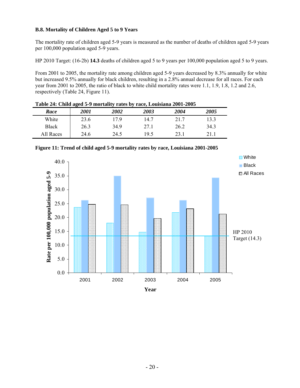#### **B.8. Mortality of Children Aged 5 to 9 Years**

The mortality rate of children aged 5-9 years is measured as the number of deaths of children aged 5-9 years per 100,000 population aged 5-9 years.

HP 2010 Target: (16-2b) **14.3** deaths of children aged 5 to 9 years per 100,000 population aged 5 to 9 years.

From 2001 to 2005, the mortality rate among children aged 5-9 years decreased by 8.3% annually for white but increased 9.5% annually for black children, resulting in a 2.8% annual decrease for all races. For each year from 2001 to 2005, the ratio of black to white child mortality rates were 1.1, 1.9, 1.8, 1.2 and 2.6, respectively (Table 24, Figure 11).

| Lavic 24. Clinu aged 3-7 moltanty Lates by Late, Louisland 2001-2003 |      |                    |      |      |      |  |  |  |
|----------------------------------------------------------------------|------|--------------------|------|------|------|--|--|--|
| Race                                                                 | 2001 | <i><b>2002</b></i> | 2003 | 2004 | 2005 |  |  |  |
| White                                                                | 23.6 | 179                | 14.7 | 21.7 | 13.3 |  |  |  |
| <b>Black</b>                                                         | 26.3 | 34.9               | 27.1 | 26.2 | 34.3 |  |  |  |
| All Races                                                            | 24.6 | 24.5               | 19.5 | 23.1 | 211  |  |  |  |

**Table 24: Child aged 5-9 mortality rates by race, Louisiana 2001-2005** 



**Figure 11: Trend of child aged 5-9 mortality rates by race, Louisiana 2001-2005**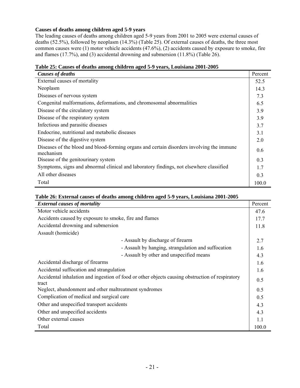#### **Causes of deaths among children aged 5-9 years**

The leading causes of deaths among children aged 5-9 years from 2001 to 2005 were external causes of deaths (52.5%), followed by neoplasm (14.3%) (Table 25). Of external causes of deaths, the three most common causes were (1) motor vehicle accidents (47.6%), (2) accidents caused by exposure to smoke, fire and flames (17.7%), and (3) accidental drowning and submersion (11.8%) (Table 26).

|  |  |  |  | Table 25: Causes of deaths among children aged 5-9 years, Louisiana 2001-2005 |
|--|--|--|--|-------------------------------------------------------------------------------|
|  |  |  |  |                                                                               |

| <b>Causes of deaths</b>                                                                                | Percent |
|--------------------------------------------------------------------------------------------------------|---------|
| External causes of mortality                                                                           | 52.5    |
| Neoplasm                                                                                               | 14.3    |
| Diseases of nervous system                                                                             | 7.3     |
| Congenital malformations, deformations, and chromosomal abnormalities                                  | 6.5     |
| Disease of the circulatory system                                                                      | 3.9     |
| Disease of the respiratory system                                                                      | 3.9     |
| Infectious and parasitic diseases                                                                      | 3.7     |
| Endocrine, nutritional and metabolic diseases                                                          | 3.1     |
| Disease of the digestive system                                                                        | 2.0     |
| Diseases of the blood and blood-forming organs and certain disorders involving the immune<br>mechanism | 0.6     |
| Disease of the genitourinary system                                                                    | 0.3     |
| Symptoms, signs and abnormal clinical and laboratory findings, not elsewhere classified                | 1.7     |
| All other diseases                                                                                     | 0.3     |
| Total                                                                                                  | 100.0   |

#### **Table 26: External causes of deaths among children aged 5-9 years, Louisiana 2001-2005**

| <b>External causes of mortality</b>                                                                      | Percent |
|----------------------------------------------------------------------------------------------------------|---------|
| Motor vehicle accidents                                                                                  | 47.6    |
| Accidents caused by exposure to smoke, fire and flames                                                   | 17.7    |
| Accidental drowning and submersion                                                                       | 11.8    |
| Assault (homicide)                                                                                       |         |
| - Assault by discharge of firearm                                                                        | 2.7     |
| - Assault by hanging, strangulation and suffocation                                                      | 1.6     |
| - Assault by other and unspecified means                                                                 | 4.3     |
| Accidental discharge of firearms                                                                         | 1.6     |
| Accidental suffocation and strangulation                                                                 | 1.6     |
| Accidental inhalation and ingestion of food or other objects causing obstruction of respiratory<br>tract | 0.5     |
| Neglect, abandonment and other maltreatment syndromes                                                    | 0.5     |
| Complication of medical and surgical care                                                                | 0.5     |
| Other and unspecified transport accidents                                                                | 4.3     |
| Other and unspecified accidents                                                                          | 4.3     |
| Other external causes                                                                                    | 11      |
| Total                                                                                                    | 100.0   |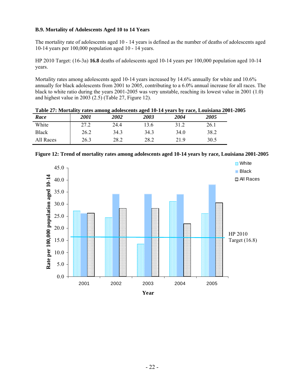#### **B.9. Mortality of Adolescents Aged 10 to 14 Years**

The mortality rate of adolescents aged 10 - 14 years is defined as the number of deaths of adolescents aged 10-14 years per 100,000 population aged 10 - 14 years.

HP 2010 Target: (16-3a) **16.8** deaths of adolescents aged 10-14 years per 100,000 population aged 10-14 years.

Mortality rates among adolescents aged 10-14 years increased by 14.6% annually for white and 10.6% annually for black adolescents from 2001 to 2005, contributing to a 6.0% annual increase for all races. The black to white ratio during the years 2001-2005 was very unstable, reaching its lowest value in 2001 (1.0) and highest value in 2003 (2.5) (Table 27, Figure 12).

|              |             |      |      |      | Table 27, MOI tally Tates alliving advicatelly aged TV-14 years by Tate, Louisland 2001 |
|--------------|-------------|------|------|------|-----------------------------------------------------------------------------------------|
| Race         | <i>2001</i> | 2002 | 2003 | 2004 | 2005                                                                                    |
| White        | 27.2        | 244  | 13.6 | 31.2 | 26.1                                                                                    |
| <b>Black</b> | 26.2        | 343  | 343  | 34.0 | 38.2                                                                                    |
| All Races    | 26.3        | 28.2 | 28.2 | 219  | 30.5                                                                                    |

| Table 27: Mortality rates among adolescents aged 10-14 years by race, Louisiana 2001-2005 |  |  |
|-------------------------------------------------------------------------------------------|--|--|
|-------------------------------------------------------------------------------------------|--|--|



**Figure 12: Trend of mortality rates among adolescents aged 10-14 years by race, Louisiana 2001-2005**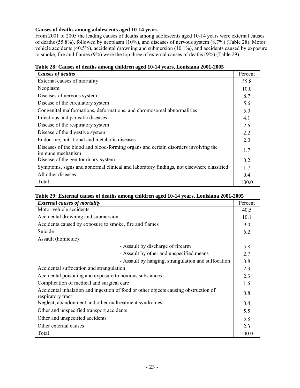#### **Causes of deaths among adolescents aged 10-14 years**

From 2001 to 2005 the leading causes of deaths among adolescents aged 10-14 years were external causes of deaths (55.8%), followed by neoplasm (10%), and diseases of nervous system (8.7%) (Table 28). Motor vehicle accidents (40.5%), accidental drowning and submersion (10.1%), and accidents caused by exposure to smoke, fire and flames (9%) were the top three of external causes of deaths (9%) (Table 29).

|  | Table 28: Causes of deaths among children aged 10-14 years, Louisiana 2001-2005 |  |  |
|--|---------------------------------------------------------------------------------|--|--|
|  |                                                                                 |  |  |

| Table 20. Causes of ucatils alliong children aged To-T+ years, Louisland 2001-2005                     |         |
|--------------------------------------------------------------------------------------------------------|---------|
| <b>Causes of deaths</b>                                                                                | Percent |
| External causes of mortality                                                                           | 55.8    |
| Neoplasm                                                                                               | 10.0    |
| Diseases of nervous system                                                                             | 8.7     |
| Disease of the circulatory system                                                                      | 5.6     |
| Congenital malformations, deformations, and chromosomal abnormalities                                  | 5.0     |
| Infectious and parasitic diseases                                                                      | 4.1     |
| Disease of the respiratory system                                                                      | 2.6     |
| Disease of the digestive system                                                                        | 2.2     |
| Endocrine, nutritional and metabolic diseases                                                          | 2.0     |
| Diseases of the blood and blood-forming organs and certain disorders involving the<br>immune mechanism | 1.7     |
| Disease of the genitourinary system                                                                    | 0.2     |
| Symptoms, signs and abnormal clinical and laboratory findings, not elsewhere classified                | 1.7     |
| All other diseases                                                                                     | 0.4     |
| Total                                                                                                  | 100.0   |

|  | Table 29: External causes of deaths among children aged 10-14 years, Louisiana 2001-2005 |
|--|------------------------------------------------------------------------------------------|
|--|------------------------------------------------------------------------------------------|

| <b>External causes of mortality</b>                                                                      | Percent |
|----------------------------------------------------------------------------------------------------------|---------|
| Motor vehicle accidents                                                                                  | 40.5    |
| Accidental drowning and submersion                                                                       | 10.1    |
| Accidents caused by exposure to smoke, fire and flames                                                   | 9.0     |
| Suicide                                                                                                  | 6.2     |
| Assault (homicide)                                                                                       |         |
| - Assault by discharge of firearm                                                                        | 5.8     |
| - Assault by other and unspecified means                                                                 | 2.7     |
| - Assault by hanging, strangulation and suffocation                                                      | 0.8     |
| Accidental suffocation and strangulation                                                                 | 2.3     |
| Accidental poisoning and exposure to noxious substances                                                  | 2.3     |
| Complication of medical and surgical care                                                                | 1.6     |
| Accidental inhalation and ingestion of food or other objects causing obstruction of<br>respiratory tract | 0.8     |
| Neglect, abandonment and other maltreatment syndromes                                                    | 0.4     |
| Other and unspecified transport accidents                                                                | 5.5     |
| Other and unspecified accidents                                                                          | 5.8     |
| Other external causes                                                                                    | 2.3     |
| Total                                                                                                    | 100.0   |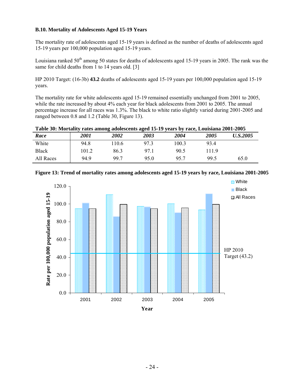#### **B.10. Mortality of Adolescents Aged 15-19 Years**

The mortality rate of adolescents aged 15-19 years is defined as the number of deaths of adolescents aged 15-19 years per 100,000 population aged 15-19 years.

Louisiana ranked  $50<sup>th</sup>$  among 50 states for deaths of adolescents aged 15-19 years in 2005. The rank was the same for child deaths from 1 to 14 years old. [3]

HP 2010 Target: (16-3b) **43.2** deaths of adolescents aged 15-19 years per 100,000 population aged 15-19 years.

The mortality rate for white adolescents aged 15-19 remained essentially unchanged from 2001 to 2005, while the rate increased by about 4% each year for black adolescents from 2001 to 2005. The annual percentage increase for all races was 1.3%. The black to white ratio slightly varied during 2001-2005 and ranged between 0.8 and 1.2 (Table 30, Figure 13).

|  |  | Table 30: Mortality rates among adolescents aged 15-19 years by race, Louisiana 2001-2005 |  |
|--|--|-------------------------------------------------------------------------------------------|--|
|  |  |                                                                                           |  |

| Race         | <i>2001</i> | 2002 | 2003 | 2004  | 2005  | <i>U.S.2005</i> |
|--------------|-------------|------|------|-------|-------|-----------------|
| White        | 94.8        | 10.6 | 97.3 | 100.3 | 93.4  |                 |
| <b>Black</b> | 101.2       | 86.3 | 97.1 | 90.5  | 11.9ء |                 |
| All Races    | 94.9        | 99.7 | 95.0 | 95.7  | 99.5  | 65.0            |



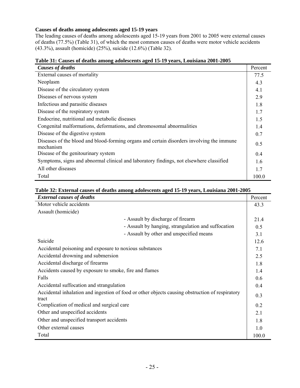#### **Causes of deaths among adolescents aged 15-19 years**

The leading causes of deaths among adolescents aged 15-19 years from 2001 to 2005 were external causes of deaths (77.5%) (Table 31), of which the most common causes of deaths were motor vehicle accidents (43.3%), assault (homicide) (25%), suicide (12.6%) (Table 32).

| Table 51. Causes of acaths among adolescents aged 15-17 years, Louisiana 2001-2005<br><b>Causes of deaths</b> | Percent |
|---------------------------------------------------------------------------------------------------------------|---------|
| External causes of mortality                                                                                  | 77.5    |
| Neoplasm                                                                                                      | 4.3     |
| Disease of the circulatory system                                                                             | 4.1     |
| Diseases of nervous system                                                                                    | 2.9     |
| Infectious and parasitic diseases                                                                             | 1.8     |
| Disease of the respiratory system                                                                             | 1.7     |
| Endocrine, nutritional and metabolic diseases                                                                 | 1.5     |
| Congenital malformations, deformations, and chromosomal abnormalities                                         | 1.4     |
| Disease of the digestive system                                                                               | 0.7     |
| Diseases of the blood and blood-forming organs and certain disorders involving the immune<br>mechanism        | 0.5     |
| Disease of the genitourinary system                                                                           | 0.4     |
| Symptoms, signs and abnormal clinical and laboratory findings, not elsewhere classified                       | 1.6     |
| All other diseases                                                                                            | 1.7     |
| Total                                                                                                         | 100.0   |

#### **Table 31: Causes of deaths among adolescents aged 15-19 years, Louisiana 2001-2005**

#### **Table 32: External causes of deaths among adolescents aged 15-19 years, Louisiana 2001-2005**

| <b>External causes of deaths</b>                                                                         | Percent |
|----------------------------------------------------------------------------------------------------------|---------|
| Motor vehicle accidents                                                                                  | 43.3    |
| Assault (homicide)                                                                                       |         |
| - Assault by discharge of firearm                                                                        | 21.4    |
| - Assault by hanging, strangulation and suffocation                                                      | 0.5     |
| - Assault by other and unspecified means                                                                 | 3.1     |
| Suicide                                                                                                  | 12.6    |
| Accidental poisoning and exposure to noxious substances                                                  | 7.1     |
| Accidental drowning and submersion                                                                       | 2.5     |
| Accidental discharge of firearms                                                                         | 1.8     |
| Accidents caused by exposure to smoke, fire and flames                                                   | 1.4     |
| Falls                                                                                                    | 0.6     |
| Accidental suffocation and strangulation                                                                 | 0.4     |
| Accidental inhalation and ingestion of food or other objects causing obstruction of respiratory<br>tract | 0.3     |
| Complication of medical and surgical care                                                                | 0.2     |
| Other and unspecified accidents                                                                          | 2.1     |
| Other and unspecified transport accidents                                                                | 1.8     |
| Other external causes                                                                                    | 1.0     |
| Total                                                                                                    | 100.0   |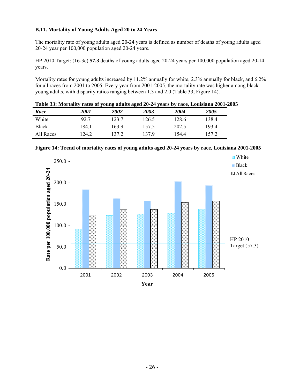#### **B.11. Mortality of Young Adults Aged 20 to 24 Years**

The mortality rate of young adults aged 20-24 years is defined as number of deaths of young adults aged 20-24 year per 100,000 population aged 20-24 years.

HP 2010 Target: (16-3c) **57.3** deaths of young adults aged 20-24 years per 100,000 population aged 20-14 years.

Mortality rates for young adults increased by 11.2% annually for white, 2.3% annually for black, and 6.2% for all races from 2001 to 2005. Every year from 2001-2005, the mortality rate was higher among black young adults, with disparity ratios ranging between 1.3 and 2.0 (Table 33, Figure 14).

|              |             |       |       |       | Table 33: Mortality rates of young adults aged 20-24 years by race, Louisiana 2001-2005 |
|--------------|-------------|-------|-------|-------|-----------------------------------------------------------------------------------------|
| Race         | <i>2001</i> | 2002  | 2003  | 2004  | 2005                                                                                    |
| White        | 92.7        | 123 7 | 126.5 | 128.6 | 138.4                                                                                   |
| <b>Black</b> | 184.1       | 1639  | 157.5 | 202.5 | 1934                                                                                    |
| All Races    | 124.2       | 137 2 | 1379  | 1544  | 1572                                                                                    |



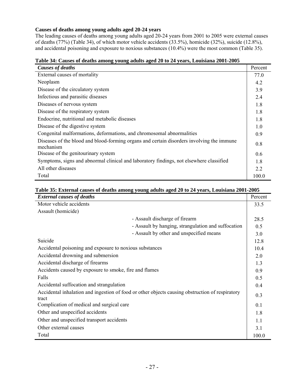#### **Causes of deaths among young adults aged 20-24 years**

The leading causes of deaths among young adults aged 20-24 years from 2001 to 2005 were external causes of deaths (77%) (Table 34), of which motor vehicle accidents (33.5%), homicide (32%), suicide (12.8%), and accidental poisoning and exposure to noxious substances (10.4%) were the most common (Table 35).

| $\alpha$ and $\alpha$ are $\alpha$ and $\alpha$ and $\alpha$ and $\alpha$ and $\alpha$ and $\alpha$ and $\alpha$ and $\alpha$ and $\alpha$ and $\alpha$ and $\alpha$ and $\alpha$ and $\alpha$ and $\alpha$ and $\alpha$ and $\alpha$ and $\alpha$ and $\alpha$ and $\alpha$ and $\alpha$ and $\alpha$ and $\alpha$ and $\alpha$ |         |
|----------------------------------------------------------------------------------------------------------------------------------------------------------------------------------------------------------------------------------------------------------------------------------------------------------------------------------|---------|
| <b>Causes of deaths</b>                                                                                                                                                                                                                                                                                                          | Percent |
| External causes of mortality                                                                                                                                                                                                                                                                                                     | 77.0    |
| Neoplasm                                                                                                                                                                                                                                                                                                                         | 4.2     |
| Disease of the circulatory system                                                                                                                                                                                                                                                                                                | 3.9     |
| Infectious and parasitic diseases                                                                                                                                                                                                                                                                                                | 2.4     |
| Diseases of nervous system                                                                                                                                                                                                                                                                                                       | 1.8     |
| Disease of the respiratory system                                                                                                                                                                                                                                                                                                | 1.8     |
| Endocrine, nutritional and metabolic diseases                                                                                                                                                                                                                                                                                    | 1.8     |
| Disease of the digestive system                                                                                                                                                                                                                                                                                                  | 1.0     |
| Congenital malformations, deformations, and chromosomal abnormalities                                                                                                                                                                                                                                                            | 0.9     |
| Diseases of the blood and blood-forming organs and certain disorders involving the immune<br>mechanism                                                                                                                                                                                                                           | 0.8     |
| Disease of the genitourinary system                                                                                                                                                                                                                                                                                              | 0.6     |
| Symptoms, signs and abnormal clinical and laboratory findings, not elsewhere classified                                                                                                                                                                                                                                          | 1.8     |
| All other diseases                                                                                                                                                                                                                                                                                                               | 22      |
| Total                                                                                                                                                                                                                                                                                                                            | 100.0   |

#### **Table 34: Causes of deaths among young adults aged 20 to 24 years, Louisiana 2001-2005**

#### **Table 35: External causes of deaths among young adults aged 20 to 24 years, Louisiana 2001-2005**

| <b>External causes of deaths</b>                                                                         | Percent |
|----------------------------------------------------------------------------------------------------------|---------|
| Motor vehicle accidents                                                                                  | 33.5    |
| Assault (homicide)                                                                                       |         |
| - Assault discharge of firearm                                                                           | 28.5    |
| - Assault by hanging, strangulation and suffocation                                                      | 0.5     |
| - Assault by other and unspecified means                                                                 | 3.0     |
| Suicide                                                                                                  | 12.8    |
| Accidental poisoning and exposure to noxious substances                                                  | 10.4    |
| Accidental drowning and submersion                                                                       | 2.0     |
| Accidental discharge of firearms                                                                         | 1.3     |
| Accidents caused by exposure to smoke, fire and flames                                                   | 0.9     |
| Falls                                                                                                    | 0.5     |
| Accidental suffocation and strangulation                                                                 | 0.4     |
| Accidental inhalation and ingestion of food or other objects causing obstruction of respiratory<br>tract | 0.3     |
| Complication of medical and surgical care                                                                | 0.1     |
| Other and unspecified accidents                                                                          | 1.8     |
| Other and unspecified transport accidents                                                                | 1.1     |
| Other external causes                                                                                    | 3.1     |
| Total                                                                                                    | 100.0   |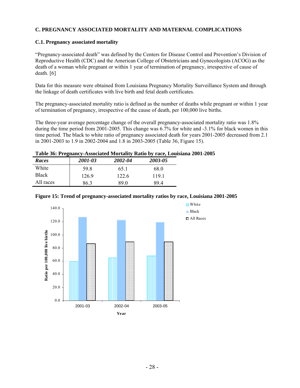#### **C. PREGNANCY ASSOCIATED MORTALITY AND MATERNAL COMPLICATIONS**

#### **C.1. Pregnancy associated mortality**

"Pregnancy-associated death" was defined by the Centers for Disease Control and Prevention's Division of Reproductive Health (CDC) and the American College of Obstetricians and Gynecologists (ACOG) as the death of a woman while pregnant or within 1 year of termination of pregnancy, irrespective of cause of death. [6]

Data for this measure were obtained from Louisiana Pregnancy Mortality Surveillance System and through the linkage of death certificates with live birth and fetal death certificates.

The pregnancy-associated mortality ratio is defined as the number of deaths while pregnant or within 1 year of termination of pregnancy, irrespective of the cause of death, per 100,000 live births.

The three-year average percentage change of the overall pregnancy-associated mortality ratio was 1.8% during the time period from 2001-2005. This change was 6.7% for white and -3.1% for black women in this time period. The black to white ratio of pregnancy associated death for years 2001-2005 decreased from 2.1 in 2001-2003 to 1.9 in 2002-2004 and 1.8 in 2003-2005 (Table 36, Figure 15).

#### **Table 36: Pregnancy-Associated Mortality Ratio by race, Louisiana 2001-2005**

| Races        | 2001-03 | 2002-04 | 2003-05 |
|--------------|---------|---------|---------|
| White        | 59 R    | 65.1    | 68.0    |
| <b>Black</b> | 1269    | 122.6   | 1191    |
| All races    | 86.3    | 89 0    | 894     |



|  | Figure 15: Trend of pregnancy-associated mortality ratios by race, Louisiana 2001-2005 |  |  |  |
|--|----------------------------------------------------------------------------------------|--|--|--|
|  |                                                                                        |  |  |  |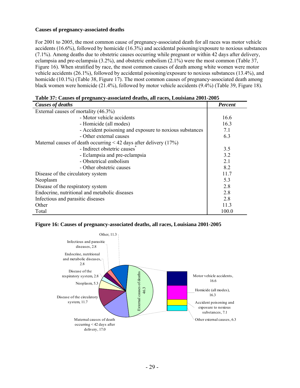#### **Causes of pregnancy-associated deaths**

For 2001 to 2005, the most common cause of pregnancy-associated death for all races was motor vehicle accidents (16.6%), followed by homicide (16.3%) and accidental poisoning/exposure to noxious substances (7.1%). Among deaths due to obstetric causes occurring while pregnant or within 42 days after delivery, eclampsia and pre-eclampsia (3.2%), and obstetric embolism (2.1%) were the most common (Table 37, Figure 16). When stratified by race, the most common causes of death among white women were motor vehicle accidents (26.1%), followed by accidental poisoning/exposure to noxious substances (13.4%), and homicide (10.1%) (Table 38, Figure 17). The most common causes of pregnancy-associated death among black women were homicide (21.4%), followed by motor vehicle accidents (9.4%) (Table 39, Figure 18).

| <b>Causes of deaths</b>                                             | <b>Percent</b> |
|---------------------------------------------------------------------|----------------|
| External causes of mortality (46.3%)                                |                |
| - Motor vehicle accidents                                           | 16.6           |
| - Homicide (all modes)                                              | 16.3           |
| - Accident poisoning and exposure to noxious substances             | 7.1            |
| - Other external causes                                             | 6.3            |
| Maternal causes of death occurring $<$ 42 days after delivery (17%) |                |
| - Indirect obstetric causes <sup>†</sup>                            | 3.5            |
| - Eclampsia and pre-eclampsia                                       | 3.2            |
| - Obstetrical embolism                                              | 2.1            |
| - Other obstetric causes                                            | 8.2            |
| Disease of the circulatory system                                   | 11.7           |
| Neoplasm                                                            | 5.3            |
| Disease of the respiratory system                                   | 2.8            |
| Endocrine, nutritional and metabolic diseases                       | 2.8            |
| Infectious and parasitic diseases                                   | 2.8            |
| Other                                                               | 11.3           |
| Total                                                               | 100.0          |

| Table 37: Causes of pregnancy-associated deaths, all races, Louisiana 2001-2005 |  |
|---------------------------------------------------------------------------------|--|
|---------------------------------------------------------------------------------|--|



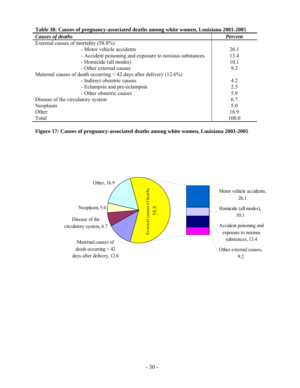| Table 38: Causes of pregnancy-associated deaths among white women, Louisiana 2001-2005 |                |  |  |  |
|----------------------------------------------------------------------------------------|----------------|--|--|--|
| Causes of deaths                                                                       | <b>Percent</b> |  |  |  |
| External causes of mortality (58.8%)                                                   |                |  |  |  |
| - Motor vehicle accidents                                                              | 26.1           |  |  |  |
| - Accident poisoning and exposure to noxious substances                                | 13.4           |  |  |  |
| - Homicide (all modes)                                                                 | 10.1           |  |  |  |
| - Other external causes                                                                | 9.2            |  |  |  |
| Maternal causes of death occurring $\leq$ 42 days after delivery (12.6%)               |                |  |  |  |
| - Indirect obstetric causes                                                            | 4.2            |  |  |  |
| - Eclampsia and pre-eclampsia                                                          | 2.5            |  |  |  |
| - Other obstetric causes                                                               | 5.9            |  |  |  |
| Disease of the circulatory system                                                      | 6.7            |  |  |  |
| Neoplasm                                                                               | 5.0            |  |  |  |
| Other                                                                                  | 16.9           |  |  |  |
| Total                                                                                  | 100.0          |  |  |  |

| Figure 17: Causes of pregnancy-associated deaths among white women, Louisiana 2001-2005 |  |
|-----------------------------------------------------------------------------------------|--|

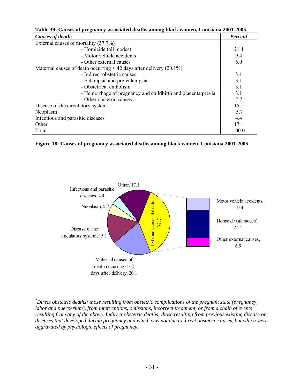| Table 39: Causes of pregnancy-associated deaths among black women, Louisiana 2001-2005 |                |  |  |  |
|----------------------------------------------------------------------------------------|----------------|--|--|--|
| <b>Causes of deaths</b>                                                                | <b>Percent</b> |  |  |  |
| External causes of mortality (37.7%)                                                   |                |  |  |  |
| - Homicide (all modes)                                                                 | 21.4           |  |  |  |
| - Motor vehicle accidents                                                              | 9.4            |  |  |  |
| - Other external causes                                                                | 6.9            |  |  |  |
| Maternal causes of death occurring $\leq 42$ days after delivery (20.1%)               |                |  |  |  |
| - Indirect obstetric causes                                                            | 3.1            |  |  |  |
| - Eclampsia and pre-eclampsia                                                          | 3.1            |  |  |  |
| - Obstetrical embolism                                                                 | 3.1            |  |  |  |
| - Hemorrhage of pregnancy and childbirth and placenta previa                           | 3.1            |  |  |  |
| - Other obstetric causes                                                               | 7.7            |  |  |  |
| Disease of the circulatory system                                                      | 15.1           |  |  |  |
| Neoplasm                                                                               | 5.7            |  |  |  |
| Infectious and parasitic diseases                                                      | 4.4            |  |  |  |
| Other                                                                                  | 17.1           |  |  |  |
| Total                                                                                  | 100.0          |  |  |  |





*\* Direct obstetric deaths: those resulting from obstetric complications of the pregnant state (pregnancy, labor and puerperium), from interventions, omissions, incorrect treatment, or from a chain of events resulting from any of the above. Indirect obstetric deaths: those resulting from previous existing disease or diseases that developed during pregnancy and which was not due to direct obstetric causes, but which were aggravated by physiologic effects of pregnancy.*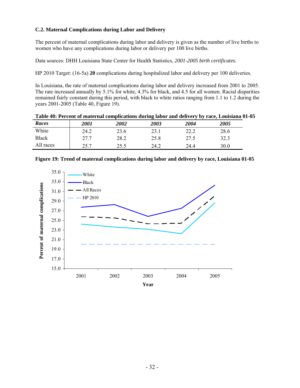# **C.2. Maternal Complications during Labor and Delivery**

The percent of maternal complications during labor and delivery is given as the number of live births to women who have any complications during labor or delivery per 100 live births.

Data sources: DHH Louisiana State Center for Health Statistics, *2001-2005 birth certificates.* 

HP 2010 Target: (16-5a) **20** complications during hospitalized labor and delivery per 100 deliveries.

In Louisiana, the rate of maternal complications during labor and delivery increased from 2001 to 2005. The rate increased annually by 5.1% for white, 4.3% for black, and 4.5 for all women. Racial disparities remained fairly constant during this period, with black to white ratios ranging from 1.1 to 1.2 during the years 2001-2005 (Table 40, Figure 19).

| Table 40: Percent of maternal complications during labor and delivery by race, Louisiana 01-05 |  |  |  |
|------------------------------------------------------------------------------------------------|--|--|--|
|------------------------------------------------------------------------------------------------|--|--|--|

| Races        | <i>2001</i> | 2002 | 2003 | 2004 | 2005 |
|--------------|-------------|------|------|------|------|
| White        | 24.2        | 23.6 | 23.1 | 22.2 | 28.6 |
| <b>Black</b> | 27.7        | 28.2 | 25.8 | 27.5 | 32.3 |
| All races    | つく つ        | 25.5 | 24.2 | 24.4 | 30.0 |



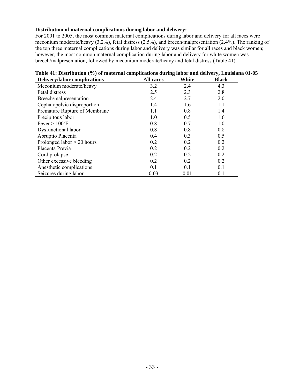## **Distribution of maternal complications during labor and delivery:**

For 2001 to 2005, the most common maternal complications during labor and delivery for all races were meconium moderate/heavy (3.2%), fetal distress (2.5%), and breech/malpresentation (2.4%). The ranking of the top three maternal complications during labor and delivery was similar for all races and black women; however, the most common maternal complication during labor and delivery for white women was breech/malpresentation, followed by meconium moderate/heavy and fetal distress (Table 41).

| <b>Delivery/labor complications</b> | All races | White | <b>Black</b> |
|-------------------------------------|-----------|-------|--------------|
| Meconium moderate/heavy             | 3.2       | 2.4   | 4.3          |
| Fetal distress                      | 2.5       | 2.3   | 2.8          |
| Breech/malpresentation              | 2.4       | 2.7   | 2.0          |
| Cephalopelvic disproportion         | 1.4       | 1.6   | 1.1          |
| Premature Rupture of Membrane       | 1.1       | 0.8   | 1.4          |
| Precipitous labor                   | 1.0       | 0.5   | 1.6          |
| Fever $> 100^{\circ}$ F             | 0.8       | 0.7   | 1.0          |
| Dysfunctional labor                 | 0.8       | 0.8   | 0.8          |
| Abruptio Placenta                   | 0.4       | 0.3   | 0.5          |
| Prolonged labor $> 20$ hours        | 0.2       | 0.2   | 0.2          |
| Placenta Previa                     | 0.2       | 0.2   | 0.2          |
| Cord prolapse                       | 0.2       | 0.2   | 0.2          |
| Other excessive bleeding            | 0.2       | 0.2   | 0.2          |
| Anesthetic complications            | 0.1       | 0.1   | 0.1          |
| Seizures during labor               | 0.03      | 0.01  | 0.1          |

#### **Table 41: Distribution (%) of maternal complications during labor and delivery, Louisiana 01-05**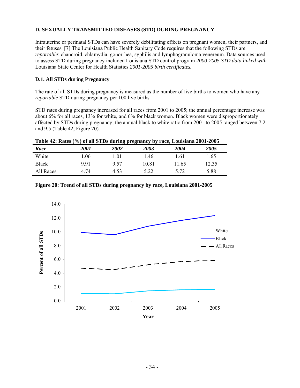# **D. SEXUALLY TRANSMITTED DISEASES (STD) DURING PREGNANCY**

Intrauterine or perinatal STDs can have severely debilitating effects on pregnant women, their partners, and their fetuses. [7] The Louisiana Public Health Sanitary Code requires that the following STDs are *reportable*: chancroid, chlamydia, gonorrhea, syphilis and lymphogranuloma venereum. Data sources used to assess STD during pregnancy included Louisiana STD control program *2000-2005 STD data linked with* Louisiana State Center for Health Statistics *2001-2005 birth certificates.*

# **D.1. All STDs during Pregnancy**

The rate of all STDs during pregnancy is measured as the number of live births to women who have any *reportable* STD during pregnancy per 100 live births.

STD rates during pregnancy increased for all races from 2001 to 2005; the annual percentage increase was about 6% for all races, 13% for white, and 6% for black women. Black women were disproportionately affected by STDs during pregnancy; the annual black to white ratio from 2001 to 2005 ranged between 7.2 and 9.5 (Table 42, Figure 20).

| Race         | <i>2001</i> | 2002 | 2003  | 2004  | 2005  |
|--------------|-------------|------|-------|-------|-------|
| White        | . 06        | .01  | 1.46  | 1.61  | 1.65  |
| <b>Black</b> | 9.91        | 9.57 | 10.81 | 11.65 | 12.35 |
| All Races    | 4.74        | 4.53 | 5.22  | 5.72  | 5.88  |



**Figure 20: Trend of all STDs during pregnancy by race, Louisiana 2001-2005**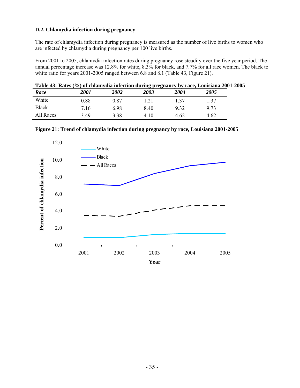## **D.2. Chlamydia infection during pregnancy**

The rate of chlamydia infection during pregnancy is measured as the number of live births to women who are infected by chlamydia during pregnancy per 100 live births.

From 2001 to 2005, chlamydia infection rates during pregnancy rose steadily over the five year period. The annual percentage increase was 12.8% for white, 8.3% for black, and 7.7% for all race women. The black to white ratio for years 2001-2005 ranged between 6.8 and 8.1 (Table 43, Figure 21).

| Table 43: Rates (%) of chlamydia infection during pregnancy by race, Louisiana 2001-2005 |  |  |  |
|------------------------------------------------------------------------------------------|--|--|--|
|                                                                                          |  |  |  |

| Race      | <i>2001</i> | <i><b>2002</b></i> | 2003 | 2004 | 2005 |
|-----------|-------------|--------------------|------|------|------|
| White     | 0.88        | $\rm 0.87$         | .21  | .37  | . 37 |
| Black     | 7.16        | 6.98               | 8.40 | 9.32 | 9.73 |
| All Races | 3.49        | 3.38               | 4.10 | 4.62 | 4.62 |



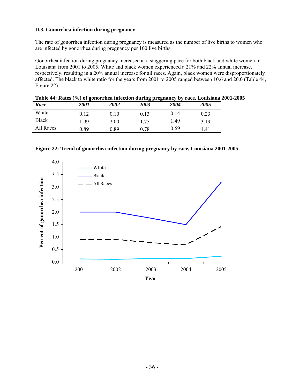## **D.3. Gonorrhea infection during pregnancy**

The rate of gonorrhea infection during pregnancy is measured as the number of live births to women who are infected by gonorrhea during pregnancy per 100 live births.

Gonorrhea infection during pregnancy increased at a staggering pace for both black and white women in Louisiana from 2001 to 2005. White and black women experienced a 21% and 22% annual increase, respectively, resulting in a 20% annual increase for all races. Again, black women were disproportionately affected. The black to white ratio for the years from 2001 to 2005 ranged between 10.6 and 20.0 (Table 44, Figure 22).

| Table 44: Rates (%) of gonorrhea infection during pregnancy by race, Louisiana 2001-2005 |      |      |      |      |      |  |
|------------------------------------------------------------------------------------------|------|------|------|------|------|--|
| Race                                                                                     | 2001 | 2002 | 2003 | 2004 | 2005 |  |
| White                                                                                    | 0.12 | 0.10 | 0.13 | 0.14 | 0.23 |  |
| <b>Black</b>                                                                             | L.99 | 2.00 | 1.75 | 1.49 | 3.19 |  |
| All Races                                                                                | 0.89 | 0.89 | 0.78 | 0.69 | l 41 |  |

|  |  |  | Figure 22: Trend of gonorrhea infection during pregnancy by race, Louisiana 2001-2005 |  |  |  |
|--|--|--|---------------------------------------------------------------------------------------|--|--|--|
|  |  |  |                                                                                       |  |  |  |
|  |  |  |                                                                                       |  |  |  |

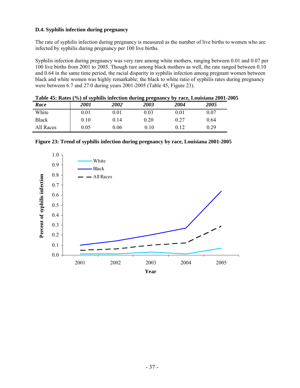## **D.4. Syphilis infection during pregnancy**

The rate of syphilis infection during pregnancy is measured as the number of live births to women who are infected by syphilis during pregnancy per 100 live births.

Syphilis infection during pregnancy was very rare among white mothers, ranging between 0.01 and 0.07 per 100 live births from 2001 to 2005. Though rare among black mothers as well, the rate ranged between 0.10 and 0.64 in the same time period, the racial disparity in syphilis infection among pregnant women between black and white women was highly remarkable; the black to white ratio of syphilis rates during pregnancy were between 6.7 and 27.0 during years 2001-2005 (Table 45, Figure 23).

|              |             |      |      |      | Table 45: Rates (%) of syphilis infection during pregnancy by race, Louisiana 2001-2005 |
|--------------|-------------|------|------|------|-----------------------------------------------------------------------------------------|
| Race         | <i>2001</i> | 2002 | 2003 | 2004 | 2005                                                                                    |
| White        | 0.01        | 0.01 | 0.03 | 0.01 | 0.07                                                                                    |
| <b>Black</b> | 0.10        | 0.14 | 0.20 | 0.27 | 0.64                                                                                    |
| All Races    | 0.05        | 0.06 | 0.10 | 0.12 | 0.29                                                                                    |

| Figure 23: Trend of syphilis infection during pregnancy by race, Louisiana 2001-2005 |  |  |
|--------------------------------------------------------------------------------------|--|--|

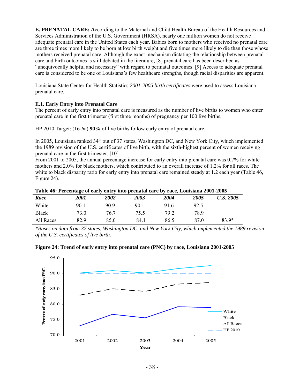**E. PRENATAL CARE: A**ccording to the Maternal and Child Health Bureau of the Health Resources and Services Administration of the U.S. Government (HRSA), nearly one million women do not receive adequate prenatal care in the United States each year. Babies born to mothers who received no prenatal care are three times more likely to be born at low birth weight and five times more likely to die than those whose mothers received prenatal care. Although the exact mechanism dictating the relationship between prenatal care and birth outcomes is still debated in the literature, [8] prenatal care has been described as "unequivocally helpful and necessary" with regard to perinatal outcomes. [9] Access to adequate prenatal care is considered to be one of Louisiana's few healthcare strengths, though racial disparities are apparent.

Louisiana State Center for Health Statistics *2001-2005 birth certificates* were used to assess Louisiana prenatal care*.*

## **E.1. Early Entry into Prenatal Care**

The percent of early entry into prenatal care is measured as the number of live births to women who enter prenatal care in the first trimester (first three months) of pregnancy per 100 live births.

HP 2010 Target: (16-6a) **90%** of live births follow early entry of prenatal care.

In 2005, Louisiana ranked 34<sup>th</sup> out of 37 states, Washington DC, and New York City, which implemented the 1989 revision of the U.S. certificates of live birth, with the sixth-highest percent of women receiving prenatal care in the first trimester. [10]

From 2001 to 2005, the annual percentage increase for early entry into prenatal care was 0.7% for white mothers and 2.0% for black mothers, which contributed to an overall increase of 1.2% for all races. The white to black disparity ratio for early entry into prenatal care remained steady at 1.2 each year (Table 46, Figure 24).

| Table 40: Percentage of early entry into prenatal care by race, Louisiana 2001-2005 |             |      |                    |      |      |           |  |
|-------------------------------------------------------------------------------------|-------------|------|--------------------|------|------|-----------|--|
| Race                                                                                | <i>2001</i> | 2002 | <i><b>2003</b></i> | 2004 | 2005 | U.S. 2005 |  |
| White                                                                               | 90.1        | 90.9 | 90.1               | 916  | 92.5 |           |  |
| <b>Black</b>                                                                        | 73.0        | 76.7 | 75.5               | 792  | 78.9 |           |  |
| All Races                                                                           | 82.9        | 85 0 | 84 1               | 86.5 | 87 O | $83.9*$   |  |

**Table 46: Percentage of early entry into prenatal care by race, Louisiana 2001-2005** 

*\*Bases on data from 37 states, Washington DC, and New York City, which implemented the 1989 revision of the U.S. certificates of live birth.* 



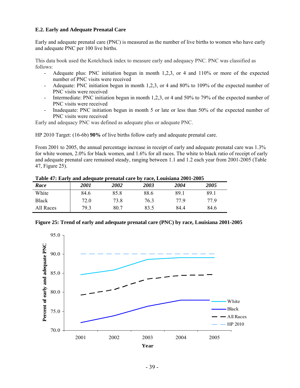## **E.2. Early and Adequate Prenatal Care**

Early and adequate prenatal care (PNC) is measured as the number of live births to women who have early and adequate PNC per 100 live births.

This data book used the Kotelchuck index to measure early and adequacy PNC. PNC was classified as follows:

- Adequate plus: PNC initiation begun in month 1,2,3, or 4 and 110% or more of the expected number of PNC visits were received
- Adequate: PNC initiation begun in month 1,2,3, or 4 and 80% to 109% of the expected number of PNC visits were received
- Intermediate: PNC initiation begun in month 1,2,3, or 4 and 50% to 79% of the expected number of PNC visits were received
- Inadequate: PNC initiation begun in month 5 or late or less than 50% of the expected number of PNC visits were received

Early and adequacy PNC was defined as adequate plus or adequate PNC.

HP 2010 Target: (16-6b) **90%** of live births follow early and adequate prenatal care.

From 2001 to 2005, the annual percentage increase in receipt of early and adequate prenatal care was 1.3% for white women, 2.0% for black women, and 1.6% for all races. The white to black ratio of receipt of early and adequate prenatal care remained steady, ranging between 1.1 and 1.2 each year from 2001-2005 (Table 47, Figure 25).

| Table 47. Early and adequate prenatal care by race, Louisiana 2001-2005 |             |                    |      |      |      |
|-------------------------------------------------------------------------|-------------|--------------------|------|------|------|
| Race                                                                    | <i>2001</i> | <i><b>2002</b></i> | 2003 | 2004 | 2005 |
| White                                                                   | 84.6        | 85.8               | 88.6 | 891  | 891  |
| <b>Black</b>                                                            | 72.0        | 73.8               | 76.3 | 779  | 77 9 |
| All Races                                                               | 79.3        | 80 7               | 83.5 | 84 4 | 84.6 |

**Table 47: Early and adequate prenatal care by race, Louisiana 2001-2005** 



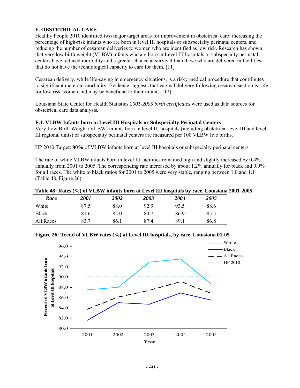# **F. OBSTETRICAL CARE**

Healthy People 2010 identified two major target areas for improvement in obstetrical care: increasing the percentage of high-risk infants who are born in level III hospitals or subspecialty perinatal centers, and reducing the number of cesarean deliveries to women who are identified as low risk. Research has shown that very low birth weight (VLBW) infants who are born in Level III hospitals or subspecialty perinatal centers have reduced morbidity and a greater chance at survival than those who are delivered in facilities that do not have the technological capacity to care for them. [11]

Cesarean delivery, while life-saving in emergency situations, is a risky medical procedure that contributes to significant maternal morbidity. Evidence suggests that vaginal delivery following cesarean section is safe for low-risk women and may be beneficial to their infants. [12]

Louisiana State Center for Health Statistics *2001-2005 birth certificates* were used as data sources for obstetrical care data analysis*.*

#### **F.1. VLBW Infants born in Level III Hospitals or Subspecialty Perinatal Centers**

Very Low Birth Weight (VLBW) infants born in level III hospitals (including obstetrical level III and level III regional units) or subspecialty perinatal centers are measured per 100 VLBW live births.

HP 2010 Target: **90%** of VLBW infants born at level III hospitals or subspecialty perinatal centers.

The rate of white VLBW infants born in level III facilities remained high and slightly increased by 0.4% annually from 2001 to 2005. The corresponding rate increased by about 1.2% annually for black and 0.9% for all races. The white to black ratios for 2001 to 2005 were very stable, ranging between 1.0 and 1.1 (Table 48, Figure 26).

#### **Table 48: Rates (%) of VLBW infants born at Level III hospitals by race, Louisiana 2001-2005**

| Race         | <i>2001</i> | <i><b>2002</b></i> | 2003 | 2004 | <i><b>2005</b></i> |
|--------------|-------------|--------------------|------|------|--------------------|
| White        | 87.5        | 88.0               | 92.9 | 93.5 | 88.6               |
| <b>Black</b> | 81.6        | 85.0               | 84.7 | 86.9 | 85.5               |
| All Races    | 83.7        | 86.1               | 87.4 | 89.1 | 86.8               |

#### **Figure 26: Trend of VLBW rates (%) at Level III hospitals, by race, Louisiana 01-05**

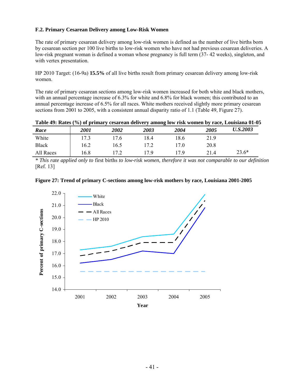## **F.2. Primary Cesarean Delivery among Low-Risk Women**

The rate of primary cesarean delivery among low-risk women is defined as the number of live births born by cesarean section per 100 live births to low-risk women who have not had previous cesarean deliveries. A low-risk pregnant woman is defined a woman whose pregnancy is full term (37- 42 weeks), singleton, and with vertex presentation.

HP 2010 Target: (16-9a) **15.5%** of all live births result from primary cesarean delivery among low-risk women.

The rate of primary cesarean sections among low-risk women increased for both white and black mothers, with an annual percentage increase of 6.3% for white and 6.8% for black women; this contributed to an annual percentage increase of 6.5% for all races. White mothers received slightly more primary cesarean sections from 2001 to 2005, with a consistent annual disparity ratio of 1.1 (Table 49, Figure 27).

|              |      |      |      |      |      | Table 49: Rates (%) of primary cesarean delivery among low risk women by race, Louisiana 01-05 |
|--------------|------|------|------|------|------|------------------------------------------------------------------------------------------------|
| Race         | 2001 | 2002 | 2003 | 2004 | 2005 | <b>U.S.2003</b>                                                                                |
| White        | 173  | 176  | 184  | 18.6 | 21.9 |                                                                                                |
| <b>Black</b> | 16.2 | 16.5 | 17.2 | 17 0 | 20.8 |                                                                                                |
| All Races    | 16.8 | 172  | 17 Q | 17 Q | 214  | $23.6*$                                                                                        |

*\* This rate applied only to* first births *to low-risk women, therefore it was not comparable to our definition*  [Ref. 13]



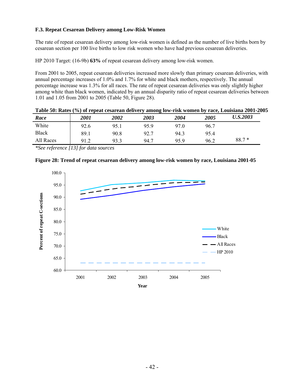# **F.3. Repeat Cesarean Delivery among Low-Risk Women**

The rate of repeat cesarean delivery among low-risk women is defined as the number of live births born by cesarean section per 100 live births to low risk women who have had previous cesarean deliveries.

HP 2010 Target: (16-9b) **63%** of repeat cesarean delivery among low-risk women.

From 2001 to 2005, repeat cesarean deliveries increased more slowly than primary cesarean deliveries, with annual percentage increases of 1.0% and 1.7% for white and black mothers, respectively. The annual percentage increase was 1.3% for all races. The rate of repeat cesarean deliveries was only slightly higher among white than black women, indicated by an annual disparity ratio of repeat cesarean deliveries between 1.01 and 1.05 from 2001 to 2005 (Table 50, Figure 28).

|              |             |                    |      |      |      | Table 50: Rates (%) of repeat cesarean delivery among low-risk women by race, Louisiana 2001-2005 |
|--------------|-------------|--------------------|------|------|------|---------------------------------------------------------------------------------------------------|
| Race         | <i>2001</i> | <i><b>2002</b></i> | 2003 | 2004 | 2005 | <b>U.S.2003</b>                                                                                   |
| White        | 92.6        | 95.1               | 959  | 970  | 96.7 |                                                                                                   |
| <b>Black</b> | 89.1        | 90.8               | 92.7 | 94.3 | 95.4 |                                                                                                   |
| All Races    | 91.2        | 93.3               | 94.7 | 959  | 96.2 | $88.7*$                                                                                           |

*\*See reference [13] for data sources* 



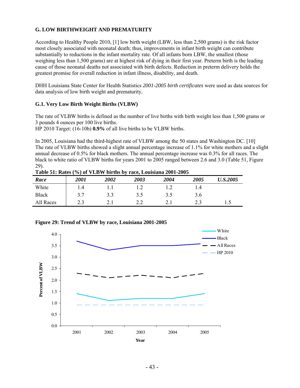# **G. LOW BIRTHWEIGHT AND PREMATURITY**

According to Healthy People 2010, [1] low birth weight (LBW, less than 2,500 grams) is the risk factor most closely associated with neonatal death; thus, improvements in infant birth weight can contribute substantially to reductions in the infant mortality rate. Of all infants born LBW, the smallest (those weighing less than 1,500 grams) are at highest risk of dying in their first year. Preterm birth is the leading cause of those neonatal deaths not associated with birth defects. Reduction in preterm delivery holds the greatest promise for overall reduction in infant illness, disability, and death.

DHH Louisiana State Center for Health Statistics *2001-2005 birth certificates* were used as data sources for data analysis of low birth weight and prematurity*.*

#### **G.1. Very Low Birth Weight Births (VLBW)**

The rate of VLBW births is defined as the number of live births with birth weight less than 1,500 grams or 3 pounds 4 ounces per 100 live births.

HP 2010 Target: (16-10b) **0.9%** of all live births to be VLBW births.

In 2005, Louisiana had the third-highest rate of VLBW among the 50 states and Washington DC. [10] The rate of VLBW births showed a slight annual percentage increase of 1.1% for white mothers and a slight annual decrease of 0.5% for black mothers. The annual percentage increase was 0.3% for all races. The black to white ratio of VLBW births for years 2001 to 2005 ranged between 2.6 and 3.0 (Table 51, Figure 29).

|              |       |      | .    |      |      |                 |
|--------------|-------|------|------|------|------|-----------------|
| Race         | 2001  | 2002 | 2003 | 2004 | 2005 | <b>U.S.2005</b> |
| White        | I.4   |      |      |      | 1.4  |                 |
| <b>Black</b> | 37    |      | 3.5  | 3.5  | 3.6  |                 |
| All Races    | ر . ب |      |      |      |      | ر. .            |

**Table 51: Rates (%) of VLBW births by race, Louisiana 2001-2005** 



**Figure 29: Trend of VLBW by race, Louisiana 2001-2005**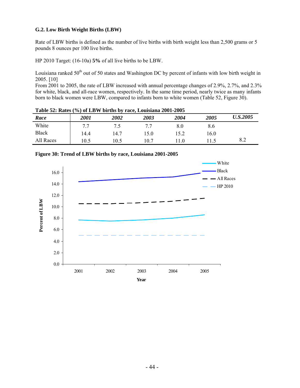# **G.2. Low Birth Weight Births (LBW)**

Rate of LBW births is defined as the number of live births with birth weight less than 2,500 grams or 5 pounds 8 ounces per 100 live births.

HP 2010 Target: (16-10a) **5%** of all live births to be LBW.

Louisiana ranked  $50<sup>th</sup>$  out of 50 states and Washington DC by percent of infants with low birth weight in 2005. [10]

From 2001 to 2005, the rate of LBW increased with annual percentage changes of 2.9%, 2.7%, and 2.3% for white, black, and all-race women, respectively. In the same time period, nearly twice as many infants born to black women were LBW, compared to infants born to white women (Table 52, Figure 30).

| Table 52: Rates (%) of LBW births by race, Louisiana 2001-2005 |             |      |      |      |      |                 |
|----------------------------------------------------------------|-------------|------|------|------|------|-----------------|
| Race                                                           | <i>2001</i> | 2002 | 2003 | 2004 | 2005 | <b>U.S.2005</b> |
| White                                                          | 77          | 7.5  | 7.7  | 8.0  | 8.6  |                 |
| <b>Black</b>                                                   | 14.4        | 14.7 | 15.0 | 15.2 | 16.0 |                 |
| All Races                                                      | 10.5        | 10.5 | 10.7 | 11.0 |      | 8.2             |

 $T(0)$  of LDW births by race, Louisiana 2001-2005



**Year**

**Figure 30: Trend of LBW births by race, Louisiana 2001-2005**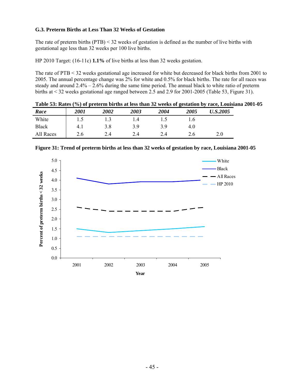## **G.3. Preterm Births at Less Than 32 Weeks of Gestation**

The rate of preterm births (PTB) < 32 weeks of gestation is defined as the number of live births with gestational age less than 32 weeks per 100 live births.

HP 2010 Target: (16-11c) **1.1%** of live births at less than 32 weeks gestation.

The rate of PTB < 32 weeks gestational age increased for white but decreased for black births from 2001 to 2005. The annual percentage change was 2% for white and 0.5% for black births. The rate for all races was steady and around 2.4% – 2.6% during the same time period. The annual black to white ratio of preterm births at < 32 weeks gestational age ranged between 2.5 and 2.9 for 2001-2005 (Table 53, Figure 31).

**Table 53: Rates (%) of preterm births at less than 32 weeks of gestation by race, Louisiana 2001-05**  *Race 2001 2002 2003 2004 2005 U.S.2005*  White 1.5 1.3 1.4 1.5 1.6 Black | 4.1 3.8 3.9 3.9 4.0 All Races 2.6 2.4 2.4 2.4 2.6 2.0



**Figure 31: Trend of preterm births at less than 32 weeks of gestation by race, Louisiana 2001-05**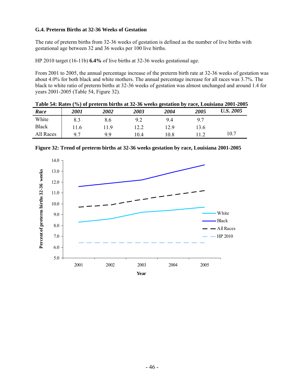## **G.4. Preterm Births at 32-36 Weeks of Gestation**

The rate of preterm births from 32-36 weeks of gestation is defined as the number of live births with gestational age between 32 and 36 weeks per 100 live births.

HP 2010 target (16-11b) **6.4%** of live births at 32-36 weeks gestational age.

From 2001 to 2005, the annual percentage increase of the preterm birth rate at 32-36 weeks of gestation was about 4.0% for both black and white mothers. The annual percentage increase for all races was 3.7%. The black to white ratio of preterm births at 32-36 weeks of gestation was almost unchanged and around 1.4 for years 2001-2005 (Table 54, Figure 32).

|              |      |                    |      |      |      | Table 54: Rates (%) of preterm births at 32-36 weeks gestation by race, Louisiana 2001-2005 |
|--------------|------|--------------------|------|------|------|---------------------------------------------------------------------------------------------|
| Race         | 2001 | <i><b>2002</b></i> | 2003 | 2004 | 2005 | U.S. 2005                                                                                   |
| White        | 8.3  | 8.6                | 9.2  | 94   | 97   |                                                                                             |
| <b>Black</b> | 11.6 | 119                | 12.2 | 12.9 | 13.6 |                                                                                             |
| All Races    | 07   | 99                 | 104  | 10 8 | 119  | 10.7                                                                                        |

14.0 Percent of preterm births 32-36 weeks 13.0 **Percent of preterm births 32-36 weeks** 12.0 11.0 10.0 White 9.0 Black 8.0 All Races 7.0  $-$  HP 2010 6.0 5.0 2001 2002 2003 2004 2005 **Year**

**Figure 32: Trend of preterm births at 32-36 weeks gestation by race, Louisiana 2001-2005**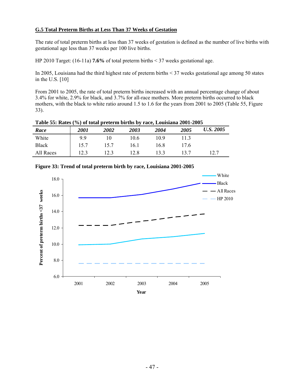# **G.5 Total Preterm Births at Less Than 37 Weeks of Gestation**

The rate of total preterm births at less than 37 weeks of gestation is defined as the number of live births with gestational age less than 37 weeks per 100 live births.

HP 2010 Target: (16-11a) **7.6%** of total preterm births < 37 weeks gestational age.

In 2005, Louisiana had the third highest rate of preterm births < 37 weeks gestational age among 50 states in the U.S. [10]

From 2001 to 2005, the rate of total preterm births increased with an annual percentage change of about 3.4% for white, 2.9% for black, and 3.7% for all-race mothers. More preterm births occurred to black mothers, with the black to white ratio around 1.5 to 1.6 for the years from 2001 to 2005 (Table 55, Figure 33).

| Table 55: Rates (%) of total preternt births by race, Louisiana 2001-2005 |             |      |      |      |      |           |
|---------------------------------------------------------------------------|-------------|------|------|------|------|-----------|
| Race                                                                      | <i>2001</i> | 2002 | 2003 | 2004 | 2005 | U.S. 2005 |
| White                                                                     | 99          |      | 10.6 | 109  | 113  |           |
| <b>Black</b>                                                              | 157         | 157  | 16 1 | 16 8 | 17.6 |           |
| All Races                                                                 | 12.3        | 123  | 12.8 | 133  | 13.7 | 12.7      |

**Table 55: Rates (%) of total preterm births by race, Louisiana 2001-2005** 



**Figure 33: Trend of total preterm birth by race, Louisiana 2001-2005**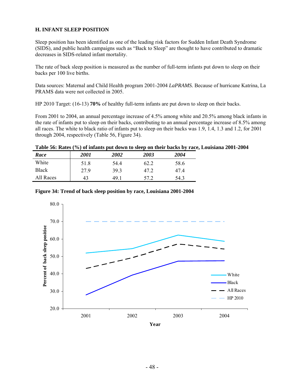# **H. INFANT SLEEP POSITION**

Sleep position has been identified as one of the leading risk factors for Sudden Infant Death Syndrome (SIDS), and public health campaigns such as "Back to Sleep" are thought to have contributed to dramatic decreases in SIDS-related infant mortality.

The rate of back sleep position is measured as the number of full-term infants put down to sleep on their backs per 100 live births.

Data sources: Maternal and Child Health program 2001-2004 *LaPRAMS.* Because of hurricane Katrina, La PRAMS data were not collected in 2005.

HP 2010 Target: (16-13) **70%** of healthy full-term infants are put down to sleep on their backs.

From 2001 to 2004, an annual percentage increase of 4.5% among white and 20.5% among black infants in the rate of infants put to sleep on their backs, contributing to an annual percentage increase of 8.5% among all races. The white to black ratio of infants put to sleep on their backs was 1.9, 1.4, 1.3 and 1.2, for 2001 through 2004, respectively (Table 56, Figure 34).

|  | Table 56: Rates (%) of infants put down to sleep on their backs by race, Louisiana 2001-2004 |  |
|--|----------------------------------------------------------------------------------------------|--|
|  |                                                                                              |  |

| Race      | <b>2001</b> | 2002 | 2003 | 2004 |  |
|-----------|-------------|------|------|------|--|
| White     | 51.8        | 54.4 | 62.2 | 58.6 |  |
| Black     | 279         | 393  | 47 2 | 474  |  |
| All Races | 43          | 491  | 57 2 | 54.3 |  |



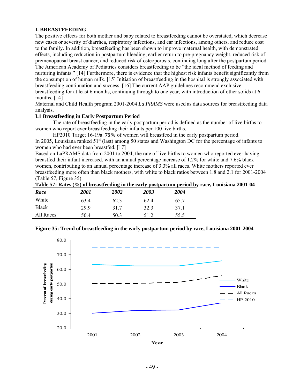#### **I. BREASTFEEDING**

The positive effects for both mother and baby related to breastfeeding cannot be overstated, which decrease new cases or severity of diarrhea, respiratory infections, and ear infections, among others, and reduce cost to the family. In addition, breastfeeding has been shown to improve maternal health, with demonstrated effects, including reduction in postpartum bleeding, earlier return to pre-pregnancy weight, reduced risk of premenopausal breast cancer, and reduced risk of osteoporosis, continuing long after the postpartum period. The American Academy of Pediatrics considers breastfeeding to be "the ideal method of feeding and nurturing infants." [14] Furthermore, there is evidence that the highest risk infants benefit significantly from the consumption of human milk. [15] Initiation of breastfeeding in the hospital is strongly associated with breastfeeding continuation and success. [16] The current AAP guidelines recommend exclusive breastfeeding for at least 6 months, continuing through to one year, with introduction of other solids at 6 months. [14]

Maternal and Child Health program 2001-2004 *La PRAMS* were used as data sources for breastfeeding data analysis*.* 

#### **I.1 Breastfeeding in Early Postpartum Period**

 The rate of breastfeeding in the early postpartum period is defined as the number of live births to women who report ever breastfeeding their infants per 100 live births.

HP2010 Target 16-19a. **75%** of women will breastfeed in the early postpartum period.

In 2005, Louisiana ranked 51<sup>st</sup> (last) among 50 states and Washington DC for the percentage of infants to women who had ever been breastfed. [17]

Based on LaPRAMS data from 2001 to 2004, the rate of live births to women who reported ever having breastfed their infant increased, with an annual percentage increase of 1.2% for white and 7.6% black women, contributing to an annual percentage increase of 3.3% all races. White mothers reported ever breastfeeding more often than black mothers, with white to black ratios between 1.8 and 2.1 for 2001-2004 (Table 57, Figure 35).

|  |  |  |  |  | Table 57: Rates (%) of breastfeeding in the early postpartum period by race, Louisiana 2001-04 |
|--|--|--|--|--|------------------------------------------------------------------------------------------------|
|--|--|--|--|--|------------------------------------------------------------------------------------------------|

| Race      | <i>2001</i> | 2002 | 2003 | 2004 |
|-----------|-------------|------|------|------|
| White     | 63.4        | 62.3 | 62.4 | 65.7 |
| Black     | 299         | 31.7 | 32.3 | 37.1 |
| All Races | 50.4        | 50.3 | 51.2 | 55.5 |

#### **Figure 35: Trend of breastfeeding in the early postpartum period by race, Louisiana 2001-2004**

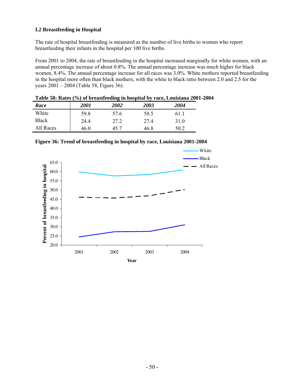# **I.2 Breastfeeding in Hospital**

The rate of hospital breastfeeding is measured as the number of live births to women who report breastfeeding their infants in the hospital per 100 live births.

From 2001 to 2004, the rate of breastfeeding in the hospital increased marginally for white women, with an annual percentage increase of about 0.8%. The annual percentage increase was much higher for black women, 8.4%. The annual percentage increase for all races was 3.0%. White mothers reported breastfeeding in the hospital more often than black mothers, with the white to black ratio between 2.0 and 2.5 for the years 2001 – 2004 (Table 58, Figure 36).

|  | Table 58: Rates (%) of breastfeeding in hospital by race, Louisiana 2001-2004 |
|--|-------------------------------------------------------------------------------|
|  |                                                                               |

| Race      | <i>2001</i> | 2002 | 2003 | 2004 |
|-----------|-------------|------|------|------|
| White     | 59.8        | 57.6 | 58.5 | 61.1 |
| Black     | 24.4        | 27.2 | 274  | 31.0 |
| All Races | 46.0        | 45.7 | 46.8 | 50.2 |



**Figure 36: Trend of breastfeeding in hospital by race, Louisiana 2001-2004**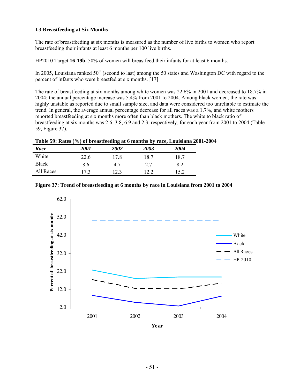# **I.3 Breastfeeding at Six Months**

The rate of breastfeeding at six months is measured as the number of live births to women who report breastfeeding their infants at least 6 months per 100 live births.

HP2010 Target **16-19b.** 50% of women will breastfeed their infants for at least 6 months.

In 2005, Louisiana ranked  $50<sup>th</sup>$  (second to last) among the 50 states and Washington DC with regard to the percent of infants who were breastfed at six months. [17]

The rate of breastfeeding at six months among white women was 22.6% in 2001 and decreased to 18.7% in 2004; the annual percentage increase was 5.4% from 2001 to 2004. Among black women, the rate was highly unstable as reported due to small sample size, and data were considered too unreliable to estimate the trend. In general, the average annual percentage decrease for all races was a 1.7%, and white mothers reported breastfeeding at six months more often than black mothers. The white to black ratio of breastfeeding at six months was 2.6, 3.8, 6.9 and 2.3, respectively, for each year from 2001 to 2004 (Table 59, Figure 37).

#### **Table 59: Rates (%) of breastfeeding at 6 months by race, Louisiana 2001-2004**

| Race      | <i>2001</i> | 2002 | 2003 | 2004 |
|-----------|-------------|------|------|------|
| White     | 22.6        | 17.8 | 18.7 | 18.7 |
| Black     | 8.6         | 4.7  | 2.7  | 8.2  |
| All Races | 17.3        | 12.3 | າ າ  | 15.2 |



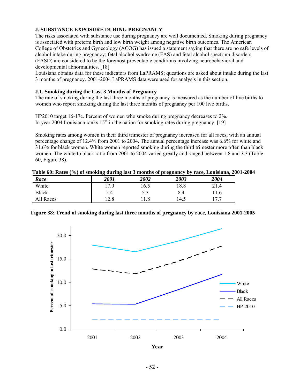# **J. SUBSTANCE EXPOSURE DURING PREGNANCY**

The risks associated with substance use during pregnancy are well documented. Smoking during pregnancy is associated with preterm birth and low birth weight among negative birth outcomes. The American College of Obstetrics and Gynecology (ACOG) has issued a statement saying that there are no safe levels of alcohol intake during pregnancy; fetal alcohol syndrome (FAS) and fetal alcohol spectrum disorders (FASD) are considered to be the foremost preventable conditions involving neurobehavioral and developmental abnormalities. [18]

Louisiana obtains data for these indicators from LaPRAMS; questions are asked about intake during the last 3 months of pregnancy. 2001-2004 LaPRAMS data were used for analysis in this section.

## **J.1. Smoking during the Last 3 Months of Pregnancy**

The rate of smoking during the last three months of pregnancy is measured as the number of live births to women who report smoking during the last three months of pregnancy per 100 live births.

HP2010 target 16-17c. Percent of women who smoke during pregnancy decreases to 2%. In year 2004 Louisiana ranks  $15<sup>th</sup>$  in the nation for smoking rates during pregnancy. [19]

Smoking rates among women in their third trimester of pregnancy increased for all races, with an annual percentage change of 12.4% from 2001 to 2004. The annual percentage increase was 6.6% for white and 31.6% for black women. White women reported smoking during the third trimester more often than black women. The white to black ratio from 2001 to 2004 varied greatly and ranged between 1.8 and 3.3 (Table 60, Figure 38).

| Race         | <i>2001</i> | 2002 | 2003 | 2004 |
|--------------|-------------|------|------|------|
| White        | 17.9        | 16.5 | 8.8  | 21.4 |
| <b>Black</b> | 5.4         | 5.3  | 8.4  | 11.6 |
| All Races    | 12.8        | .1.8 | 14.5 | 177  |



**Figure 38: Trend of smoking during last three months of pregnancy by race, Louisiana 2001-2005** 

**Year**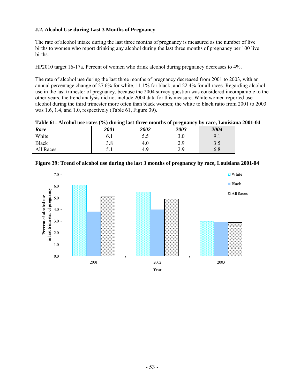## **J.2. Alcohol Use during Last 3 Months of Pregnancy**

The rate of alcohol intake during the last three months of pregnancy is measured as the number of live births to women who report drinking any alcohol during the last three months of pregnancy per 100 live births.

HP2010 target 16-17a. Percent of women who drink alcohol during pregnancy decreases to 4%.

The rate of alcohol use during the last three months of pregnancy decreased from 2001 to 2003, with an annual percentage change of 27.6% for white, 11.1% for black, and 22.4% for all races. Regarding alcohol use in the last trimester of pregnancy, because the 2004 survey question was considered incomparable to the other years, the trend analysis did not include 2004 data for this measure. White women reported use alcohol during the third trimester more often than black women; the white to black ratio from 2001 to 2003 was 1.6, 1.4, and 1.0, respectively (Table 61, Figure 39).

**Table 61: Alcohol use rates (%) during last three months of pregnancy by race, Louisiana 2001-04** 

| Race         | 2001 | 2002 | 2003 | 2004         |
|--------------|------|------|------|--------------|
| White        | 0. I | 5.5  | 3.0  | $Q^{\prime}$ |
| <b>Black</b> | 3.8  | 4.0  | 2.9  | 3.5          |
| All Races    | ◡.⊥  | 4.9  | 2.9  | $6.8\,$      |



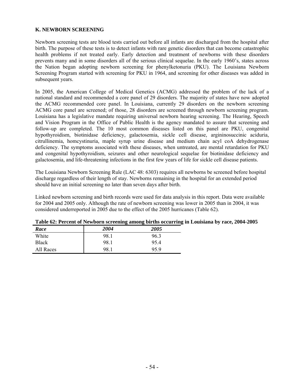## **K. NEWBORN SCREENING**

Newborn screening tests are blood tests carried out before all infants are discharged from the hospital after birth. The purpose of these tests is to detect infants with rare genetic disorders that can become catastrophic health problems if not treated early. Early detection and treatment of newborns with these disorders prevents many and in some disorders all of the serious clinical sequelae. In the early 1960's, states across the Nation began adopting newborn screening for phenylketonuria (PKU). The Louisiana Newborn Screening Program started with screening for PKU in 1964, and screening for other diseases was added in subsequent years.

In 2005, the American College of Medical Genetics (ACMG) addressed the problem of the lack of a national standard and recommended a core panel of 29 disorders. The majority of states have now adopted the ACMG recommended core panel. In Louisiana, currently 29 disorders on the newborn screening ACMG core panel are screened; of those, 28 disorders are screened through newborn screening program. Louisiana has a legislative mandate requiring universal newborn hearing screening. The Hearing, Speech and Vision Program in the Office of Public Health is the agency mandated to assure that screening and follow-up are completed. The 10 most common diseases listed on this panel are PKU, congenital hypothyroidism, biotinidase deficiency, galactosemia, sickle cell disease, argininosuccinic aciduria, citrullinemia, homcystinuria, maple syrup urine disease and medium chain acyl coA dehydrogenase deficiency. The symptoms associated with these diseases, when untreated, are mental retardation for PKU and congenital hypothyroidism, seizures and other neurological sequelae for biotinidase deficiency and galactosemia, and life-threatening infections in the first few years of life for sickle cell disease patients.

The Louisiana Newborn Screening Rule (LAC 48: 6303) requires all newborns be screened before hospital discharge regardless of their length of stay. Newborns remaining in the hospital for an extended period should have an initial screening no later than seven days after birth.

Linked newborn screening and birth records were used for data analysis in this report. Data were available for 2004 and 2005 only. Although the rate of newborn screening was lower in 2005 than in 2004, it was considered underreported in 2005 due to the effect of the 2005 hurricanes (Table 62).

| Race      | 2004 | <i><b>2005</b></i> |
|-----------|------|--------------------|
| White     | 98.1 | 96.3               |
| Black     | 98.1 | 954                |
| All Races | 98.1 | 95.9               |

| Table 62: Percent of Newborn screening among births occurring in Louisiana by race, 2004-2005 |  |  |  |  |  |  |  |  |
|-----------------------------------------------------------------------------------------------|--|--|--|--|--|--|--|--|
|-----------------------------------------------------------------------------------------------|--|--|--|--|--|--|--|--|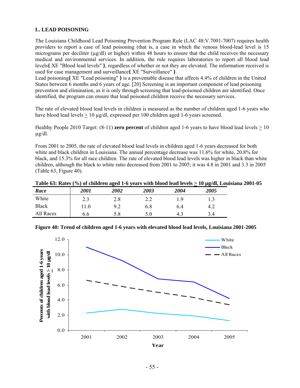# **L. LEAD POISONING**

The Louisiana Childhood Lead Poisoning Prevention Program Rule (LAC 48:V.7001-7007) requires health providers to report a case of lead poisoning (that is, a case in which the venous blood-lead level is 15 micrograms per deciliter ( $\mu$ g/dl) or higher) within 48 hours to ensure that the child receives the necessary medical and environmental services. In addition, the rule requires laboratories to report all blood lead levels**{** XE "Blood lead levels" **}**, regardless of whether or not they are elevated. The information received is used for case management and surveillance**{** XE "Surveillance" **}**.

Lead poisoning**{** XE "Lead poisoning" **}** is a preventable disease that affects 4.4% of children in the United States between 6 months and 6 years of age. [20] Screening is an important component of lead poisoning prevention and elimination, as it is only through screening that lead-poisoned children are identified. Once identified, the program can ensure that lead poisoned children receive the necessary services.

The rate of elevated blood lead levels in children is measured as the number of children aged 1-6 years who have blood lead levels  $> 10 \mu g/d$ , expressed per 100 children aged 1-6 years screened.

Healthy People 2010 Target: (8-11) **zero percent** of children aged 1-6 years to have blood lead levels > 10  $\mu$ g/dl.

From 2001 to 2005, the rate of elevated blood lead levels in children aged 1-6 years decreased for both white and black children in Louisiana. The annual percentage decrease was 11.6% for white, 20.8% for black, and 15.3% for all race children. The rate of elevated blood lead levels was higher in black than white children, although the black to white ratio decreased from 2001 to 2005; it was 4.8 in 2001 and 3.3 in 2005 (Table 63, Figure 40).

| Race         | 2001 | 2002 | 2003                            | 2004 | 2005 |
|--------------|------|------|---------------------------------|------|------|
| White        | 2.3  | 2.8  | $\overline{a}$ . $\overline{a}$ | 19)  |      |
| <b>Black</b> | 11.0 | 9.2  | 6.8                             | 6.4  | 4.2  |
| All Races    | 0.0  | 5.8  | 5.0                             | 4.3  | 3.4  |



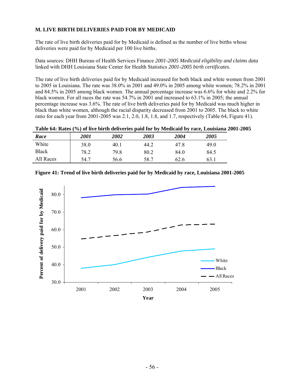# **M. LIVE BIRTH DELIVERIES PAID FOR BY MEDICAID**

The rate of live birth deliveries paid for by Medicaid is defined as the number of live births whose deliveries were paid for by Medicaid per 100 live births.

Data sources: DHH Bureau of Health Services Finance *2001-2005 Medicaid eligibility and claims data* linked with DHH Louisiana State Center for Health Statistics *2001-2005 birth certificates.*

The rate of live birth deliveries paid for by Medicaid increased for both black and white women from 2001 to 2005 in Louisiana. The rate was 38.0% in 2001 and 49.0% in 2005 among white women; 78.2% in 2001 and 84.5% in 2005 among black women. The annual percentage increase was 6.6% for white and 2.2% for black women. For all races the rate was 54.7% in 2001 and increased to 63.1% in 2005; the annual percentage increase was 3.6%. The rate of live birth deliveries paid for by Medicaid was much higher in black than white women, although the racial disparity decreased from 2001 to 2005. The black to white ratio for each year from 2001-2005 was 2.1, 2.0, 1.8, 1.8, and 1.7, respectively (Table 64, Figure 41).

| Table 64: Rates (%) of live birth deliveries paid for by Medicaid by race, Louisiana 2001-2005 |  |  |  |
|------------------------------------------------------------------------------------------------|--|--|--|

| Race         | <i>2001</i> | <i><b>2002</b></i> | 2003 | 2004 | 2005 |
|--------------|-------------|--------------------|------|------|------|
| White        | 38.0        | 40.1               | 44.2 | 47.8 | 49.0 |
| <b>Black</b> | 78.2        | 79.8               | 80.2 | 84.0 | 84.5 |
| All Races    | 54.7        | 56.6               | 58.7 | 62.6 | 63.1 |

|  |  | Figure 41: Trend of live birth deliveries paid for by Medicaid by race, Louisiana 2001-2005 |
|--|--|---------------------------------------------------------------------------------------------|
|  |  |                                                                                             |

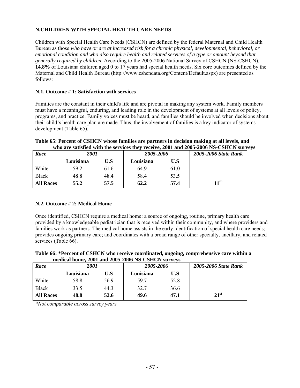# **N.CHILDREN WITH SPECIAL HEALTH CARE NEEDS**

Children with Special Health Care Needs (CSHCN) are defined by the federal Maternal and Child Health Bureau as those *who have or are at increased risk for a chronic physical, developmental, behavioral, or emotional condition and who also require health and related services of a type or amount beyond that generally required by children.* According to the 2005-2006 National Survey of CSHCN (NS-CSHCN), **14.8%** of Louisiana children aged 0 to 17 years had special health needs. Six core outcomes defined by the Maternal and Child Health Bureau (http://www.cshcndata.org/Content/Default.aspx) are presented as follows:

# **N.1. Outcome # 1: Satisfaction with services**

Families are the constant in their child's life and are pivotal in making any system work. Family members must have a meaningful, enduring, and leading role in the development of systems at all levels of policy, programs, and practice. Family voices must be heard, and families should be involved when decisions about their child's health care plan are made. Thus, the involvement of families is a key indicator of systems development (Table 65).

#### **Table 65: Percent of CSHCN whose families are partners in decision making at all levels, and who are satisfied with the services they receive, 2001 and 2005-2006 NS-CSHCN surveys**

| Race             | <i>2001</i> |      | 2005-2006 |      | 2005-2006 State Rank |
|------------------|-------------|------|-----------|------|----------------------|
|                  | Louisiana   | U.S  | Louisiana | U.S  |                      |
| White            | 59.2        | 61.6 | 64.9      | 61.0 |                      |
| <b>Black</b>     | 48.8        | 48.4 | 58.4      | 53.5 |                      |
| <b>All Races</b> | 55.2        | 57.5 | 62.2      | 57.4 | $11^{\text{th}}$     |

## **N.2. Outcome # 2: Medical Home**

Once identified, CSHCN require a medical home: a source of ongoing, routine, primary health care provided by a knowledgeable pediatrician that is received within their community, and where providers and families work as partners. The medical home assists in the early identification of special health care needs; provides ongoing primary care; and coordinates with a broad range of other specialty, ancillary, and related services (Table 66).

#### **Table 66: \*Percent of CSHCN who receive coordinated, ongoing, comprehensive care within a medical home, 2001 and 2005-2006 NS-CSHCN surveys**

| Race             | 2001      |      | 2005-2006 |      | 2005-2006 State Rank |
|------------------|-----------|------|-----------|------|----------------------|
|                  | Louisiana | U.S  | Louisiana | U.S  |                      |
| White            | 58.8      | 56.9 | 59.7      | 52.8 |                      |
| <b>Black</b>     | 33.5      | 44.3 | 32.7      | 36.6 |                      |
| <b>All Races</b> | 48.8      | 52.6 | 49.6      | 47.1 | $21^{\rm st}$        |

*\*Not comparable across survey years*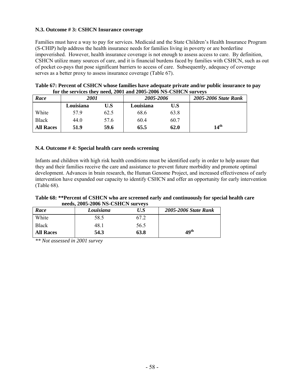## **N.3. Outcome # 3: CSHCN Insurance coverage**

Families must have a way to pay for services. Medicaid and the State Children's Health Insurance Program (S-CHIP) help address the health insurance needs for families living in poverty or are borderline impoverished. However, health insurance coverage is not enough to assess access to care. By definition, CSHCN utilize many sources of care, and it is financial burdens faced by families with CSHCN, such as out of pocket co-pays that pose significant barriers to access of care. Subsequently, adequacy of coverage serves as a better proxy to assess insurance coverage (Table 67).

| for the services they need, 2001 and 2005-2006 NS-CSHCN surveys |           |      |           |      |                      |  |  |  |
|-----------------------------------------------------------------|-----------|------|-----------|------|----------------------|--|--|--|
| Race                                                            | 2001      |      | 2005-2006 |      | 2005-2006 State Rank |  |  |  |
|                                                                 | Louisiana | U.S  | Louisiana | U.S  |                      |  |  |  |
| White                                                           | 579       | 62.5 | 68.6      | 63.8 |                      |  |  |  |
| <b>Black</b>                                                    | 44.0      | 57.6 | 60.4      | 60.7 |                      |  |  |  |
| <b>All Races</b>                                                | 51.9      | 59.6 | 65.5      | 62.0 | 14 <sup>th</sup>     |  |  |  |

| Table 67: Percent of CSHCN whose families have adequate private and/or public insurance to pay |
|------------------------------------------------------------------------------------------------|
| for the services they need, 2001 and 2005-2006 NS-CSHCN surveys                                |

#### **N.4. Outcome # 4: Special health care needs screening**

Infants and children with high risk health conditions must be identified early in order to help assure that they and their families receive the care and assistance to prevent future morbidity and promote optimal development. Advances in brain research, the Human Genome Project, and increased effectiveness of early intervention have expanded our capacity to identify CSHCN and offer an opportunity for early intervention (Table 68).

#### **Table 68: \*\*Percent of CSHCN who are screened early and continuously for special health care needs, 2005-2006 NS-CSHCN surveys**

| Race             | Louisiana | U.S  | 2005-2006 State Rank |
|------------------|-----------|------|----------------------|
| White            | 58.5      |      |                      |
| <b>Black</b>     | 48.1      | 56.5 |                      |
| <b>All Races</b> | 54.3      | 63.8 | 49 <sup>th</sup>     |

*\*\* Not assessed in 2001 survey*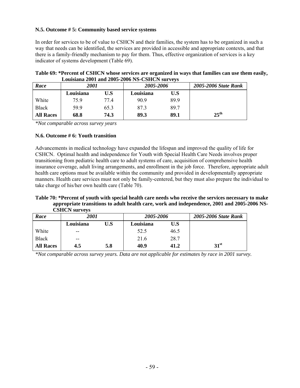## **N.5. Outcome # 5: Community based service systems**

In order for services to be of value to CSHCN and their families, the system has to be organized in such a way that needs can be identified, the services are provided in accessible and appropriate contexts, and that there is a family-friendly mechanism to pay for them. Thus, effective organization of services is a key indicator of systems development (Table 69).

|  |  |                                               |  | Table 69: *Percent of CSHCN whose services are organized in ways that families can use them easily, |
|--|--|-----------------------------------------------|--|-----------------------------------------------------------------------------------------------------|
|  |  | Louisiana 2001 and 2005-2006 NS-CSHCN surveys |  |                                                                                                     |

| Race             | 2001      |      | 2005-2006 |      | 2005-2006 State Rank |
|------------------|-----------|------|-----------|------|----------------------|
|                  | Louisiana | U.S  | Louisiana | U.S  |                      |
| White            | 75.9      | 77.4 | 90.9      | 89.9 |                      |
| <b>Black</b>     | 59.9      | 65.3 | 87.3      | 89.7 |                      |
| <b>All Races</b> | 68.8      | 74.3 | 89.3      | 89.1 | $25^{\text{th}}$     |
|                  |           |      |           |      |                      |

*\*Not comparable across survey years* 

#### **N.6. Outcome # 6: Youth transition**

Advancements in medical technology have expanded the lifespan and improved the quality of life for CSHCN. Optimal health and independence for Youth with Special Health Care Needs involves proper transitioning from pediatric health care to adult systems of care, acquisition of comprehensive health insurance coverage, adult living arrangements, and enrollment in the job force. Therefore, appropriate adult health care options must be available within the community and provided in developmentally appropriate manners. Health care services must not only be family-centered, but they must also prepare the individual to take charge of his/her own health care (Table 70).

#### **Table 70: \*Percent of youth with special health care needs who receive the services necessary to make appropriate transitions to adult health care, work and independence, 2001 and 2005-2006 NS-CSHCN surveys**

| Race             | 2001      |     | 2005-2006 |      | 2005-2006 State Rank |
|------------------|-----------|-----|-----------|------|----------------------|
|                  | Louisiana | U.S | Louisiana | U.S  |                      |
| White            | $- -$     |     | 52.5      | 46.5 |                      |
| <b>Black</b>     | $- -$     |     | 21.6      | 28.7 |                      |
| <b>All Races</b> | 4.5       | 5.8 | 40.9      | 41.2 | 31 <sup>st</sup>     |

*\*Not comparable across survey years. Data are not applicable for estimates by race in 2001 survey.*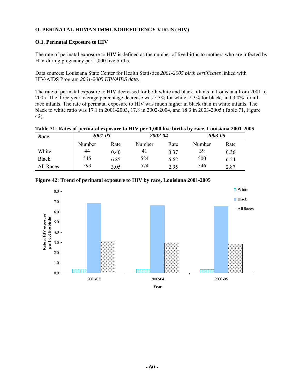# **O. PERINATAL HUMAN IMMUNODEFICIENCY VIRUS (HIV)**

## **O.1. Perinatal Exposure to HIV**

The rate of perinatal exposure to HIV is defined as the number of live births to mothers who are infected by HIV during pregnancy per 1,000 live births.

Data sources: Louisiana State Center for Health Statistics *2001-2005 birth certificates* linked with HIV/AIDS Program *2001-2005 HIV/AIDS data*.

The rate of perinatal exposure to HIV decreased for both white and black infants in Louisiana from 2001 to 2005. The three-year average percentage decrease was 5.3% for white, 2.3% for black, and 3.0% for allrace infants. The rate of perinatal exposure to HIV was much higher in black than in white infants. The black to white ratio was 17.1 in 2001-2003, 17.8 in 2002-2004, and 18.3 in 2003-2005 (Table 71, Figure 42).

|  | Table 71: Rates of perinatal exposure to HIV per 1,000 live births by race, Louisiana 2001-2005 |  |  |
|--|-------------------------------------------------------------------------------------------------|--|--|
|  |                                                                                                 |  |  |

| Race         | 2001-03 |      |        | 2002-04 |        | 2003-05 |  |
|--------------|---------|------|--------|---------|--------|---------|--|
|              | Number  | Rate | Number | Rate    | Number | Rate    |  |
| White        | 44      | 0.40 | 41     | 0.37    | 39     | 0.36    |  |
| <b>Black</b> | 545     | 6.85 | 524    | 6.62    | 500    | 6.54    |  |
| All Races    | 593     | 3.05 | 574    | 2.95    | 546    | 2.87    |  |



#### **Figure 42: Trend of perinatal exposure to HIV by race, Louisiana 2001-2005**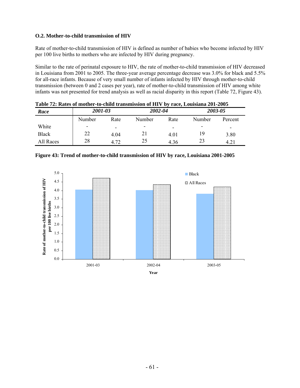## **O.2. Mother-to-child transmission of HIV**

Rate of mother-to-child transmission of HIV is defined as number of babies who become infected by HIV per 100 live births to mothers who are infected by HIV during pregnancy.

Similar to the rate of perinatal exposure to HIV, the rate of mother-to-child transmission of HIV decreased in Louisiana from 2001 to 2005. The three-year average percentage decrease was 3.0% for black and 5.5% for all-race infants. Because of very small number of infants infected by HIV through mother-to-child transmission (between 0 and 2 cases per year), rate of mother-to-child transmission of HIV among white infants was not presented for trend analysis as well as racial disparity in this report (Table 72, Figure 43).

| Table 72. Kates of mother-to-elling transmission of HIT by Face, Louisiana 201-2005 |         |                          |         |      |         |         |  |  |
|-------------------------------------------------------------------------------------|---------|--------------------------|---------|------|---------|---------|--|--|
| Race                                                                                | 2001-03 |                          | 2002-04 |      | 2003-05 |         |  |  |
|                                                                                     | Number  | Rate                     | Number  | Rate | Number  | Percent |  |  |
| White                                                                               | ٠       | $\overline{\phantom{0}}$ | -       | -    | ۰       | -       |  |  |
| <b>Black</b>                                                                        | 22      | 4 0 4                    |         | 4.01 | 19      | 3.80    |  |  |
| All Races                                                                           | 28      | 4.72                     | 25      | 4.36 | 23      | 4.21    |  |  |

**Table 72: Rates of mother-to-child transmission of HIV by race, Louisiana 201-2005** 



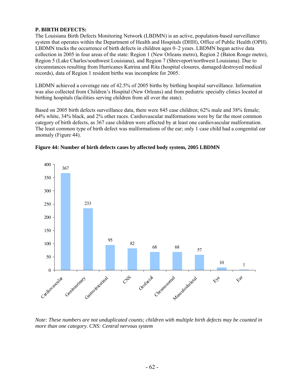# **P. BIRTH DEFECTS:**

The Louisiana Birth Defects Monitoring Network (LBDMN) is an active, population-based surveillance system that operates within the Department of Health and Hospitals (DHH), Office of Public Health (OPH). LBDMN tracks the occurrence of birth defects in children ages 0–2 years. LBDMN began active data collection in 2005 in four areas of the state: Region 1 (New Orleans metro), Region 2 (Baton Rouge metro), Region 5 (Lake Charles/southwest Louisiana), and Region 7 (Shreveport/northwest Louisiana). Due to circumstances resulting from Hurricanes Katrina and Rita (hospital closures, damaged/destroyed medical records), data of Region 1 resident births was incomplete for 2005.

LBDMN achieved a coverage rate of 42.5% of 2005 births by birthing hospital surveillance. Information was also collected from Children's Hospital (New Orleans) and from pediatric specialty clinics located at birthing hospitals (facilities serving children from all over the state).

Based on 2005 birth defects surveillance data, there were 845 case children; 62% male and 38% female; 64% white, 34% black, and 2% other races. Cardiovascular malformations were by far the most common category of birth defects, as 367 case children were affected by at least one cardiovascular malformation. The least common type of birth defect was malformations of the ear; only 1 case child had a congenital ear anomaly (Figure 44).





*Note: These numbers are not unduplicated counts; children with multiple birth defects may be counted in more than one category. CNS: Central nervous system*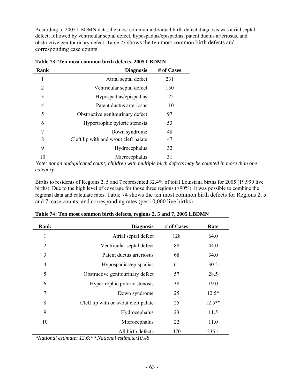According to 2005 LBDMN data, the most common individual birth defect diagnosis was atrial septal defect, followed by ventricular septal defect, hypospadias/epispadias, patent ductus arteriosus, and obstructive genitourinary defect. Table 73 shows the ten most common birth defects and corresponding case counts.

| Rank | <b>Diagnosis</b>                      | # of Cases |  |  |  |
|------|---------------------------------------|------------|--|--|--|
| 1    | Atrial septal defect                  | 231        |  |  |  |
| 2    | Ventricular septal defect             | 150        |  |  |  |
| 3    | Hypospadias/epispadias                | 122        |  |  |  |
| 4    | Patent ductus arteriosus              | 110        |  |  |  |
| 5    | Obstructive genitourinary defect      | 97         |  |  |  |
| 6    | Hypertrophic pyloric stenosis         | 53         |  |  |  |
| 7    | Down syndrome                         | 48         |  |  |  |
| 8    | Cleft lip with and w/out cleft palate | 47         |  |  |  |
| 9    | Hydrocephalus                         | 32         |  |  |  |
| 10   | Microcephalus                         | 31         |  |  |  |

**Table 73: Ten most common birth defects, 2005 LBDMN** 

*Note: not an unduplicated count; children with multiple birth defects may be counted in more than one category.*

Births to residents of Regions 2, 5 and 7 represented 32.4% of total Louisiana births for 2005 (19,990 live births). Due to the high level of coverage for those three regions (>90%), it was possible to combine the regional data and calculate rates. Table 74 shows the ten most common birth defects for Regions 2, 5 and 7, case counts, and corresponding rates (per 10,000 live births)

| Rank           | <b>Diagnosis</b>                     | # of Cases | Rate     |
|----------------|--------------------------------------|------------|----------|
| 1              | Atrial septal defect                 | 128        | 64.0     |
| $\overline{2}$ | Ventricular septal defect            | 88         | 44.0     |
| 3              | Patent ductus arteriosus             | 68         | 34.0     |
| $\overline{4}$ | Hypospadias/epispadias               | 61         | 30.5     |
| 5              | Obstructive genitourinary defect     | 57         | 28.5     |
| 6              | Hypertrophic pyloric stenosis        | 38         | 19.0     |
| 7              | Down syndrome                        | 25         | $12.5*$  |
| 8              | Cleft lip with or w/out cleft palate | 25         | $12.5**$ |
| 9              | Hydrocephalus                        | 23         | 11.5     |
| 10             | Microcephalus                        | 22         | 11.0     |
|                | All birth defects                    | 470        | 235.1    |

*\*National estimate: 13.6;\*\* National estimate:10.48*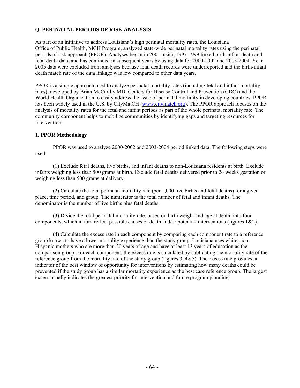# **Q. PERINATAL PERIODS OF RISK ANALYSIS**

As part of an initiative to address Louisiana's high perinatal mortality rates, the Louisiana Office of Public Health, MCH Program, analyzed state-wide perinatal mortality rates using the perinatal periods of risk approach (PPOR). Analyses began in 2001, using 1997-1999 linked birth-infant death and fetal death data, and has continued in subsequent years by using data for 2000-2002 and 2003-2004. Year 2005 data were excluded from analyses because fetal death records were underreported and the birth-infant death match rate of the data linkage was low compared to other data years.

PPOR is a simple approach used to analyze perinatal mortality rates (including fetal and infant mortality rates), developed by Brian McCarthy MD, Centers for Disease Control and Prevention (CDC) and the World Health Organization to easily address the issue of perinatal mortality in developing countries. PPOR has been widely used in the U.S. by CityMatCH (www.citymatch.org). The PPOR approach focuses on the analysis of mortality rates for the fetal and infant periods as part of the whole perinatal mortality rate. The community component helps to mobilize communities by identifying gaps and targeting resources for intervention.

# **1. PPOR Methodology**

 PPOR was used to analyze 2000-2002 and 2003-2004 period linked data. The following steps were used:

 (1) Exclude fetal deaths, live births, and infant deaths to non-Louisiana residents at birth. Exclude infants weighing less than 500 grams at birth. Exclude fetal deaths delivered prior to 24 weeks gestation or weighing less than 500 grams at delivery.

(2) Calculate the total perinatal mortality rate (per 1,000 live births and fetal deaths) for a given place, time period, and group. The numerator is the total number of fetal and infant deaths. The denominator is the number of live births plus fetal deaths.

 (3) Divide the total perinatal mortality rate, based on birth weight and age at death, into four components, which in turn reflect possible causes of death and/or potential interventions (figures 1&2).

 (4) Calculate the excess rate in each component by comparing each component rate to a reference group known to have a lower mortality experience than the study group. Louisiana uses white, non-Hispanic mothers who are more than 20 years of age and have at least 13 years of education as the comparison group. For each component, the excess rate is calculated by subtracting the mortality rate of the reference group from the mortality rate of the study group (figures  $3, 485$ ). The excess rate provides an indicator of the best window of opportunity for interventions by estimating how many deaths could be prevented if the study group has a similar mortality experience as the best case reference group. The largest excess usually indicates the greatest priority for intervention and future program planning.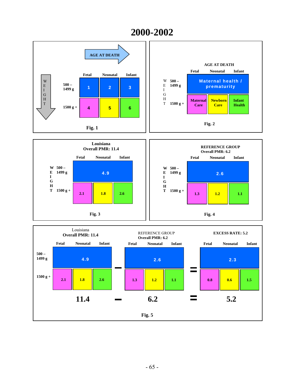# **2000-2002**



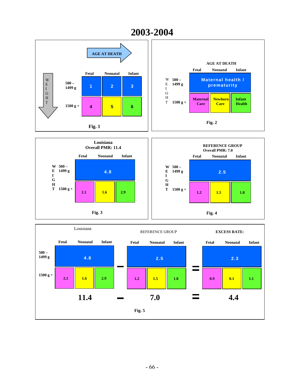



1.2 **1.5 1.8** 

**2.1**  $\begin{array}{|c|c|c|} \hline \textbf{1.6} & \textbf{2.9} \end{array}$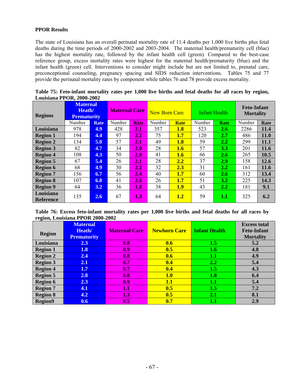# **PPOR Results**

The state of Louisiana has an overall perinatal mortality rate of 11.4 deaths per 1,000 live births plus fetal deaths during the time periods of 2000-2002 and 2003-2004. The maternal health/prematurity cell (blue) has the highest mortality rate, followed by the infant health cell (green). Compared to the best-case reference group, excess mortality rates were highest for the maternal health/prematurity (blue) and the infant health (green) cell. Interventions to consider might include but are not limited to, prenatal care, preconceptional counseling, pregnancy spacing and SIDS reduction interventions. Tables 75 and 77 provide the perinatal mortality rates by component while tables 76 and 78 provide excess mortality.

| Louisiana I I Ок, 2000-2002   |                                                 |      |                      |               |                      |             |                      |               |                                        |             |
|-------------------------------|-------------------------------------------------|------|----------------------|---------------|----------------------|-------------|----------------------|---------------|----------------------------------------|-------------|
| <b>Regions</b>                | <b>Maternal</b><br>Heath/<br><b>Prematurity</b> |      | <b>Maternal Care</b> |               | <b>New Born Care</b> |             | <b>Infant Health</b> |               | <b>Feto-Infant</b><br><b>Mortality</b> |             |
|                               | Number                                          | Rate | Number               | Rate          | Number               | <b>Rate</b> | Number               | Rate          | Number                                 | Rate        |
| Louisiana                     | 978                                             | 4.9  | 428                  | $2.1\,$       | 357                  | <b>1.8</b>  | 523                  | <b>2.6</b>    | 2286                                   | 11.4        |
| <b>Region 1</b>               | 194                                             | 4.4  | 97                   | $2.2^{\circ}$ | 75                   | 1.7         | 120                  | <b>2.7</b>    | 486                                    | <b>11.0</b> |
| <b>Region 2</b>               | 134                                             | 5.0  | 57                   | 2.1           | 49                   | 1.8         | 59                   | 2.2           | 299                                    | 11.1        |
| <b>Region 3</b>               | 82                                              | 4.7  | 34                   | 2.0           | 28                   | 1.6         | 57                   | 3.3           | 201                                    | 11.6        |
| <b>Region 4</b>               | 108                                             | 4.3  | 50                   | 2.0           | 41                   | 1.6         | 66                   | <b>2.6</b>    | 265                                    | 10.5        |
| <b>Region 5</b>               | 67                                              | 5.4  | 26                   | 2.1           | 28                   | 2.2         | 37                   | <b>2.9</b>    | 158                                    | 12.6        |
| <b>Region 6</b>               | 68                                              | 4.9  | 30                   | $2.2^{\circ}$ | 32                   | 2.3         | 31                   | 2.2           | 161                                    | <b>11.6</b> |
| <b>Region 7</b>               | 156                                             | 6.7  | 56                   | 2.4           | 40                   | 1.7         | 60                   | <b>2.6</b>    | 312                                    | 13.4        |
| <b>Region 8</b>               | 107                                             | 6.8  | 41                   | 2.6           | 26                   | 1.7         | 51                   | 3.2           | 225                                    | 14.3        |
| <b>Region 9</b>               | 64                                              | 3.2  | 36                   | 1.8           | 38                   | 1.9         | 43                   | $2.2^{\circ}$ | 181                                    | 9.1         |
| Louisiana<br><b>Reference</b> | 135                                             | 2.6  | 67                   | 1.3           | 64                   | 1.2         | 59                   | <b>1.1</b>    | 325                                    | 6.2         |

**Table 75: Feto-infant mortality rates per 1,000 live births and fetal deaths for all races by region, Louisiana PPOR, 2000-2002** 

**Table 76: Excess feto-infant mortality rates per 1,000 live births and fetal deaths for all races by region, Louisiana PPOR 2000-2002** 

| $\mathbf{\Xi}$<br>$\overline{\phantom{a}}$<br><b>Region</b> | <b>Maternal</b><br>Heath/<br><b>Prematurity</b> | <b>Maternal Care</b> | <b>Newborn Care</b> | <b>Infant Health</b> | <b>Excess total</b><br><b>Feto-Infant</b><br><b>Mortality</b> |
|-------------------------------------------------------------|-------------------------------------------------|----------------------|---------------------|----------------------|---------------------------------------------------------------|
| Louisiana                                                   | 2.3                                             | 0.8                  | 0.6                 | 1.5                  | 5.2                                                           |
| <b>Region 1</b>                                             | 1.8                                             | 0.9                  | 0.5                 | 1.6                  | 4.8                                                           |
| <b>Region 2</b>                                             | 2.4                                             | 0.8                  | 0.6                 | $1.1\,$              | 4.9                                                           |
| <b>Region 3</b>                                             | 2.1                                             | 0.7                  | 0.4                 | 2.2                  | 5.4                                                           |
| <b>Region 4</b>                                             | 1.7                                             | 0.7                  | 0.4                 | 1.5                  | 4.3                                                           |
| <b>Region 5</b>                                             | 2.8                                             | 0.8                  | 1.0                 | 1.8                  | 6.4                                                           |
| <b>Region 6</b>                                             | 2.3                                             | 0.9                  | 1.1                 | 1.1                  | 5.4                                                           |
| <b>Region 7</b>                                             | 4.1                                             | 1.1                  | 0.5                 | 1.5                  | 7.2                                                           |
| <b>Region 8</b>                                             | 4.2                                             | 1.3                  | 0.5                 | <b>2.1</b>           | 8.1                                                           |
| <b>Region9</b>                                              | 0.6                                             | 0.5                  | 0.7                 | 1.1                  | 2.9                                                           |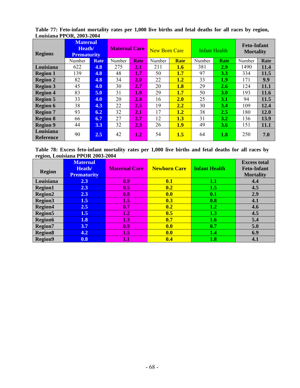**Table 77: Feto-infant mortality rates per 1,000 live births and fetal deaths for all races by region, Louisiana PPOR, 2003-2004** 

| <b>Regions</b>                | <b>Maternal</b><br>Heath/<br><b>Prematurity</b> |               | <b>Maternal Care</b> |             | <b>New Born Care</b> |             | <b>Infant Health</b> |             | <b>Feto-Infant</b><br><b>Mortality</b> |      |
|-------------------------------|-------------------------------------------------|---------------|----------------------|-------------|----------------------|-------------|----------------------|-------------|----------------------------------------|------|
|                               | Number                                          | <b>Rate</b>   | Number               | <b>Rate</b> | Number               | <b>Rate</b> | Number               | <b>Rate</b> | Number                                 | Rate |
| Louisiana                     | 622                                             | 4.8           | 275                  | $\bf 2.1$   | 211                  | <b>1.6</b>  | 381                  | 2.9         | 1490                                   | 11.4 |
| <b>Region 1</b>               | 139                                             | 4.8           | 48                   | 1.7         | 50                   | 1.7         | 97                   | <b>3.3</b>  | 334                                    | 11.5 |
| <b>Region 2</b>               | 82                                              | 4.8           | 34                   | 2.0         | 22                   | 1.2         | 33                   | 1.9         | 171                                    | 9.9  |
| <b>Region 3</b>               | 45                                              | 4.0           | 30                   | 2.7         | 20                   | 1.8         | 29                   | <b>2.6</b>  | 124                                    | 11.1 |
| <b>Region 4</b>               | 83                                              | 5.0           | 31                   | 1.9         | 29                   | 1.7         | 50                   | <b>3.0</b>  | 193                                    | 11.6 |
| <b>Region 5</b>               | 33                                              | 4.0           | 20                   | 2.4         | 16                   | 2.0         | 25                   | 3.1         | 94                                     | 11.5 |
| <b>Region 6</b>               | 38                                              | 4.3           | 22                   | $2.5\,$     | 19                   | 2.2         | 30                   | 3.4         | 109                                    | 12.4 |
| <b>Region 7</b>               | 93                                              | 6.2           | 32                   | 2.1         | 17                   | 1.2         | 38                   | <b>2.5</b>  | 180                                    | 12.0 |
| <b>Region 8</b>               | 66                                              | 6.7           | 27                   | $2.7\,$     | 12                   | 1.3         | 31                   | 3.2         | 136                                    | 13.9 |
| <b>Region 9</b>               | 44                                              | 3.3           | 32                   | 2.3         | 26                   | 1.9         | 49                   | <b>3.6</b>  | 151                                    | 11.1 |
| Louisiana<br><b>Reference</b> | 90                                              | $2.5^{\circ}$ | 42                   | 1.2         | 54                   | 1.5         | 64                   | 1.8         | 250                                    | 7.0  |

**Table 78: Excess feto-infant mortality rates per 1,000 live births and fetal deaths for all races by region, Louisiana PPOR 2003-2004** 

| <b>Region</b>  | <b>Maternal</b><br>Heath/<br><b>Prematurity</b> | <b>Maternal Care</b> | <b>Newborn Care</b> | <b>Infant Health</b> | <b>Excess total</b><br><b>Feto-Infant</b><br><b>Mortality</b> |
|----------------|-------------------------------------------------|----------------------|---------------------|----------------------|---------------------------------------------------------------|
| Louisiana      | 2.3                                             | 0.9                  | 0.1                 | 1.1                  | 4.4                                                           |
| <b>Region1</b> | 2.3                                             | 0.5                  | 0.2                 | 1.5                  | 4.5                                                           |
| <b>Region2</b> | 2.3                                             | 0.8                  | 0.0                 | 0.1                  | 2.9                                                           |
| <b>Region3</b> | 1.5                                             | 1.5                  | 0.3                 | 0.8                  | 4.1                                                           |
| <b>Region4</b> | 2.5                                             | 0.7                  | 0.2                 | 1.2                  | 4.6                                                           |
| <b>Region5</b> | 1.5                                             | 1.2                  | 0.5                 | 1.3                  | 4.5                                                           |
| <b>Region6</b> | 1.8                                             | 1.3                  | 0.7                 | 1.6                  | 5.4                                                           |
| <b>Region7</b> | 3.7                                             | 0.9                  | 0.0                 | 0.7                  | 5.0                                                           |
| <b>Region8</b> | 4.2                                             | 1.5                  | 0.0                 | 1.4                  | 6.9                                                           |
| <b>Region9</b> | 0.8                                             | $\bf 1.1$            | 0.4                 | 1.8                  | 4.1                                                           |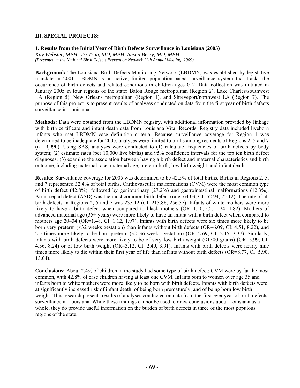#### **III. SPECIAL PROJECTS:**

**1. Results from the Initial Year of Birth Defects Surveillance in Louisiana (2005)** 

*Kay Webster, MPH; Tri Tran, MD, MPH; Susan Berry, MD, MPH (Presented at the National Birth Defects Prevention Network 12th Annual Meeting, 2009)* 

**Background:** The Louisiana Birth Defects Monitoring Network (LBDMN) was established by legislative mandate in 2001. LBDMN is an active, limited population-based surveillance system that tracks the occurrence of birth defects and related conditions in children ages 0–2. Data collection was initiated in January 2005 in four regions of the state: Baton Rouge metropolitan (Region 2), Lake Charles/southwest LA (Region 5), New Orleans metropolitan (Region 1), and Shreveport/northwest LA (Region 7). The purpose of this project is to present results of analyses conducted on data from the first year of birth defects surveillance in Louisiana.

**Methods:** Data were obtained from the LBDMN registry, with additional information provided by linkage with birth certificate and infant death data from Louisiana Vital Records. Registry data included liveborn infants who met LBDMN case definition criteria. Because surveillance coverage for Region 1 was determined to be inadequate for 2005, analyses were limited to births among residents of Regions 2, 5 and 7 (n=19,990). Using SAS, analyses were conducted to (1) calculate frequencies of birth defects by body system; (2) estimate rates (per 10,000 live births) and 95% confidence intervals for the top ten birth defect diagnoses; (3) examine the association between having a birth defect and maternal characteristics and birth outcome, including maternal race, maternal age, preterm birth, low birth weight, and infant death.

**Results:** Surveillance coverage for 2005 was determined to be 42.5% of total births. Births in Regions 2, 5, and 7 represented 32.4% of total births. Cardiovascular malformations (CVM) were the most common type of birth defect (42.8%), followed by genitourinary (27.2%) and gastrointestinal malformations (12.3%). Atrial septal defect (ASD) was the most common birth defect (rate=64.03, CI: 52.94, 75.12). The rate of all birth defects in Regions 2, 5 and 7 was 235.12 (CI: 213.86, 256.37). Infants of white mothers were more likely to have a birth defect when compared to black mothers (OR=1.50, CI: 1.24, 1.82). Mothers of advanced maternal age (35+ years) were more likely to have an infant with a birth defect when compared to mothers age 20–34 (OR=1.48, CI: 1.12, 1.97). Infants with birth defects were six times more likely to be born very preterm (<32 weeks gestation) than infants without birth defects (OR=6.09, CI: 4.51, 8.22), and 2.5 times more likely to be born preterm (32–36 weeks gestation) (OR=2.69, CI: 2.15, 3.37). Similarly, infants with birth defects were more likely to be of very low birth weight (<1500 grams) (OR=5.99, CI: 4.36, 8.24) or of low birth weight (OR=3.12, CI: 2.49, 3.91). Infants with birth defects were nearly nine times more likely to die within their first year of life than infants without birth defects (OR=8.77, CI: 5.90, 13.04).

**Conclusions:** About 2.4% of children in the study had some type of birth defect; CVM were by far the most common, with 42.8% of case children having at least one CVM. Infants born to women over age 35 and infants born to white mothers were more likely to be born with birth defects. Infants with birth defects were at significantly increased risk of infant death, of being born prematurely, and of being born low birth weight. This research presents results of analyses conducted on data from the first-ever year of birth defects surveillance in Louisiana. While these findings cannot be used to draw conclusions about Louisiana as a whole, they do provide useful information on the burden of birth defects in three of the most populous regions of the state.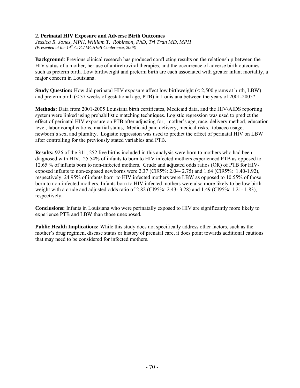## **2. Perinatal HIV Exposure and Adverse Birth Outcomes**

*Jessica R. Jones, MPH, William T. Robinson, PhD, Tri Tran MD, MPH (Presented at the 14th CDC/ MCHEPI Conference*, *2008)* 

**Background**: Previous clinical research has produced conflicting results on the relationship between the HIV status of a mother, her use of antiretroviral therapies, and the occurrence of adverse birth outcomes such as preterm birth. Low birthweight and preterm birth are each associated with greater infant mortality, a major concern in Louisiana.

**Study Question:** How did perinatal HIV exposure affect low birthweight (< 2,500 grams at birth, LBW) and preterm birth (< 37 weeks of gestational age, PTB) in Louisiana between the years of 2001-2005?

**Methods:** Data from 2001-2005 Louisiana birth certificates, Medicaid data, and the HIV/AIDS reporting system were linked using probabilistic matching techniques. Logistic regression was used to predict the effect of perinatal HIV exposure on PTB after adjusting for; mother's age, race, delivery method, education level, labor complications, martial status, Medicaid paid delivery, medical risks, tobacco usage, newborn's sex, and plurality. Logistic regression was used to predict the effect of perinatal HIV on LBW after controlling for the previously stated variables and PTB.

**Results:** 926 of the 311, 252 live births included in this analysis were born to mothers who had been diagnosed with HIV. 25.54% of infants to born to HIV infected mothers experienced PTB as opposed to 12.65 % of infants born to non-infected mothers. Crude and adjusted odds ratios (OR) of PTB for HIVexposed infants to non-exposed newborns were 2.37 (CI95%: 2.04- 2.75) and 1.64 (CI95%: 1.40-1.92), respectively. 24.95% of infants born to HIV infected mothers were LBW as opposed to 10.55% of those born to non-infected mothers. Infants born to HIV infected mothers were also more likely to be low birth weight with a crude and adjusted odds ratio of 2.82 (CI95%: 2.43- 3.28) and 1.49 (CI95%: 1.21- 1.83), respectively.

**Conclusions:** Infants in Louisiana who were perinatally exposed to HIV are significantly more likely to experience PTB and LBW than those unexposed.

**Public Health Implications:** While this study does not specifically address other factors, such as the mother's drug regimen, disease status or history of prenatal care, it does point towards additional cautions that may need to be considered for infected mothers.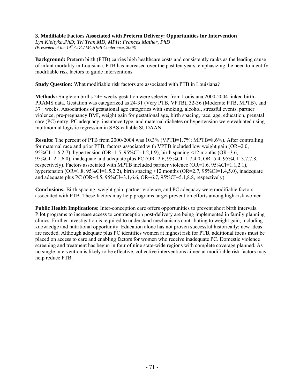### **3. Modifiable Factors Associated with Preterm Delivery: Opportunities for Intervention**

*Lyn Kieltyka,PhD; Tri Tran,MD, MPH; Frances Mather, PhD (Presented at the 14th CDC/ MCHEPI Conference*, *2008)* 

**Background:** Preterm birth (PTB) carries high healthcare costs and consistently ranks as the leading cause of infant mortality in Louisiana. PTB has increased over the past ten years, emphasizing the need to identify modifiable risk factors to guide interventions.

**Study Question:** What modifiable risk factors are associated with PTB in Louisiana?

**Methods:** Singleton births 24+ weeks gestation were selected from Louisiana 2000-2004 linked birth-PRAMS data. Gestation was categorized as 24-31 (Very PTB, VPTB), 32-36 (Moderate PTB, MPTB), and 37+ weeks. Associations of gestational age categories with smoking, alcohol, stressful events, partner violence, pre-pregnancy BMI, weight gain for gestational age, birth spacing, race, age, education, prenatal care (PC) entry, PC adequacy, insurance type, and maternal diabetes or hypertension were evaluated using multinomial logistic regression in SAS-callable SUDAAN.

**Results:** The percent of PTB from 2000-2004 was 10.3% (VPTB=1.7%; MPTB=8.6%). After controlling for maternal race and prior PTB, factors associated with VPTB included low weight gain  $(OR=2.0,$ 95%CI=1.6,2.7), hypertension (OR=1.5, 95%CI=1.2,1.9), birth spacing <12 months (OR=3.6, 95%CI=2.1,6.0), inadequate and adequate plus PC (OR=2.6, 95%CI=1.7,4.0, OR=5.4, 95%CI=3.7,7.8, respectively). Factors associated with MPTB included partner violence  $(OR=1.6, 95\%CI=1.1, 2.1)$ , hypertension (OR=1.8, 95%CI=1.5,2.2), birth spacing <12 months (OR=2.7, 95%CI=1.4,5.0), inadequate and adequate plus PC (OR=4.5,  $95\%$ CI=3.1, 6.6, OR=6.7,  $95\%$ CI=5.1, 8.8, respectively).

**Conclusions:** Birth spacing, weight gain, partner violence, and PC adequacy were modifiable factors associated with PTB. These factors may help programs target prevention efforts among high-risk women.

**Public Health Implications:** Inter-conception care offers opportunities to prevent short birth intervals. Pilot programs to increase access to contraception post-delivery are being implemented in family planning clinics. Further investigation is required to understand mechanisms contributing to weight gain, including knowledge and nutritional opportunity. Education alone has not proven successful historically; new ideas are needed. Although adequate plus PC identifies women at highest risk for PTB, additional focus must be placed on access to care and enabling factors for women who receive inadequate PC. Domestic violence screening and treatment has begun in four of nine state-wide regions with complete coverage planned. As no single intervention is likely to be effective, collective interventions aimed at modifiable risk factors may help reduce PTB.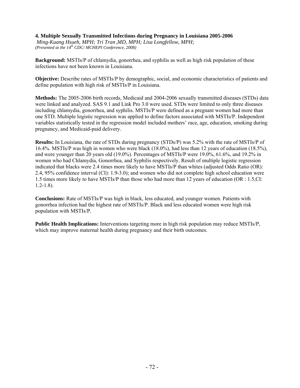### **4. Multiple Sexually Transmitted Infections during Pregnancy in Louisiana 2005-2006**

*Ming-Kuang Hsueh, MPH; Tri Tran ,MD, MPH; Lisa Longfellow, MPH; (Presented at the 14th CDC/ MCHEPI Conference*, *2008)*

**Background:** MSTIs/P of chlamydia, gonorrhea, and syphilis as well as high risk population of these infections have not been known in Louisiana.

**Objective:** Describe rates of MSTIs/P by demographic, social, and economic characteristics of patients and define population with high risk of MSTIs/P in Louisiana.

**Methods:** The 2005-2006 birth records, Medicaid and 2004-2006 sexually transmitted diseases (STDs) data were linked and analyzed. SAS 9.1 and Link Pro 3.0 were used. STDs were limited to only three diseases including chlamydia, gonorrhea, and syphilis. MSTIs/P were defined as a pregnant women had more than one STD. Multiple logistic regression was applied to define factors associated with MSTIs/P. Independent variables statistically tested in the regression model included mothers' race, age, education, smoking during pregnancy, and Medicaid-paid delivery.

**Results:** In Louisiana, the rate of STDs during pregnancy (STDs/P) was 5.2% with the rate of MSTIs/P of 16.4%. MSTIs/P was high in women who were black (18.0%), had less than 12 years of education (18.5%), and were younger than 20 years old (19.0%). Percentages of MSTIs/P were 19.0%, 61.6%, and 19.2% in women who had Chlamydia, Gonorrhea, and Syphilis respectively. Result of multiple logistic regression indicated that blacks were 2.4 times more likely to have MSTIs/P than whites (adjusted Odds Ratio (OR): 2.4, 95% confidence interval (CI): 1.9-3.0); and women who did not complete high school education were 1.5 times more likely to have MSTIs/P than those who had more than 12 years of education (OR : 1.5,CI: 1.2-1.8).

**Conclusions:** Rate of MSTIs/P was high in black, less educated, and younger women. Patients with gonorrhea infection had the highest rate of MSTIs/P. Black and less educated women were high risk population with MSTIs/P.

**Public Health Implications:** Interventions targeting more in high risk population may reduce MSTIs/P, which may improve maternal health during pregnancy and their birth outcomes.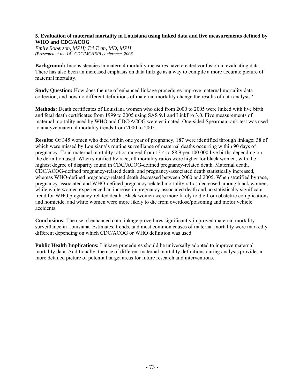## **5. Evaluation of maternal mortality in Louisiana using linked data and five measurements defined by WHO and CDC/ACOG**

*Emily Roberson, MPH; Tri Tran, MD, MPH (Presented at the 14th CDC/MCHEPI conference, 2008*

**Background:** Inconsistencies in maternal mortality measures have created confusion in evaluating data. There has also been an increased emphasis on data linkage as a way to compile a more accurate picture of maternal mortality.

**Study Question:** How does the use of enhanced linkage procedures improve maternal mortality data collection, and how do different definitions of maternal mortality change the results of data analysis?

**Methods:** Death certificates of Louisiana women who died from 2000 to 2005 were linked with live birth and fetal death certificates from 1999 to 2005 using SAS 9.1 and LinkPro 3.0. Five measurements of maternal mortality used by WHO and CDC/ACOG were estimated. One-sided Spearman rank test was used to analyze maternal mortality trends from 2000 to 2005.

**Results:** Of 345 women who died within one year of pregnancy, 187 were identified through linkage; 38 of which were missed by Louisiana's routine surveillance of maternal deaths occurring within 90 days of pregnancy. Total maternal mortality ratios ranged from 13.4 to 88.9 per 100,000 live births depending on the definition used. When stratified by race, all mortality ratios were higher for black women, with the highest degree of disparity found in CDC/ACOG-defined pregnancy-related death. Maternal death, CDC/ACOG-defined pregnancy-related death, and pregnancy-associated death statistically increased, whereas WHO-defined pregnancy-related death decreased between 2000 and 2005. When stratified by race, pregnancy-associated and WHO-defined pregnancy-related mortality ratios decreased among black women, while white women experienced an increase in pregnancy-associated death and no statistically significant trend for WHO pregnancy-related death. Black women were more likely to die from obstetric complications and homicide, and white women were more likely to die from overdose/poisoning and motor vehicle accidents.

**Conclusions:** The use of enhanced data linkage procedures significantly improved maternal mortality surveillance in Louisiana. Estimates, trends, and most common causes of maternal mortality were markedly different depending on which CDC/ACOG or WHO definition was used.

**Public Health Implications:** Linkage procedures should be universally adopted to improve maternal mortality data. Additionally, the use of different maternal mortality definitions during analysis provides a more detailed picture of potential target areas for future research and interventions.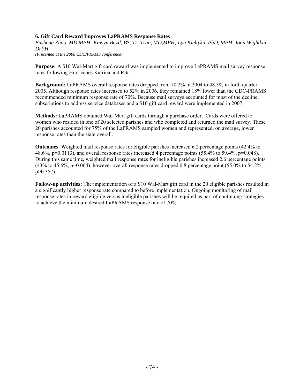# **6. Gift Card Reward Improves LaPRAMS Response Rates**

*Fusheng Zhao, MD,MPH; Kawyn Bazil, BS, Tri Tran, MD,MPH; Lyn Kieltyka, PhD, MPH, Joan Wightkin, DrPH* 

*(Presented at the 2008 CDC/PRAMS conference)* 

**Purpose:** A \$10 Wal-Mart gift card reward was implemented to improve LaPRAMS mail survey response rates following Hurricanes Katrina and Rita.

**Background:** LaPRAMS overall response rates dropped from 70.2% in 2004 to 48.3% in forth quarter 2005. Although response rates increased to 52% in 2006, they remained 18% lower than the CDC-PRAMS recommended minimum response rate of 70%. Because mail surveys accounted for most of the decline, subscriptions to address service databases and a \$10 gift card reward were implemented in 2007.

**Methods:** LaPRAMS obtained Wal-Mart gift cards through a purchase order. Cards were offered to women who resided in one of 20 selected parishes and who completed and returned the mail survey. These 20 parishes accounted for 75% of the LaPRAMS sampled women and represented, on average, lower response rates than the state overall.

**Outcomes**: Weighted mail response rates for eligible parishes increased 6.2 percentage points (42.4% to 48.6%, p=0.0113), and overall response rates increased 4 percentage points (55.4% to 59.4%, p=0.048). During this same time, weighted mail response rates for ineligible parishes increased 2.6 percentage points  $(43\%$  to  $45.6\%$ , p=0.064), however overall response rates dropped 0.8 percentage point (55.0% to 54.2%,  $p > 0.357$ ).

**Follow-up activities:** The implementation of a \$10 Wal-Mart gift card in the 20 eligible parishes resulted in a significantly higher response rate compared to before implementation. Ongoing monitoring of mail response rates in reward eligible versus ineligible parishes will be required as part of continuing strategies to achieve the minimum desired LaPRAMS response rate of 70%.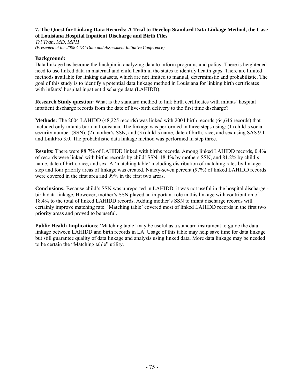## **7. The Quest for Linking Data Records: A Trial to Develop Standard Data Linkage Method, the Case of Louisiana Hospital Inpatient Discharge and Birth Files**

*Tri Tran, MD, MPH (Presented at the 2008 CDC-Data and Assessment Initiative Conference)* 

## **Background:**

Data linkage has become the linchpin in analyzing data to inform programs and policy. There is heightened need to use linked data in maternal and child health in the states to identify health gaps. There are limited methods available for linking datasets, which are not limited to manual, deterministic and probabilistic. The goal of this study is to identify a potential data linkage method in Louisiana for linking birth certificates with infants' hospital inpatient discharge data (LAHIDD).

**Research Study question:** What is the standard method to link birth certificates with infants' hospital inpatient discharge records from the date of live-birth delivery to the first time discharge?

**Methods:** The 2004 LAHIDD (48,225 records) was linked with 2004 birth records (64,646 records) that included only infants born in Louisiana. The linkage was performed in three steps using: (1) child's social security number (SSN), (2) mother's SSN, and (3) child's name, date of birth, race, and sex using SAS 9.1 and LinkPro 3.0. The probabilistic data linkage method was performed in step three.

**Results:** There were 88.7% of LAHIDD linked with births records. Among linked LAHIDD records, 0.4% of records were linked with births records by child' SSN, 18.4% by mothers SSN, and 81.2% by child's name, date of birth, race, and sex. A 'matching table' including distribution of matching rates by linkage step and four priority areas of linkage was created. Ninety-seven percent (97%) of linked LAHIDD records were covered in the first area and 99% in the first two areas.

**Conclusions:** Because child's SSN was unreported in LAHIDD, it was not useful in the hospital discharge birth data linkage. However, mother's SSN played an important role in this linkage with contribution of 18.4% to the total of linked LAHIDD records. Adding mother's SSN to infant discharge records will certainly improve matching rate. 'Matching table' covered most of linked LAHIDD records in the first two priority areas and proved to be useful.

**Public Health Implications**: 'Matching table' may be useful as a standard instrument to guide the data linkage between LAHIDD and birth records in LA. Usage of this table may help save time for data linkage but still guarantee quality of data linkage and analysis using linked data. More data linkage may be needed to be certain the "Matching table" utility.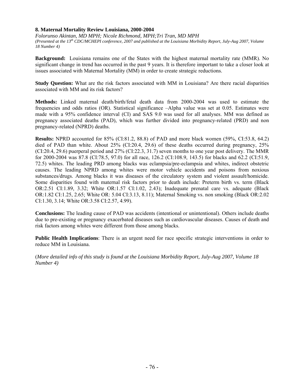#### **8. Maternal Mortality Review Louisiana, 2000-2004**

*Folorunso Akintan, MD MPH; Nicole Richmond, MPH;Tri Tran, MD MPH (Presented at the 13th CDC/MCHEPI conference, 2007 and published at the Louisiana Morbidity Report, July-Aug 2007, Volume 18 Number 4)* 

**Background:** Louisiana remains one of the States with the highest maternal mortality rate (MMR). No significant change in trend has occurred in the past 9 years. It is therefore important to take a closer look at issues associated with Maternal Mortality (MM) in order to create strategic reductions.

**Study Question:** What are the risk factors associated with MM in Louisiana? Are there racial disparities associated with MM and its risk factors?

**Methods:** Linked maternal death/birth/fetal death data from 2000-2004 was used to estimate the frequencies and odds ratios (OR). Statistical significance –Alpha value was set at 0.05. Estimates were made with a 95% confidence interval (CI) and SAS 9.0 was used for all analyses. MM was defined as pregnancy associated deaths (PAD), which was further divided into pregnancy-related (PRD) and non pregnancy-related (NPRD) deaths.

**Results:** NPRD accounted for 85% (CI:81.2, 88.8) of PAD and more black women (59%, CI:53.8, 64.2) died of PAD than white. About 25% (CI:20.4, 29.6) of these deaths occurred during pregnancy, 25% (CI:20.4, 29.6) puerperal period and 27% (CI:22.3, 31.7) seven months to one year post delivery. The MMR for 2000-2004 was 87.8 (CI:78.5, 97.0) for all race, 126.2 (CI:108.9, 143.5) for blacks and 62.2 (CI:51.9, 72.5) whites. The leading PRD among blacks was eclampsia/pre-eclampsia and whites, indirect obstetric causes. The leading NPRD among whites were motor vehicle accidents and poisons from noxious substances/drugs. Among blacks it was diseases of the circulatory system and violent assault/homicide. Some disparities found with maternal risk factors prior to death include: Preterm birth vs. term (Black OR:2.51 CI:1.89, 3.32; White OR:1.57 CI:1.02, 2.43); Inadequate prenatal care vs. adequate (Black OR:1.82 CI:1.25, 2.65; White OR: 5.04 CI:3.13, 8.11); Maternal Smoking vs. non smoking (Black OR:2.02 CI:1.30, 3.14; White OR:3.58 CI:2.57, 4.99).

**Conclusions:** The leading cause of PAD was accidents (intentional or unintentional). Others include deaths due to pre-existing or pregnancy exacerbated diseases such as cardiovascular diseases. Causes of death and risk factors among whites were different from those among blacks.

**Public Health Implications**: There is an urgent need for race specific strategic interventions in order to reduce MM in Louisiana.

(*More detailed info of this study is found at the Louisiana Morbidity Report, July-Aug 2007, Volume 18 Number 4)*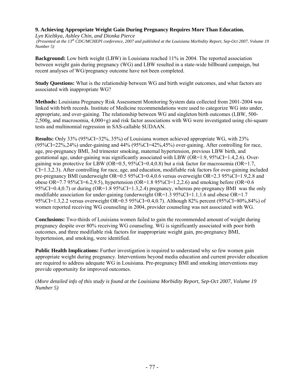# **9. Achieving Appropriate Weight Gain During Pregnancy Requires More Than Education.**

*Lyn Kieltkya, Ashley Chin, and Dionka Pierce* 

 *(Presented at the 13th CDC/MCHEPI conference, 2007 and published at the Louisiana Morbidity Report, Sep-Oct 2007, Volume 19 Number 5)* 

**Background:** Low birth weight (LBW) in Louisiana reached 11% in 2004. The reported association between weight gain during pregnancy (WG) and LBW resulted in a state-wide billboard campaign, but recent analyses of WG/pregnancy outcome have not been completed.

**Study Questions:** What is the relationship between WG and birth weight outcomes, and what factors are associated with inappropriate WG?

**Methods:** Louisiana Pregnancy Risk Assessment Monitoring System data collected from 2001-2004 was linked with birth records. Institute of Medicine recommendations were used to categorize WG into under, appropriate, and over-gaining. The relationship between WG and singleton birth outcomes (LBW, 500- 2,500g, and macrosomia, 4,000+g) and risk factor associations with WG were investigated using chi-square tests and multinomial regression in SAS-callable SUDAAN.

**Results:** Only 33% (95%CI=32%, 35%) of Louisiana women achieved appropriate WG, with 23% (95%CI=22%,24%) under-gaining and 44% (95%CI=42%,45%) over-gaining. After controlling for race, age, pre-pregnancy BMI, 3rd trimester smoking, maternal hypertension, previous LBW birth, and gestational age, under-gaining was significantly associated with LBW ( $OR=1.9$ ,  $95\%CI=1.4,2.6$ ). Overgaining was protective for LBW (OR=0.5, 95%CI=0.4,0.8) but a risk factor for macrosomia (OR=1.7, CI=1.3,2.3). After controlling for race, age, and education, modifiable risk factors for over-gaining included pre-pregnancy BMI (underweight OR=0.5 95%CI=0.4,0.6 versus overweight OR=2.3 95%CI=1.9,2.8 and obese OR=7.7 95%CI=6.2,9.5), hypertension (OR=1.8 95%CI=1.2,2.6) and smoking before (OR=0.6 95%CI=0.4,0.7) or during (OR=1.8 95%CI=1.3,2.4) pregnancy, whereas pre-pregnancy BMI was the only modifiable association for under-gaining (underweight OR=1.3 95%CI=1.1,1.6 and obese OR=1.7 95%CI=1.3,2.2 versus overweight OR=0.5 95%CI=0.4,0.7). Although 82% percent (95%CI=80%,84%) of women reported receiving WG counseling in 2004, provider counseling was not associated with WG.

**Conclusions:** Two-thirds of Louisiana women failed to gain the recommended amount of weight during pregnancy despite over 80% receiving WG counseling. WG is significantly associated with poor birth outcomes, and three modifiable risk factors for inappropriate weight gain, pre-pregnancy BMI, hypertension, and smoking, were identified.

**Public Health Implications:** Further investigation is required to understand why so few women gain appropriate weight during pregnancy. Interventions beyond media education and current provider education are required to address adequate WG in Louisiana. Pre-pregnancy BMI and smoking interventions may provide opportunity for improved outcomes.

(*More detailed info of this study is found at the Louisiana Morbidity Report, Sep-Oct 2007, Volume 19 Number 5)*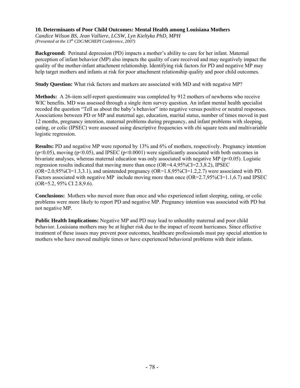## **10. Determinants of Poor Child Outcomes: Mental Health among Louisiana Mothers**

*Candice Wilson BS, Jean Valliere, LCSW, Lyn Kieltyka PhD, MPH (Presented at the 13th CDC/MCHEPI Conference, 2007)* 

**Background:** Perinatal depression (PD) impacts a mother's ability to care for her infant. Maternal perception of infant behavior (MP) also impacts the quality of care received and may negatively impact the quality of the mother-infant attachment relationship. Identifying risk factors for PD and negative MP may help target mothers and infants at risk for poor attachment relationship quality and poor child outcomes.

**Study Question:** What risk factors and markers are associated with MD and with negative MP?

**Methods:** A 26-item self-report questionnaire was completed by 912 mothers of newborns who receive WIC benefits. MD was assessed through a single item survey question. An infant mental health specialist recoded the question "Tell us about the baby's behavior" into negative versus positive or neutral responses. Associations between PD or MP and maternal age, education, marital status, number of times moved in past 12 months, pregnancy intention, maternal problems during pregnancy, and infant problems with sleeping, eating, or colic (IPSEC) were assessed using descriptive frequencies with chi square tests and multivariable logistic regression.

**Results:** PD and negative MP were reported by 13% and 6% of mothers, respectively. Pregnancy intention  $(p<0.05)$ , moving  $(p<0.05)$ , and IPSEC  $(p<0.0001)$  were significantly associated with both outcomes in bivariate analyses, whereas maternal education was only associated with negative MP ( $p<0.05$ ). Logistic regression results indicated that moving more than once (OR=4.4,95%CI=2.3,8.2), IPSEC (OR=2.0,95%CI=1.3,3.1), and unintended pregnancy (OR=1.8,95%CI=1.2,2.7) were associated with PD. Factors associated with negative MP include moving more than once  $(OR=2.7,95\%CI=1.1,6.7)$  and IPSEC (OR=5.2, 95% CI 2.8,9.6).

**Conclusions:** Mothers who moved more than once and who experienced infant sleeping, eating, or colic problems were more likely to report PD and negative MP. Pregnancy intention was associated with PD but not negative MP.

**Public Health Implications:** Negative MP and PD may lead to unhealthy maternal and poor child behavior. Louisiana mothers may be at higher risk due to the impact of recent hurricanes. Since effective treatment of these issues may prevent poor outcomes, healthcare professionals must pay special attention to mothers who have moved multiple times or have experienced behavioral problems with their infants.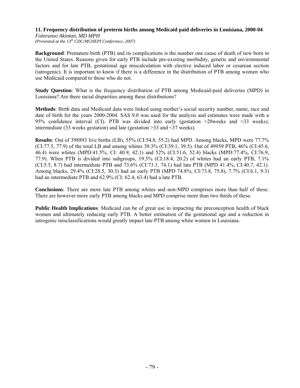# **11. Frequency distribution of preterm births among Medicaid paid deliveries in Louisiana, 2000-04**

*Folorunso Akintan, MD MPH (Presented at the 13th CDC/MCHEPI Conference, 2007)* 

**Background**: Premature birth (PTB) and its complications is the number one cause of death of new born in the United States. Reasons given for early PTB include pre-existing morbidity, genetic and environmental factors and for late PTB, gestational age miscalculation with elective induced labor or cesarean section (iatrogenic). It is important to know if there is a difference in the distribution of PTB among women who use Medicaid compared to those who do not.

**Study Question**: What is the frequency distribution of PTB among Medicaid-paid deliveries (MPD) in Louisiana? Are there racial disparities among these distributions?

**Methods**: Birth data and Medicaid data were linked using mother's social security number, name, race and date of birth for the years 2000-2004. SAS 9.0 was used for the analysis and estimates were made with a 95% confidence interval (CI). PTB was divided into early (gestation >20weeks and <33 weeks), intermediate (33 weeks gestation) and late (gestation >33 and <37 weeks).

**Results**: Out of 398893 live births (LB), 55% (CI:54.8, 55.2) had MPD. Among blacks, MPD were 77.7% (CI:77.5, 77.9) of the total LB and among whites 39.3% (CI:39.1, 39.5). Out of 49959 PTB, 46% (CI:45.6, 46.4) were whites (MPD:41.5%, CI: 40.9, 42.1) and 52% (CI:51.6, 52.4) blacks (MPD:77.4%, CI:76.9, 77.9). When PTB is divided into subgroups, 19.3% (CI:18.4, 20.2) of whites had an early PTB, 7.1% (CI:5.5, 8.7) had intermediate PTB and 73.6% (CI:73.1, 74.1) had late PTB (MPD 41.4%, CI:40.7, 42.1). Among blacks, 29.4% (CI:28.5, 30.3) had an early PTB (MPD 74.8%, CI:73.8, 75.8), 7.7% (CI:6.1, 9.3) had an intermediate PTB and  $62.9\%$  (CI:  $62.4$ ,  $63.4$ ) had a late PTB.

**Conclusions**: There are more late PTB among whites and non-MPD comprises more than half of these. There are however more early PTB among blacks and MPD comprise more than two thirds of these.

**Public Health Implications**: Medicaid can be of great use in impacting the preconception health of black women and ultimately reducing early PTB. A better estimation of the gestational age and a reduction in iatrogenic misclassifications would greatly impact late PTB among white women in Louisiana.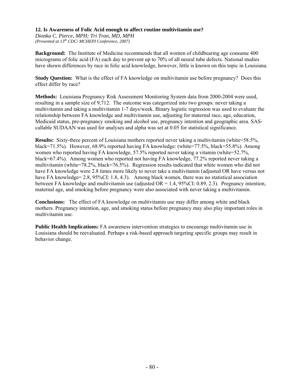## **12. Is Awareness of Folic Acid enough to affect routine multivitamin use?**

*Dionka C. Pierce, MPH; Tri Tran, MD, MPH (Presented at 13th CDC/ MCHEPI Conference*, *2007)* 

**Background:** The Institute of Medicine recommends that all women of childbearing age consume 400 micrograms of folic acid (FA) each day to prevent up to 70% of all neural tube defects. National studies have shown differences by race in folic acid knowledge, however, little is known on this topic in Louisiana.

**Study Question:** What is the effect of FA knowledge on multivitamin use before pregnancy? Does this effect differ by race?

**Methods:** Louisiana Pregnancy Risk Assessment Monitoring System data from 2000-2004 were used, resulting in a sample size of 9,712. The outcome was categorized into two groups: never taking a multivitamin and taking a multivitamin 1-7 days/week. Binary logistic regression was used to evaluate the relationship between FA knowledge and multivitamin use, adjusting for maternal race, age, education, Medicaid status, pre-pregnancy smoking and alcohol use, pregnancy intention and geographic area. SAScallable SUDAAN was used for analyses and alpha was set at 0.05 for statistical significance.

**Results:** Sixty-three percent of Louisiana mothers reported never taking a multivitamin (white=58.5%, black=71.5%). However, 68.9% reported having FA knowledge: (white=77.5%, black=55.8%). Among women who reported having FA knowledge, 57.5% reported never taking a vitamin (white=52.7%, black=67.4%). Among women who reported not having FA knowledge, 77.2% reported never taking a multivitamin (white=78.2%, black=76.5%). Regression results indicated that white women who did not have FA knowledge were 2.8 times more likely to never take a multivitamin (adjusted OR have versus not have FA knowledge= 2.8, 95%CI: 1.8, 4.3). Among black women, there was no statistical association between FA knowledge and multivitamin use (adjusted  $OR = 1.4$ , 95%CI: 0.89, 2.3). Pregnancy intention, maternal age, and smoking before pregnancy were also associated with never taking a multivitamin.

**Conclusions:** The effect of FA knowledge on multivitamin use may differ among white and black mothers. Pregnancy intention, age, and smoking status before pregnancy may also play important roles in multivitamin use.

**Public Health Implications:** FA awareness intervention strategies to encourage multivitamin use in Louisiana should be reevaluated. Perhaps a risk-based approach targeting specific groups may result in behavior change.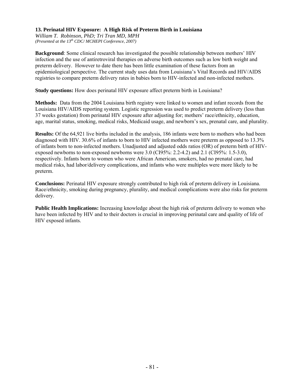## **13. Perinatal HIV Exposure: A High Risk of Preterm Birth in Louisiana**

*William T. Robinson, PhD; Tri Tran MD, MPH (Presented at the 13th CDC/ MCHEPI Conference*, *2007)*

**Background**: Some clinical research has investigated the possible relationship between mothers' HIV infection and the use of antiretroviral therapies on adverse birth outcomes such as low birth weight and preterm delivery. However to date there has been little examination of these factors from an epidemiological perspective. The current study uses data from Louisiana's Vital Records and HIV/AIDS registries to compare preterm delivery rates in babies born to HIV-infected and non-infected mothers.

**Study questions:** How does perinatal HIV exposure affect preterm birth in Louisiana?

**Methods:** Data from the 2004 Louisiana birth registry were linked to women and infant records from the Louisiana HIV/AIDS reporting system. Logistic regression was used to predict preterm delivery (less than 37 weeks gestation) from perinatal HIV exposure after adjusting for; mothers' race/ethnicity, education, age, marital status, smoking, medical risks, Medicaid usage, and newborn's sex, prenatal care, and plurality.

**Results:** Of the 64,921 live births included in the analysis, 186 infants were born to mothers who had been diagnosed with HIV. 30.6% of infants to born to HIV infected mothers were preterm as opposed to 13.3% of infants born to non-infected mothers. Unadjusted and adjusted odds ratios (OR) of preterm birth of HIVexposed newborns to non-exposed newborns were 3.0 (CI95%: 2.2-4.2) and 2.1 (CI95%: 1.5-3.0), respectively. Infants born to women who were African American, smokers, had no prenatal care, had medical risks, had labor/delivery complications, and infants who were multiples were more likely to be preterm.

**Conclusions:** Perinatal HIV exposure strongly contributed to high risk of preterm delivery in Louisiana. Race/ethnicity, smoking during pregnancy, plurality, and medical complications were also risks for preterm delivery.

**Public Health Implications:** Increasing knowledge about the high risk of preterm delivery to women who have been infected by HIV and to their doctors is crucial in improving perinatal care and quality of life of HIV exposed infants.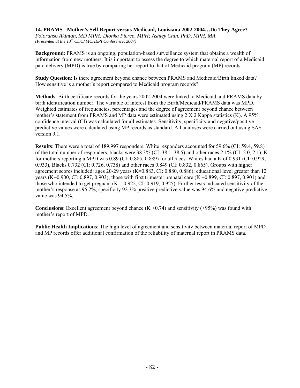**14. PRAMS - Mother's Self Report versus Medicaid, Louisiana 2002-2004…Do They Agree?**  *Folorunso Akintan, MD MPH; Dionka Pierce, MPH; Ashley Chin, PhD, MPH, MA (Presented at the 13<sup>th</sup> CDC/MCHEPI Conference, 2007)* 

**Background**: PRAMS is an ongoing, population-based surveillance system that obtains a wealth of information from new mothers. It is important to assess the degree to which maternal report of a Medicaid paid delivery (MPD) is true by comparing her report to that of Medicaid program (MP) records.

**Study Question**: Is there agreement beyond chance between PRAMS and Medicaid/Birth linked data? How sensitive is a mother's report compared to Medicaid program records?

**Methods**: Birth certificate records for the years 2002-2004 were linked to Medicaid and PRAMS data by birth identification number. The variable of interest from the Birth/Medicaid/PRAMS data was MPD. Weighted estimates of frequencies, percentages and the degree of agreement beyond chance between mother's statement from PRAMS and MP data were estimated using 2 X 2 Kappa statistics (K). A 95% confidence interval (CI) was calculated for all estimates. Sensitivity, specificity and negative/positive predictive values were calculated using MP records as standard. All analyses were carried out using SAS version 9.1.

**Results**: There were a total of 189,997 responders. White responders accounted for 59.6% (CI: 59.4, 59.8) of the total number of responders, blacks were 38.3% (CI: 38.1, 38.5) and other races 2.1% (CI: 2.0, 2.1). K for mothers reporting a MPD was 0.89 (CI: 0.885, 0.889) for all races. Whites had a K of 0.931 (CI: 0.929, 0.933), Blacks 0.732 (CI: 0.726, 0.738) and other races 0.849 (CI: 0.832, 0.865). Groups with higher agreement scores included: ages 20-29 years (K=0.883, CI: 0.880, 0.886); educational level greater than 12 years (K=0.900, CI: 0.897, 0.903); those with first trimester prenatal care (K =0.899, CI: 0.897, 0.901) and those who intended to get pregnant  $(K = 0.922, CI: 0.919, 0.925)$ . Further tests indicated sensitivity of the mother's response as 96.2%, specificity 92.3% positive predictive value was 94.6% and negative predictive value was 94.5%.

**Conclusions**: Excellent agreement beyond chance  $(K > 0.74)$  and sensitivity ( $> 95\%$ ) was found with mother's report of MPD.

**Public Health Implications**: The high level of agreement and sensitivity between maternal report of MPD and MP records offer additional confirmation of the reliability of maternal report in PRAMS data.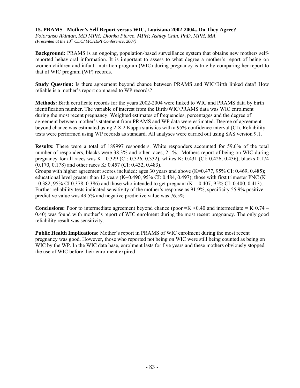#### **15. PRAMS - Mother's Self Report versus WIC, Louisiana 2002-2004...Do They Agree?**

*Folorunso Akintan, MD MPH; Dionka Pierce, MPH; Ashley Chin, PhD, MPH, MA (Presented at the 13th CDC/ MCHEPI Conference*, *2007)* 

**Background:** PRAMS is an ongoing, population-based surveillance system that obtains new mothers selfreported behavioral information. It is important to assess to what degree a mother's report of being on women children and infant –nutrition program (WIC) during pregnancy is true by comparing her report to that of WIC program (WP) records.

**Study Question:** Is there agreement beyond chance between PRAMS and WIC/Birth linked data? How reliable is a mother's report compared to WP records?

**Methods:** Birth certificate records for the years 2002-2004 were linked to WIC and PRAMS data by birth identification number. The variable of interest from the Birth/WIC/PRAMS data was WIC enrolment during the most recent pregnancy. Weighted estimates of frequencies, percentages and the degree of agreement between mother's statement from PRAMS and WP data were estimated. Degree of agreement beyond chance was estimated using  $2 \times 2$  Kappa statistics with a 95% confidence interval (CI). Reliability tests were performed using WP records as standard. All analyses were carried out using SAS version 9.1.

**Results:** There were a total of 189997 responders. White responders accounted for 59.6% of the total number of responders, blacks were 38.3% and other races, 2.1%. Mothers report of being on WIC during pregnancy for all races was K= 0.329 (CI: 0.326, 0.332), whites K: 0.431 (CI: 0.426, 0.436), blacks 0.174 (0.170, 0.178) and other races K: 0.457 (CI: 0.432, 0.483).

Groups with higher agreement scores included: ages 30 years and above (K=0.477, 95% CI: 0.469, 0.485); educational level greater than 12 years (K=0.490, 95% CI: 0.484, 0.497); those with first trimester PNC (K)  $=0.382, 95\% \text{ CI } 0.378, 0.386$  and those who intended to get pregnant (K = 0.407, 95% CI: 0.400, 0.413). Further reliability tests indicated sensitivity of the mother's response as 91.9%, specificity 55.9% positive predictive value was 49.5% and negative predictive value was 76.5%.

**Conclusions:** Poor to intermediate agreement beyond chance (poor  $=K < 0.40$  and intermediate  $= K 0.74 -$ 0.40) was found with mother's report of WIC enrolment during the most recent pregnancy. The only good reliability result was sensitivity.

**Public Health Implications:** Mother's report in PRAMS of WIC enrolment during the most recent pregnancy was good. However, those who reported not being on WIC were still being counted as being on WIC by the WP. In the WIC data base, enrolment lasts for five years and these mothers obviously stopped the use of WIC before their enrolment expired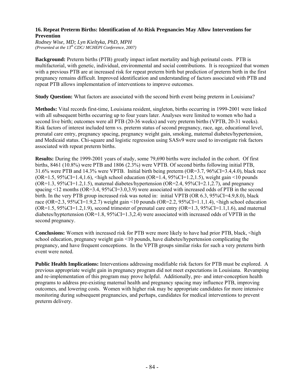#### **16. Repeat Preterm Births: Identification of At-Risk Pregnancies May Allow Interventions for Prevention**

*Rodney Wise, MD; Lyn Kieltyka, PhD, MPH (Presented at the 13th CDC/ MCHEPI Conference*, *2007)* 

**Background:** Preterm births (PTB) greatly impact infant mortality and high perinatal costs. PTB is multifactorial, with genetic, individual, environmental and social contributions. It is recognized that women with a previous PTB are at increased risk for repeat preterm birth but prediction of preterm birth in the first pregnancy remains difficult. Improved identification and understanding of factors associated with PTB and repeat PTB allows implementation of interventions to improve outcomes.

**Study Question:** What factors are associated with the second birth event being preterm in Louisiana?

**Methods:** Vital records first-time, Louisiana resident, singleton, births occurring in 1999-2001 were linked with all subsequent births occurring up to four years later. Analyses were limited to women who had a second live birth; outcomes were all PTB (20-36 weeks) and very preterm births (VPTB, 20-31 weeks). Risk factors of interest included term vs. preterm status of second pregnancy, race, age, educational level, prenatal care entry, pregnancy spacing, pregnancy weight gain, smoking, maternal diabetes/hypertension, and Medicaid status. Chi-square and logistic regression using SASv9 were used to investigate risk factors associated with repeat preterm births.

**Results:** During the 1999-2001 years of study, some 79,690 births were included in the cohort. Of first births, 8461 (10.8%) were PTB and 1806 (2.3%) were VPTB. Of second births following initial PTB, 31.6% were PTB and 14.3% were VPTB. Initial birth being preterm (OR=3.7, 96%CI=3.4,4.0), black race ( $OR=1.5$ ,  $95\%CI=1.4,1.6$ ),  $\langle$ high school education ( $OR=1.4$ ,  $95\%CI=1.2,1.5$ ), weight gain  $\langle$ 10 pounds  $(OR=1.3, 95\% CI=1.2, 1.5)$ , maternal diabetes/hypertension  $(OR=2.4, 95\% CI=2.1, 2.7)$ , and pregnancy spacing  $\leq$ 12 months (OR=3.4, 95%CI=3.0,3.9) were associated with increased odds of PTB in the second birth. In the very PTB group increased risk was noted in: initial VPTB (OR 6.3, 95%CI=4.9,8.0), black race (OR=2.3, 95%CI=1.9,2.7) weight gain <10 pounds (OR=2.2, 95%CI=1.1,1.4), <high school education  $(OR=1.5, 95\%CI=1.2, 1.9)$ , second trimester of prenatal care entry  $(OR=1.3, 95\%CI=1.1, 1.6)$ , and maternal diabetes/hyptertension (OR=1.8, 95%CI=1.3,2.4) were associated with increased odds of VPTB in the second pregnancy.

**Conclusions:** Women with increased risk for PTB were more likely to have had prior PTB, black, <high school education, pregnancy weight gain <10 pounds, have diabetes/hypertension complicating the pregnancy, and have frequent conceptions. In the VPTB groups similar risks for such a very preterm birth event were noted.

**Public Health Implications:** Interventions addressing modifiable risk factors for PTB must be explored. A previous appropriate weight gain in pregnancy program did not meet expectations in Louisiana. Revamping and re-implementation of this program may prove helpful. Additionally, pre- and inter-conception health programs to address pre-existing maternal health and pregnancy spacing may influence PTB, improving outcomes, and lowering costs. Women with higher risk may be appropriate candidates for more intensive monitoring during subsequent pregnancies, and perhaps, candidates for medical interventions to prevent preterm delivery.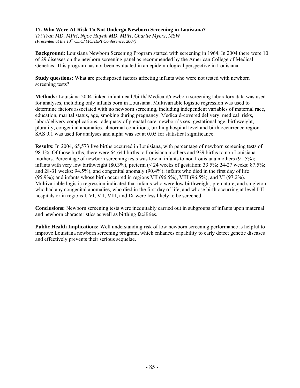## **17. Who Were At-Risk To Not Undergo Newborn Screening in Louisiana?**

*Tri Tran MD, MPH, Ngoc Huynh MD, MPH, Charlie Myers, MSW (Presented at the 13th CDC/ MCHEPI Conference*, *2007)* 

**Background**: Louisiana Newborn Screening Program started with screening in 1964. In 2004 there were 10 of 29 diseases on the newborn screening panel as recommended by the American College of Medical Genetics. This program has not been evaluated in an epidemiological perspective in Louisiana.

**Study questions:** What are predisposed factors affecting infants who were not tested with newborn screening tests?

**Methods:** Louisiana 2004 linked infant death/birth/ Medicaid/newborn screening laboratory data was used for analyses, including only infants born in Louisiana. Multivariable logistic regression was used to determine factors associated with no newborn screening, including independent variables of maternal race, education, marital status, age, smoking during pregnancy, Medicaid-covered delivery, medical risks, labor/delivery complications, adequacy of prenatal care, newborn's sex, gestational age, birthweight, plurality, congenital anomalies, abnormal conditions, birthing hospital level and birth occurrence region. SAS 9.1 was used for analyses and alpha was set at 0.05 for statistical significance.

**Results:** In 2004, 65,573 live births occurred in Louisiana, with percentage of newborn screening tests of 98.1%. Of those births, there were 64,644 births to Louisiana mothers and 929 births to non Louisiana mothers. Percentage of newborn screening tests was low in infants to non Louisiana mothers (91.5%); infants with very low birthweight (80.3%), preterm (< 24 weeks of gestation: 33.5%; 24-27 weeks: 87.5%; and 28-31 weeks: 94.5%), and congenital anomaly (90.4%); infants who died in the first day of life (95.9%); and infants whose birth occurred in regions VII (96.5%), VIII (96.5%), and VI (97.2%). Multivariable logistic regression indicated that infants who were low birthweight, premature, and singleton, who had any congenital anomalies, who died in the first day of life, and whose birth occurring at level I-II hospitals or in regions I, VI, VII, VIII, and IX were less likely to be screened.

**Conclusions:** Newborn screening tests were inequitably carried out in subgroups of infants upon maternal and newborn characteristics as well as birthing facilities.

**Public Health Implications:** Well understanding risk of low newborn screening performance is helpful to improve Louisiana newborn screening program, which enhances capability to early detect genetic diseases and effectively prevents their serious sequelae.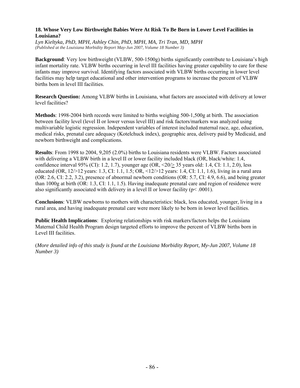## **18. Whose Very Low Birthweight Babies Were At Risk To Be Born in Lower Level Facilities in Louisiana?**

*Lyn Kieltyka, PhD, MPH, Ashley Chin, PhD, MPH, MA, Tri Tran, MD, MPH (Published at the Louisiana Morbidity Report May-Jun 2007, Volume 18 Number 3)*

**Background**: Very low birthweight (VLBW, 500-1500g) births significantly contribute to Louisiana's high infant mortality rate. VLBW births occurring in level III facilities having greater capability to care for these infants may improve survival. Identifying factors associated with VLBW births occurring in lower level facilities may help target educational and other intervention programs to increase the percent of VLBW births born in level III facilities.

**Research Question:** Among VLBW births in Louisiana, what factors are associated with delivery at lower level facilities?

**Methods**: 1998-2004 birth records were limited to births weighing 500-1,500g at birth. The association between facility level (level II or lower versus level III) and risk factors/markers was analyzed using multivariable logistic regression. Independent variables of interest included maternal race, age, education, medical risks, prenatal care adequacy (Kotelchuck index), geographic area, delivery paid by Medicaid, and newborn birthweight and complications.

**Results**: From 1998 to 2004, 9,205 (2.0%) births to Louisiana residents were VLBW. Factors associated with delivering a VLBW birth in a level II or lower facility included black (OR, black/white: 1.4, confidence interval 95% (CI): 1.2, 1.7), younger age (OR, <20/> 35 years old: 1.4, CI: 1.1, 2.0), less educated (OR, 12/>12 years: 1.3, CI: 1.1, 1.5; OR, <12/>12 years: 1.4, CI: 1.1, 1.6), living in a rural area (OR: 2.6, CI: 2.2, 3.2), presence of abnormal newborn conditions (OR: 5.7, CI: 4.9, 6.6), and being greater than 1000g at birth (OR: 1.3, CI: 1.1, 1.5). Having inadequate prenatal care and region of residence were also significantly associated with delivery in a level II or lower facility ( $p$  < .0001).

**Conclusions**: VLBW newborns to mothers with characteristics: black, less educated, younger, living in a rural area, and having inadequate prenatal care were more likely to be born in lower level facilities.

**Public Health Implications**: Exploring relationships with risk markers/factors helps the Louisiana Maternal Child Health Program design targeted efforts to improve the percent of VLBW births born in Level III facilities.

(*More detailed info of this study is found at the Louisiana Morbidity Report, My-Jun 2007, Volume 18 Number 3)*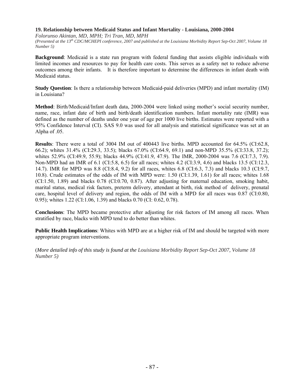## **19. Relationship between Medicaid Status and Infant Mortality - Louisiana, 2000-2004**

*Folorunso Akintan, MD, MPH; Tri Tran, MD, MPH (Presented at the 13th CDC/MCHEPI conference, 2007 and published at the Louisiana Morbidity Report Sep-Oct 2007, Volume 18 Number 5)* 

**Background**: Medicaid is a state run program with federal funding that assists eligible individuals with limited incomes and resources to pay for health care costs. This serves as a safety net to reduce adverse outcomes among their infants. It is therefore important to determine the differences in infant death with Medicaid status.

**Study Question**: Is there a relationship between Medicaid-paid deliveries (MPD) and infant mortality (IM) in Louisiana?

**Method**: Birth/Medicaid/Infant death data, 2000-2004 were linked using mother's social security number, name, race, infant date of birth and birth/death identification numbers. Infant mortality rate (IMR) was defined as the number of deaths under one year of age per 1000 live births. Estimates were reported with a 95% Confidence Interval (CI). SAS 9.0 was used for all analysis and statistical significance was set at an Alpha of .05.

**Results**: There were a total of 3004 IM out of 400443 live births. MPD accounted for 64.5% (CI:62.8, 66.2); whites 31.4% (CI:29.3, 33.5); blacks 67.0% (CI:64.9, 69.1) and non-MPD 35.5% (CI:33.8, 37.2); whites 52.9% (CI:49.9, 55.9); blacks 44.9% (CI:41.9, 47.9). The IMR, 2000-2004 was 7.6 (CI:7.3, 7.9). Non-MPD had an IMR of 6.1 (CI:5.8, 6.5) for all races; whites 4.2 (CI:3.9, 4.6) and blacks 13.5 (CI:12.3, 14.7). IMR for MPD was 8.8 (CI:8.4, 9.2) for all races, whites 6.8 (CI:6.3, 7.3) and blacks 10.3 (CI:9.7, 10.8). Crude estimates of the odds of IM with MPD were: 1.50 (CI:1.39, 1.61) for all races; whites 1.68 (CI:1.50, 1.89) and blacks 0.78 (CI:0.70, 0.87). After adjusting for maternal education, smoking habit, marital status, medical risk factors, preterm delivery, attendant at birth, risk method of delivery, prenatal care, hospital level of delivery and region, the odds of IM with a MPD for all races was 0.87 (CI:0.80, 0.95); whites 1.22 (CI:1.06, 1.39) and blacks 0.70 (CI: 0.62, 0.78).

**Conclusions**: The MPD became protective after adjusting for risk factors of IM among all races. When stratified by race, blacks with MPD tend to do better than whites.

**Public Health Implications**: Whites with MPD are at a higher risk of IM and should be targeted with more appropriate program interventions.

(*More detailed info of this study is found at the Louisiana Morbidity Report Sep-Oct 2007, Volume 18 Number 5)*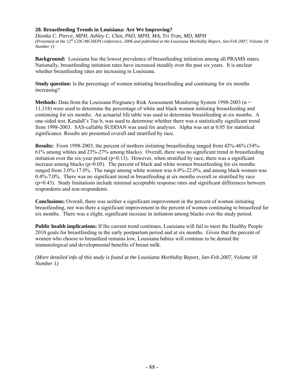## **20. Breastfeeding Trends in Louisiana: Are We Improving?**

*Dionka C. Pierce, MPH, Ashley C. Chin, PhD, MPH, MA, Tri Tran, MD, MPH (Presented at the 12th CDC/MCHEPI conference, 2006 and published at the Louisiana Morbidity Report, Jan-Feb 2007, Volume 18 Number 1)* 

**Background:** Louisiana has the lowest prevalence of breastfeeding initiation among all PRAMS states. Nationally, breastfeeding initiation rates have increased steadily over the past six years. It is unclear whether breastfeeding rates are increasing in Louisiana.

**Study question:** Is the percentage of women initiating breastfeeding and continuing for six months increasing?

**Methods:** Data from the Louisiana Pregnancy Risk Assessment Monitoring System 1998-2003 (n = 11,318) were used to determine the percentage of white and black women initiating breastfeeding and continuing for six months. An actuarial life table was used to determine breastfeeding at six months. A one-sided test, Kendall's Tau b, was used to determine whether there was a statistically significant trend from 1998-2003. SAS-callable SUDDAN was used for analyses. Alpha was set at 0.05 for statistical significance. Results are presented overall and stratified by race.

**Results:** From 1998-2003, the percent of mothers initiating breastfeeding ranged from 42%-46% (54%- 61% among whites and 23%-27% among blacks). Overall, there was no significant trend in breastfeeding initiation over the six-year period  $(p=0.13)$ . However, when stratified by race, there was a significant increase among blacks ( $p=0.05$ ). The percent of black and white women breastfeeding for six months ranged from 3.0%-17.0%. The range among white women was 6.0%-22.0%, and among black women was 0.4%-7.0%. There was no significant trend in breastfeeding at six months overall or stratified by race (p=0.43). Study limitations include minimal acceptable response rates and significant differences between respondents and non-respondents.

**Conclusions:** Overall, there was neither a significant improvement in the percent of women initiating breastfeeding, nor was there a significant improvement in the percent of women continuing to breastfeed for six months. There was a slight, significant increase in initiation among blacks over the study period.

**Public health implications:** If the current trend continues, Louisiana will fail to meet the Healthy People 2010 goals for breastfeeding in the early postpartum period and at six months. Given that the percent of women who choose to breastfeed remains low, Louisiana babies will continue to be denied the immunological and developmental benefits of breast milk.

(*More detailed info of this study is found at the Louisiana Morbidity Report, Jan-Feb 2007, Volume 18 Number 1)*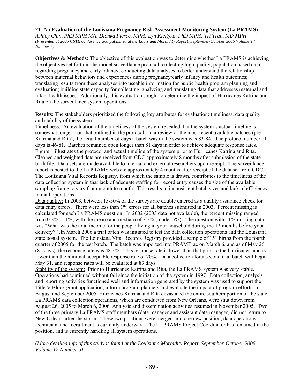### **21. An Evaluation of the Louisiana Pregnancy Risk Assessment Monitoring System (La PRAMS)**

*Ashley Chin, PhD MPH MA; Dionka Pierce, MPH; Lyn Kieltyka, PhD MPH; Tri Tran, MD MPH (Presented at 2006 CSTE conference and published at the Louisiana Morbidity Report, September-October 2006 Volume 17 Number 5)*

**Objectives & Methods:** The objective of this evaluation was to determine whether La PRAMS is achieving the objectives set forth in the model surveillance protocol: collecting high quality, population based data regarding pregnancy and early infancy; conducting data analyses to better understand the relationship between maternal behaviors and experiences during pregnancy/early infancy and health outcomes; translating results from these analyses into useable information for public health program planning and evaluation; building state capacity for collecting, analyzing and translating data that addresses maternal and infant health issues. Additionally, this evaluation sought to determine the impact of Hurricanes Katrina and Rita on the surveillance system operations.

**Results:** The stakeholders prioritized the following key attributes for evaluation: timeliness, data quality, and stability of the system.

Timeliness: An evaluation of the timeliness of the system revealed that the system's actual timeline is somewhat longer than that outlined in the protocol. In a review of the most recent available batches (pre-Katrina and Rita), the actual number of days a batch was in the system was 83-84. The protocol number of days is 46-81. Batches remained open longer than 81 days in order to achieve adequate response rates. Figure 1 illustrates the protocol and actual timeline of the system prior to Hurricanes Katrina and Rita. Cleaned and weighted data are received from CDC approximately 8 months after submission of the state birth file. Data sets are made available to internal and external researchers upon receipt. The surveillance report is posted to the La PRAMS website approximately 4 months after receipt of the data set from CDC. The Louisiana Vital Records Registry, from which the sample is drawn, contributes to the timeliness of the data collection system in that lack of adequate staffing for record entry causes the size of the available sampling frame to vary from month to month. This results in inconsistent batch sizes and lack of efficiency in mail operations.

Data quality: In 2003, between 15-50% of the surveys are double entered as a quality assurance check for data entry errors. There were less than 1% errors for all batches submitted in 2003. Percent missing is calculated for each La PRAMS question. In 2002 (2003 data not available), the percent missing ranged from  $0.2\%$  - 11%, with the mean (and median) of 3.2% (mode=5%). The question with 11% missing data was "What was the total income for the people living in your household during the 12 months before your delivery?" .In March 2006 a trial batch was initiated to test the data collection operations and the Louisiana state postal system. The Louisiana Vital Records Registry provided a sample of 151 births from the fourth quarter of 2005 for the test batch. The batch was imported into PRAMTrac on March 6, and as of May 26 (81 days), the response rate was 48.3%. This response rate is lower than that prior to the hurricanes, and is lower than the minimal acceptable response rate of 70%. Data collection for a second trial batch will begin May 31, and response rates will be evaluated at 83 days.

Stability of the system: Prior to Hurricanes Katrina and Rita, the La PRAMS system was very stable. Operations had continued without fail since the initiation of the system in 1997. Data collection, analysis and reporting activities functioned well and information generated by the system was used to support the Title V Block grant application, inform program planners and evaluate the impact of program efforts. In August and September 2005, Hurricanes Katrina and Rita devastated the entire southern portion of the state. La PRAMS data collection operations, which are conducted from New Orleans, were shut down from August 26, 2005 to March 6, 2006. Analysis and dissemination activities resumed in November 2005. Two of the three primary La PRAMS staff members (data manager and assistant data manager) did not return to New Orleans after the storm. These two positions were merged into one new position, data operations technician, and recruitment is currently underway. The La PRAMS Project Coordinator has remained in the position, and is currently handling all system operations.

(*More detailed info of this study is found at the Louisiana Morbidity Report, September-October 2006 Volume 17 Number 5)*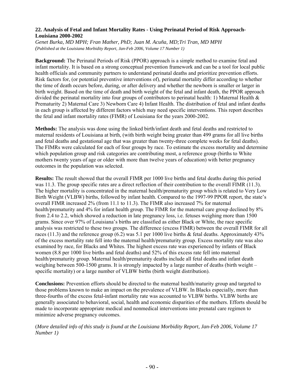## **22. Analysis of Fetal and Infant Mortality Rates - Using Perinatal Period of Risk Approach-Louisiana 2000-2002**

*Genet Burka, MD MPH; Fran Mather, PhD; Juan M. Acuña, MD;Tri Tran, MD MPH (Published at the Louisiana Morbidity Report, Jan-Feb 2006, Volume 17 Number 1)*

**Background:** The Perinatal Periods of Risk (PPOR) approach is a simple method to examine fetal and infant mortality. It is based on a strong conceptual prevention framework and can be a tool for local public health officials and community partners to understand perinatal deaths and prioritize prevention efforts. Risk factors for, (or potential preventive interventions of), perinatal mortality differ according to whether the time of death occurs before, during, or after delivery and whether the newborn is smaller or larger in birth weight. Based on the time of death and birth weight of the fetal and infant death, the PPOR approach divided the perinatal mortality into four groups of contributors to perinatal health: 1) Maternal Health & Prematurity 2) Maternal Care 3) Newborn Care 4) Infant Health. The distribution of fetal and infant deaths in each group is affected by different factors which may need specific interventions. This report describes the fetal and infant mortality rates (FIMR) of Louisiana for the years 2000-2002.

**Methods:** The analysis was done using the linked birth/infant death and fetal deaths and restricted to maternal residents of Louisiana at birth, (with birth weight being greater than 499 grams for all live births and fetal deaths and gestational age that was greater than twenty-three complete weeks for fetal deaths). The FIMRs were calculated for each of four groups by race. To estimate the excess mortality and determine which population group and risk categories are contributing most, a reference group (births to White mothers twenty years of age or older with more than twelve years of education) with better pregnancy outcomes in the population was selected.

**Results:** The result showed that the overall FIMR per 1000 live births and fetal deaths during this period was 11.3. The group specific rates are a direct reflection of their contribution to the overall FIMR (11.3). The higher mortality is concentrated in the maternal health/prematurity group which is related to Very Low Birth Weight (VLBW) births, followed by infant health. Compared to the 1997-99 PPOR report, the state's overall FIMR increased 2% (from 11.1 to 11.3). The FIMR also increased 7% for maternal health/prematurity and 4% for infant health group. The FIMR for the maternal care group declined by 8% from 2.4 to 2.2, which showed a reduction in late pregnancy loss, i.e. fetuses weighing more than 1500 grams. Since over 97% of Louisiana's births are classified as either Black or White, the race specific analysis was restricted to these two groups. The difference (excess FIMR) between the overall FIMR for all races (11.3) and the reference group (6.2) was 5.1 per 1000 live births & fetal deaths. Approximately 43% of the excess mortality rate fell into the maternal health/prematurity group. Excess mortality rate was also examined by race, for Blacks and Whites. The highest excess rate was experienced by infants of Black women (8.8 per 1000 live births and fetal deaths) and 52% of this excess rate fell into maternal health/prematurity group. Maternal health/prematurity deaths include all fetal deaths and infant death weighing between 500-1500 grams. It is strongly impacted by a large number of deaths (birth weight – specific mortality) or a large number of VLBW births (birth weight distribution).

**Conclusions:** Prevention efforts should be directed to the maternal health/maturity group and targeted to those problems known to make an impact on the prevalence of VLBW. In Blacks especially, more than three-fourths of the excess fetal-infant mortality rate was accounted to VLBW births. VLBW births are generally associated to behavioral, social, health and economic disparities of the mothers. Efforts should be made to incorporate appropriate medical and nonmedical interventions into prenatal care regimen to minimize adverse pregnancy outcomes.

(*More detailed info of this study is found at the Louisiana Morbidity Report, Jan-Feb 2006, Volume 17 Number 1)*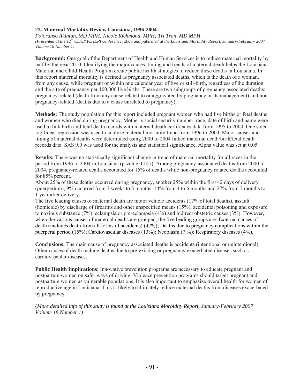## **23. Maternal Mortality Review Louisiana, 1996-2004**

*Folorunso Akintan, MD MPH; Nicole Richmond, MPH; Tri Tran, MD MPH (Presented at the 12th CDC/MCHEPI conference, 2006 and published at the Louisiana Morbidity Report, January-February 2007 Volume 18 Number 1)*

**Background:** One goal of the Department of Health and Human Services is to reduce maternal mortality by half by the year 2010. Identifying the major causes, timing and trends of maternal death helps the Louisiana Maternal and Child Health Program create public health strategies to reduce these deaths in Louisiana. In this report maternal mortality is defined as pregnancy associated deaths, which is the death of a woman, from any cause, while pregnant or within one calendar year of live or still-birth, regardless of the duration and the site of pregnancy per 100,000 live births. There are two subgroups of pregnancy associated deaths: pregnancy-related (death from any cause related to or aggravated by pregnancy or its management) and non pregnancy-related (deaths due to a cause unrelated to pregnancy).

**Methods:** The study population for this report included pregnant women who had live births or fetal deaths and women who died during pregnancy. Mother's social security number, race, date of birth and name were used to link birth and fetal death records with maternal death certificates data from 1995 to 2004. One sided log-linear regression was used to analyze maternal mortality trend from 1996 to 2004. Major causes and timing of maternal deaths were determined using 2000 to 2004 linked maternal death/birth/fetal death records data. SAS 9.0 was used for the analysis and statistical significance. Alpha value was set at 0.05.

**Results:** There was no statistically significant change in trend of maternal mortality for all races in the period from 1996 to 2004 in Louisiana (p-value 0.147). Among pregnancy-associated deaths from 2000 to 2004, pregnancy-related deaths accounted for 15% of deaths while non-pregnancy related deaths accounted for 85% percent.

About 25% of these deaths occurred during pregnancy, another 25% within the first 42 days of delivery (puerperium), 9% occurred from 7 weeks to 3 months, 14% from 4 to 6 months and 27% from 7 months to 1 year after delivery.

The five leading causes of maternal death are motor vehicle accidents (17% of total deaths), assault (homicide) by discharge of firearms and other unspecified means (15%), accidental poisoning and exposure to noxious substance (7%), eclampsia or pre-eclampsia (4%) and indirect obstetric causes (3%). However, when the various causes of maternal deaths are grouped, the five leading groups are: External causes of death (includes death from all forms of accidents) (47%); Deaths due to pregnancy complications within the puerperal period (15%); Cardiovascular diseases (13%); Neoplasm (7 %); Respiratory diseases (4%).

**Conclusions:** The main cause of pregnancy associated deaths is accidents (intentional or unintentional). Other causes of death include deaths due to pre-existing or pregnancy exacerbated diseases such as cardiovascular diseases.

**Public Health Implications:** Innovative prevention programs are necessary to educate pregnant and postpartum women on safer ways of driving. Violence prevention programs should target pregnant and postpartum women as vulnerable populations. It is also important to emphasize overall health for women of reproductive age in Louisiana. This is likely to ultimately reduce maternal deaths from diseases exacerbated by pregnancy.

(*More detailed info of this study is found at the Louisiana Morbidity Report, January-February 2007 Volume 18 Number 1)*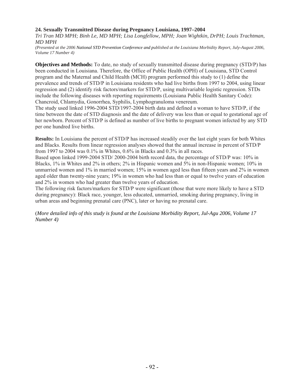## **24. Sexually Transmitted Disease during Pregnancy Louisiana, 1997–2004**

*Tri Tran MD MPH; Binh Le, MD MPH; Lisa Longfellow, MPH; Joan Wightkin, DrPH; Louis Trachtman, MD MPH*

*(Presented at the 2006 National STD Prevention Conference and published at the Louisiana Morbidity Report, July-August 2006, Volume 17 Number 4)*

**Objectives and Methods:** To date, no study of sexually transmitted disease during pregnancy (STD/P) has been conducted in Louisiana. Therefore, the Office of Public Health (OPH) of Louisiana, STD Control program and the Maternal and Child Health (MCH) program performed this study to (1) define the prevalence and trends of STD/P in Louisiana residents who had live births from 1997 to 2004, using linear regression and (2) identify risk factors/markers for STD/P, using multivariable logistic regression. STDs include the following diseases with reporting requirements (Louisiana Public Health Sanitary Code): Chancroid, Chlamydia, Gonorrhea, Syphilis, Lymphogranuloma venereum.

The study used linked 1996-2004 STD/1997-2004 birth data and defined a woman to have STD/P, if the time between the date of STD diagnosis and the date of delivery was less than or equal to gestational age of her newborn. Percent of STD/P is defined as number of live births to pregnant women infected by any STD per one hundred live births.

**Results:** In Louisiana the percent of STD/P has increased steadily over the last eight years for both Whites and Blacks. Results from linear regression analyses showed that the annual increase in percent of STD/P from 1997 to 2004 was 0.1% in Whites, 0.6% in Blacks and 0.3% in all races.

Based upon linked 1999-2004 STD/ 2000-2004 birth record data, the percentage of STD/P was: 10% in Blacks, 1% in Whites and 2% in others; 2% in Hispanic women and 5% in non-Hispanic women; 10% in unmarried women and 1% in married women; 15% in women aged less than fifteen years and 2% in women aged older than twenty-nine years; 19% in women who had less than or equal to twelve years of education and 2% in women who had greater than twelve years of education.

The following risk factors/markers for STD/P were significant (those that were more likely to have a STD during pregnancy): Black race, younger, less educated, unmarried, smoking during pregnancy, living in urban areas and beginning prenatal care (PNC), later or having no prenatal care.

(*More detailed info of this study is found at the Louisiana Morbidity Report, Jul-Agu 2006, Volume 17 Number 4)*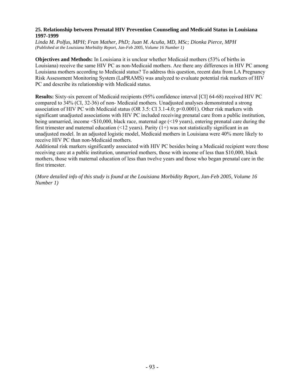#### **25. Relationship between Prenatal HIV Prevention Counseling and Medicaid Status in Louisiana 1997-1999**

*Linda M. Polfus, MPH; Fran Mather, PhD; Juan M. Acuña, MD, MSc; Dionka Pierce, MPH (Published at the Louisiana Morbidity Report, Jan-Feb 2005, Volume 16 Number 1)* 

**Objectives and Methods:** In Louisiana it is unclear whether Medicaid mothers (53% of births in Louisiana) receive the same HIV PC as non-Medicaid mothers. Are there any differences in HIV PC among Louisiana mothers according to Medicaid status? To address this question, recent data from LA Pregnancy Risk Assessment Monitoring System (LaPRAMS) was analyzed to evaluate potential risk markers of HIV PC and describe its relationship with Medicaid status.

**Results:** Sixty-six percent of Medicaid recipients (95% confidence interval [CI] 64-68) received HIV PC compared to 34% (CI, 32-36) of non- Medicaid mothers. Unadjusted analyses demonstrated a strong association of HIV PC with Medicaid status (OR 3.5: CI 3.1-4.0; p<0.0001). Other risk markers with significant unadjusted associations with HIV PC included receiving prenatal care from a public institution, being unmarried, income <\$10,000, black race, maternal age (<19 years), entering prenatal care during the first trimester and maternal education (<12 years). Parity  $(1+)$  was not statistically significant in an unadjusted model. In an adjusted logistic model, Medicaid mothers in Louisiana were 40% more likely to receive HIV PC than non-Medicaid mothers.

Additional risk markers significantly associated with HIV PC besides being a Medicaid recipient were those receiving care at a public institution, unmarried mothers, those with income of less than \$10,000, black mothers, those with maternal education of less than twelve years and those who began prenatal care in the first trimester.

(*More detailed info of this study is found at the Louisiana Morbidity Report, Jan-Feb 2005, Volume 16 Number 1)*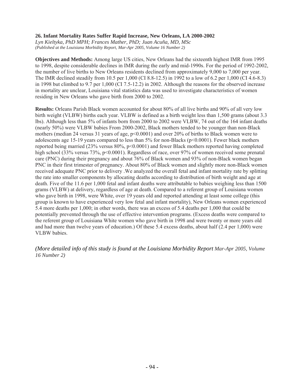## **26. Infant Mortality Rates Suffer Rapid Increase, New Orleans, LA 2000-2002**

*Lyn Kieltyka, PhD MPH; Frances Mather, PhD; Juan Acuña, MD, MSc (Published at the Louisiana Morbidity Report, Mar-Apr 2005, Volume 16 Number 2)*

**Objectives and Methods:** Among large US cities, New Orleans had the sixteenth highest IMR from 1995 to 1998, despite considerable declines in IMR during the early and mid-1990s. For the period of 1992-2002, the number of live births to New Orleans residents declined from approximately 9,000 to 7,000 per year. The IMR declined steadily from 10.5 per 1,000 (CI 8.8-12.5) in 1992 to a low of 6.2 per 1,000 (CI 4.6-8.3) in 1998 but climbed to 9.7 per 1,000 (CI 7.5-12.2) in 2002. Although the reasons for the observed increase in mortality are unclear, Louisiana vital statistics data was used to investigate characteristics of women residing in New Orleans who gave birth from 2000 to 2002.

**Results:** Orleans Parish Black women accounted for about 80% of all live births and 90% of all very low birth weight (VLBW) births each year. VLBW is defined as a birth weight less than 1,500 grams (about 3.3 lbs). Although less than 5% of infants born from 2000 to 2002 were VLBW, 74 out of the 164 infant deaths (nearly 50%) were VLBW babies From 2000-2002, Black mothers tended to be younger than non-Black mothers (median 24 versus 31 years of age,  $p<0.0001$ ) and over 20% of births to Black women were to adolescents age 15-19 years compared to less than 5% for non-Blacks (p<0.0001). Fewer black mothers reported being married (23% versus 80%, p<0.0001) and fewer Black mothers reported having completed high school (33% versus 73%, p<0.0001). Regardless of race, over 97% of women received some prenatal care (PNC) during their pregnancy and about 76% of Black women and 93% of non-Black women began PNC in their first trimester of pregnancy. About 80% of Black women and slightly more non-Black women received adequate PNC prior to delivery .We analyzed the overall fetal and infant mortality rate by splitting the rate into smaller components by allocating deaths according to distribution of birth weight and age at death. Five of the 11.6 per 1,000 fetal and infant deaths were attributable to babies weighing less than 1500 grams (VLBW) at delivery, regardless of age at death. Compared to a referent group of Louisiana women who gave birth in 1998, were White, over 19 years old and reported attending at least some college (this group is known to have experienced very low fetal and infant mortality), New Orleans women experienced 5.4 more deaths per 1,000; in other words, there was an excess of 5.4 deaths per 1,000 that could be potentially prevented through the use of effective intervention programs. (Excess deaths were compared to the referent group of Louisiana White women who gave birth in 1998 and were twenty or more years old and had more than twelve years of education.) Of these 5.4 excess deaths, about half (2.4 per 1,000) were VLBW babies.

*(More detailed info of this study is found at the Louisiana Morbidity Report Mar-Apr 2005, Volume 16 Number 2)*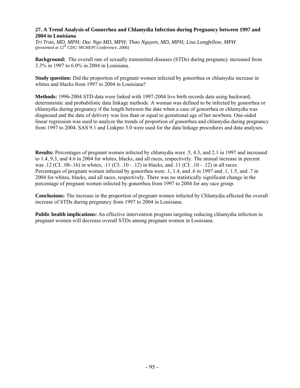### **27. A Trend Analysis of Gonorrhea and Chlamydia Infection during Pregnancy between 1997 and 2004 in Louisiana**

*Tri Tran, MD, MPH; Duc Ngo MD, MPH; Thao Nguyen, MD, MPH; Lisa Longfellow, MPH (presented at 12th CDC/ MCHEPI Conference*, *2006)* 

**Background:** The overall rate of sexually transmitted diseases (STDs) during pregnancy increased from 3.3% in 1997 to 6.0% in 2004 in Louisiana.

**Study question:** Did the proportion of pregnant women infected by gonorrhea or chlamydia increase in whites and blacks from 1997 to 2004 in Louisiana?

**Methods:** 1996-2004 STD data were linked with 1997-2004 live birth records data using backward, deterministic and probabilistic data linkage methods. A woman was defined to be infected by gonorrhea or chlamydia during pregnancy if the length between the date when a case of gonorrhea or chlamydia was diagnosed and the date of delivery was less than or equal to gestational age of her newborn. One-sided linear regression was used to analyze the trends of proportion of gonorrhea and chlamydia during pregnancy from 1997 to 2004. SAS 9.1 and Linkpro 3.0 were used for the data linkage procedures and data analyses.

**Results:** Percentages of pregnant women infected by chlamydia were .5, 4.3, and 2.1 in 1997 and increased to 1.4, 9.3, and 4.6 in 2004 for whites, blacks, and all races, respectively. The annual increase in percent was .12 (CI: .08-.16) in whites, .11 (CI: .10 - .12) in blacks, and .11 (CI: .10 - .12) in all races. Percentages of pregnant women infected by gonorrhea were .1, 1.4, and .6 in 1997 and .1, 1.5, and .7 in 2004 for whites, blacks, and all races, respectively. There was no statistically significant change in the percentage of pregnant women infected by gonorrhea from 1997 to 2004 for any race group.

**Conclusions:** The increase in the proportion of pregnant women infected by Chlamydia affected the overall increase of STDs during pregnancy from 1997 to 2004 in Louisiana.

**Public health implications:** An effective intervention program targeting reducing chlamydia infection in pregnant women will decrease overall STDs among pregnant women in Louisiana.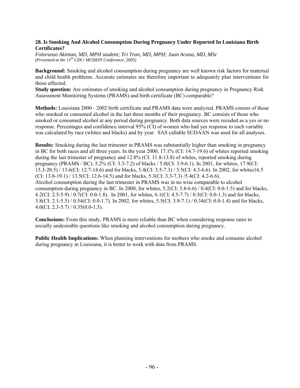## **28. Is Smoking And Alcohol Consumption During Pregnancy Under Reported In Louisiana Birth Certificates?**

*Folorunso Akintan, MD, MPH student; Tri Tran, MD, MPH; Juan Acuna, MD, MSc (Presented at the 11th CDC/ MCHEPI Conference*, *2005)* 

**Background:** Smoking and alcohol consumption during pregnancy are well known risk factors for maternal and child health problems. Accurate estimates are therefore important to adequately plan interventions for those affected.

**Study question:** Are estimates of smoking and alcohol consumption during pregnancy in Pregnancy Risk Assessment Monitoring Systems (PRAMS) and birth certificate (BC) comparable?

**Methods:** Louisiana 2000 - 2002 birth certificate and PRAMS data were analyzed. PRAMS consist of those who smoked or consumed alcohol in the last three months of their pregnancy. BC consists of those who smoked or consumed alcohol at any period during pregnancy. Both data sources were recoded as a yes or no response. Percentages and confidence interval 95% (CI) of women who had yes response to each variable was calculated by race (whites and blacks) and by year. SAS callable SUDAAN was used for all analyses.

**Results:** Smoking during the last trimester in PRAMS was substantially higher than smoking in pregnancy in BC for both races and all three years. In the year 2000, 17.1% (CI: 14.7-19.6) of whites reported smoking during the last trimester of pregnancy and 12.8% (CI: 11.8-13.8) of whites, reported smoking during pregnancy (PRAMS / BC). 5.2% (CI: 3.3-7.2) of blacks / 5.0(CI: 3.9-6.1). In 2001, for whites, 17.9(CI: 15.3-20.5) / 13.6(CI: 12.7-14.6) and for blacks, 5.4(CI: 3.5-7.3) / 5.5(CI: 4.3-6.6). In 2002, for whites16.5  $(CI: 13.8-19.1) / 13.5(CI: 12.6-14.5)$  and for blacks, 5.3(CI: 3.3-7.3) /5.4(CI: 4.2-6.6). Alcohol consumption during the last trimester in PRAMS was in no wise comparable to alcohol consumption during pregnancy in BC. In 2000, for whites, 5.2(CI: 3.8-6.6) / 0.4(CI: 0.0-1.5) and for blacks, 4.2(CI: 2.5-5.9) / 0.7(CI: 0.0-1.8). In 2001, for whites, 6.1(CI: 4.5-7.7) / 0.3(CI: 0.0-1.3) and for blacks, 3.8(CI: 2.1-5.5) / 0.54(CI: 0.0-1.7). In 2002, for whites, 5.5(CI: 3.9-7.1) / 0.34(CI: 0.0-1.4) and for blacks,  $4.0$ (CI: 2.3-5.7) / 0.35(0.0-1.5).

**Conclusions:** From this study, PRAMS is more reliable than BC when considering response rates to socially undesirable questions like smoking and alcohol consumption during pregnancy.

**Public Health Implications:** When planning interventions for mothers who smoke and consume alcohol during pregnancy in Louisiana, it is better to work with data from PRAMS.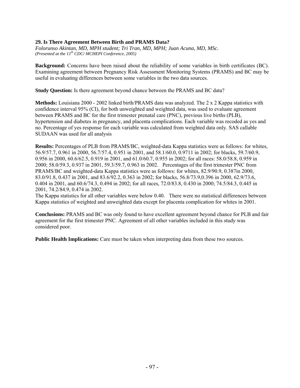# **29. Is There Agreement Between Birth and PRAMS Data?**

*Folorunso Akintan, MD, MPH student; Tri Tran, MD, MPH; Juan Acuna, MD, MSc. (Presented at the 11th CDC/ MCHEPI Conference*, *2005)* 

**Background:** Concerns have been raised about the reliability of some variables in birth certificates (BC). Examining agreement between Pregnancy Risk Assessment Monitoring Systems (PRAMS) and BC may be useful in evaluating differences between some variables in the two data sources.

**Study Question:** Is there agreement beyond chance between the PRAMS and BC data?

**Methods:** Louisiana 2000 - 2002 linked birth/PRAMS data was analyzed. The 2 x 2 Kappa statistics with confidence interval 95% (CI), for both unweighted and weighted data, was used to evaluate agreement between PRAMS and BC for the first trimester prenatal care (PNC), previous live births (PLB), hypertension and diabetes in pregnancy, and placenta complications. Each variable was recoded as yes and no. Percentage of yes response for each variable was calculated from weighted data only. SAS callable SUDAAN was used for all analysis

**Results:** Percentages of PLB from PRAMS/BC, weighted-data Kappa statistics were as follows: for whites, 56.9/57.7, 0.961 in 2000, 56.7/57.4, 0.951 in 2001, and 58.1/60.0, 0.9711 in 2002; for blacks, 59.7/60.9, 0.956 in 2000, 60.6/62.5, 0.919 in 2001, and 61.0/60.7, 0.955 in 2002; for all races: 58.0/58.8, 0.959 in 2000; 58.0/59.3, 0.937 in 2001, 59.3/59.7, 0.963 in 2002. Percentages of the first trimester PNC from PRAMS/BC and weighted-data Kappa statistics were as follows: for whites, 82.9/90.9, 0.387in 2000, 83.0/91.8, 0.437 in 2001, and 83.6/92.2, 0.363 in 2002; for blacks, 56.8/73.9,0.396 in 2000, 62.9/73.6, 0.404 in 2001, and 60.6/74.3, 0.494 in 2002; for all races, 72.0/83.8, 0.430 in 2000; 74.5/84.3, 0.445 in 2001, 74.2/84.9, 0.474 in 2002.

The Kappa statistics for all other variables were below 0.40. There were no statistical differences between Kappa statistics of weighted and unweighted data except for placenta complication for whites in 2001.

**Conclusions:** PRAMS and BC was only found to have excellent agreement beyond chance for PLB and fair agreement for the first trimester PNC. Agreement of all other variables included in this study was considered poor.

**Public Health Implications:** Care must be taken when interpreting data from these two sources.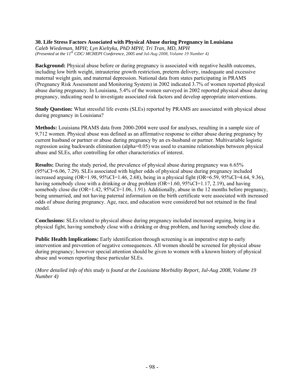#### **30. Life Stress Factors Associated with Physical Abuse during Pregnancy in Louisiana**

*Caleb Wiedeman, MPH; Lyn Kieltyka, PhD MPH; Tri Tran, MD, MPH (Presented at the 11th CDC/ MCHEPI Conference*, *2005 and Jul-Aug 2008, Volume 19 Number 4)*

**Background:** Physical abuse before or during pregnancy is associated with negative health outcomes, including low birth weight, intrauterine growth restriction, preterm delivery, inadequate and excessive maternal weight gain, and maternal depression. National data from states participating in PRAMS (Pregnancy Risk Assessment and Monitoring System) in 2002 indicated 3.7% of women reported physical abuse during pregnancy. In Louisiana, 5.4% of the women surveyed in 2002 reported physical abuse during pregnancy, indicating need to investigate associated risk factors and develop appropriate interventions.

**Study Question:** What stressful life events (SLEs) reported by PRAMS are associated with physical abuse during pregnancy in Louisiana?

**Methods:** Louisiana PRAMS data from 2000-2004 were used for analyses, resulting in a sample size of 9,712 women. Physical abuse was defined as an affirmative response to either abuse during pregnancy by current husband or partner or abuse during pregnancy by an ex-husband or partner. Multivariable logistic regression using backwards elimination (alpha=0.05) was used to examine relationships between physical abuse and SLEs, after controlling for other characteristics of interest.

**Results:** During the study period, the prevalence of physical abuse during pregnancy was 6.65% (95%CI=6.06, 7.29). SLEs associated with higher odds of physical abuse during pregnancy included increased arguing (OR=1.98,  $95\%$ CI=1.46, 2.68), being in a physical fight (OR=6.59,  $95\%$ CI=4.64, 9.36), having somebody close with a drinking or drug problem (OR=1.60, 95%CI=1.17, 2.19), and having somebody close die (OR=1.42, 95%CI=1.06, 1.91). Additionally, abuse in the 12 months before pregnancy, being unmarried, and not having paternal information on the birth certificate were associated with increased odds of abuse during pregnancy. Age, race, and education were considered but not retained in the final model.

**Conclusions:** SLEs related to physical abuse during pregnancy included increased arguing, being in a physical fight, having somebody close with a drinking or drug problem, and having somebody close die.

**Public Health Implications:** Early identification through screening is an imperative step to early intervention and prevention of negative consequences. All women should be screened for physical abuse during pregnancy; however special attention should be given to women with a known history of physical abuse and women reporting these particular SLEs.

(*More detailed info of this study is found at the Louisiana Morbidity Report, Jul-Aug 2008, Volume 19 Number 4)*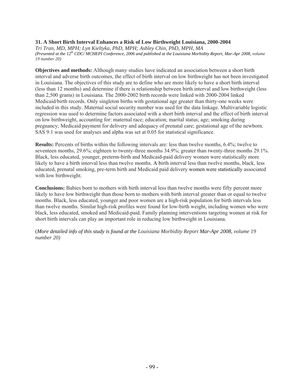## **31. A Short Birth Interval Enhances a Risk of Low Birthweight Louisiana, 2000-2004**

*Tri Tran, MD, MPH; Lyn Kieltyka, PhD, MPH; Ashley Chin, PhD, MPH, MA (Presented at the 12th CDC/ MCHEPI Conference, 2006 and published at the Louisiana Morbidity Report, Mar-Apr 2008, volume 19 number 20)*

**Objectives and methods:** Although many studies have indicated an association between a short birth interval and adverse birth outcomes, the effect of birth interval on low birthweight has not been investigated in Louisiana. The objectives of this study are to define who are more likely to have a short birth interval (less than 12 months) and determine if there is relationship between birth interval and low birthweight (less than 2,500 grams) in Louisiana. The 2000-2002 birth records were linked with 2000-2004 linked Medicaid/birth records. Only singleton births with gestational age greater than thirty-one weeks were included in this study. Maternal social security number was used for the data linkage. Multivariable logistic regression was used to determine factors associated with a short birth interval and the effect of birth interval on low birthweight, accounting for: maternal race; education; marital status; age; smoking during pregnancy; Medicaid payment for delivery and adequacy of prenatal care; gestational age of the newborn. SAS 9.1 was used for analyses and alpha was set at 0.05 for statistical significance.

**Results:** Percents of births within the following intervals are: less than twelve months, 6.4%; twelve to seventeen months, 29.6%; eighteen to twenty-three months 34.9%; greater than twenty-three months 29.1%. Black, less educated, younger, preterm-birth and Medicaid-paid delivery women were statistically more likely to have a birth interval less than twelve months. A birth interval less than twelve months, black, less educated, prenatal smoking, pre-term birth and Medicaid paid delivery women were statistically associated with low birthweight.

**Conclusions:** Babies born to mothers with birth interval less than twelve months were fifty percent more likely to have low birthweight than those born to mothers with birth interval greater than or equal to twelve months. Black, less educated, younger and poor women are a high-risk population for birth intervals less than twelve months. Similar high-risk profiles were found for low-birth weight, including women who were black, less educated, smoked and Medicaid-paid. Family planning interventions targeting women at risk for short birth intervals can play an important role in reducing low birthweight in Louisiana.

(*More detailed info of this study is found at the Louisiana Morbidity Report Mar-Apr 2008, volume 19 number 20)*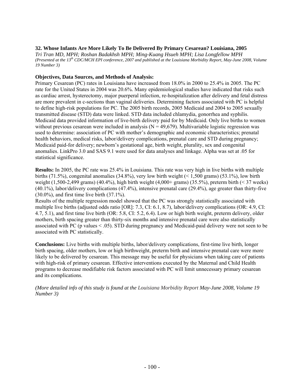## **32. Whose Infants Are More Likely To Be Delivered By Primary Cesarean? Louisiana, 2005**

*Tri Tran MD, MPH; Roshan Badakhsh MPH; Ming-Kuang Hsueh MPH; Lisa Longfellow MPH (Presented at the 13th CDC/MCH EPI conference, 2007 and published at the Louisiana Morbidity Report, May-June 2008, Volume 19 Number 3)* 

## **Objectives, Data Sources, and Methods of Analysis:**

Primary Cesarean (PC) rates in Louisiana have increased from 18.0% in 2000 to 25.4% in 2005. The PC rate for the United States in 2004 was 20.6%. Many epidemiological studies have indicated that risks such as cardiac arrest, hysterectomy, major puerperal infection, re-hospitalization after delivery and fetal distress are more prevalent in c-sections than vaginal deliveries. Determining factors associated with PC is helpful to define high-risk populations for PC. The 2005 birth records, 2005 Medicaid and 2004 to 2005 sexually transmitted disease (STD) data were linked. STD data included chlamydia, gonorrhea and syphilis. Medicaid data provided information of live-birth delivery paid for by Medicaid. Only live births to women without previous cesarean were included in analysis ( $N = 49,679$ ). Multivariable logistic regression was used to determine: association of PC with mother's demographic and economic characteristics; prenatal health behaviors, medical risks, labor/delivery complications, prenatal care and STD during pregnancy; Medicaid paid-for delivery; newborn's gestational age, birth weight, plurality, sex and congenital anomalies. LinkPro 3.0 and SAS 9.1 were used for data analyses and linkage. Alpha was set at .05 for statistical significance.

**Results:** In 2005, the PC rate was 25.4% in Louisiana. This rate was very high in live births with multiple births (71.5%), congenital anomalies (34.8%), very low birth weight (< 1,500 grams) (53.1%), low birth weight (1,500-2,499 grams) (40.4%), high birth weight (4,000+ grams) (35.5%), preterm birth (< 37 weeks) (40.1%), labor/delivery complications (47.4%), intensive prenatal care (29.4%), age greater than thirty-five (30.0%), and first time live birth (37.1%).

Results of the multiple regression model showed that the PC was strongly statistically associated with multiple live births (adjusted odds ratio [OR]: 7.3, CI: 6.1, 8.7), labor/delivery complications (OR: 4.9, CI: 4.7, 5.1), and first time live birth (OR: 5.8, CI: 5.2, 6.4). Low or high birth weight, preterm delivery, older mothers, birth spacing greater than thirty-six months and intensive prenatal care were also statistically associated with PC (p values < .05). STD during pregnancy and Medicaid-paid delivery were not seen to be associated with PC statistically.

**Conclusions:** Live births with multiple births, labor/delivery complications, first-time live birth, longer birth spacing, older mothers, low or high birthweight, preterm birth and intensive prenatal care were more likely to be delivered by cesarean. This message may be useful for physicians when taking care of patients with high-risk of primary cesarean. Effective interventions executed by the Maternal and Child Health programs to decrease modifiable risk factors associated with PC will limit unnecessary primary cesarean and its complications.

*(More detailed info of this study is found at the Louisiana Morbidity Report May-June 2008, Volume 19 Number 3)*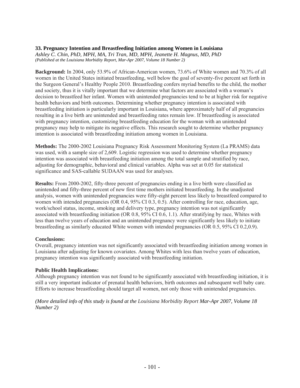## **33. Pregnancy Intention and Breastfeeding Initiation among Women in Louisiana**

*Ashley C. Chin, PhD, MPH, MA, Tri Tran, MD, MPH, Jeanette H. Magnus, MD, PhD (Published at the Louisiana Morbidity Report, Mar-Apr 2007, Volume 18 Number 2)* 

**Background:** In 2004, only 53.9% of African-American women, 73.6% of White women and 70.3% of all women in the United States initiated breastfeeding, well below the goal of seventy-five percent set forth in the Surgeon General's Healthy People 2010. Breastfeeding confers myriad benefits to the child, the mother and society, thus it is vitally important that we determine what factors are associated with a woman's decision to breastfeed her infant. Women with unintended pregnancies tend to be at higher risk for negative health behaviors and birth outcomes. Determining whether pregnancy intention is associated with breastfeeding initiation is particularly important in Louisiana, where approximately half of all pregnancies resulting in a live birth are unintended and breastfeeding rates remain low. If breastfeeding is associated with pregnancy intention, customizing breastfeeding education for the woman with an unintended pregnancy may help to mitigate its negative effects. This research sought to determine whether pregnancy intention is associated with breastfeeding initiation among women in Louisiana.

**Methods:** The 2000-2002 Louisiana Pregnancy Risk Assessment Monitoring System (La PRAMS) data was used, with a sample size of 2,609. Logistic regression was used to determine whether pregnancy intention was associated with breastfeeding initiation among the total sample and stratified by race, adjusting for demographic, behavioral and clinical variables. Alpha was set at 0.05 for statistical significance and SAS-callable SUDAAN was used for analyses.

**Results:** From 2000-2002, fifty-three percent of pregnancies ending in a live birth were classified as unintended and fifty-three percent of new first time mothers initiated breastfeeding. In the unadjusted analysis, women with unintended pregnancies were fifty-eight percent less likely to breastfeed compared to women with intended pregnancies (OR 0.4, 95% CI 0.3, 0.5). After controlling for race, education, age, work/school status, income, smoking and delivery type, pregnancy intention was not significantly associated with breastfeeding initiation (OR 0.8, 95% CI 0.6, 1.1). After stratifying by race, Whites with less than twelve years of education and an unintended pregnancy were significantly less likely to initiate breastfeeding as similarly educated White women with intended pregnancies (OR 0.5, 95% CI 0.2,0.9).

# **Conclusions:**

Overall, pregnancy intention was not significantly associated with breastfeeding initiation among women in Louisiana after adjusting for known covariates. Among Whites with less than twelve years of education, pregnancy intention was significantly associated with breastfeeding initiation.

# **Public Health Implications:**

Although pregnancy intention was not found to be significantly associated with breastfeeding initiation, it is still a very important indicator of prenatal health behaviors, birth outcomes and subsequent well baby care. Efforts to increase breastfeeding should target all women, not only those with unintended pregnancies.

#### *(More detailed info of this study is found at the Louisiana Morbidity Report Mar-Apr 2007, Volume 18 Number 2)*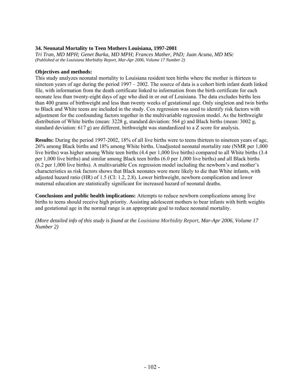## **34. Neonatal Mortality to Teen Mothers Louisiana, 1997-2001**

*Tri Tran, MD MPH; Genet Burka, MD MPH; Frances Mather, PhD; Juan Acuna, MD MSc (Published at the Louisiana Morbidity Report, Mar-Apr 2006, Volume 17 Number 2)* 

#### **Objectives and methods:**

This study analyzes neonatal mortality to Louisiana resident teen births where the mother is thirteen to nineteen years of age during the period 1997 – 2002. The source of data is a cohort birth infant death linked file, with information from the death certificate linked to information from the birth certificate for each neonate less than twenty-eight days of age who died in or out of Louisiana. The data excludes births less than 400 grams of birthweight and less than twenty weeks of gestational age. Only singleton and twin births to Black and White teens are included in the study. Cox regression was used to identify risk factors with adjustment for the confounding factors together in the multivariable regression model. As the birthweight distribution of White births (mean: 3228 g, standard deviation: 564 g) and Black births (mean: 3002 g, standard deviation: 617 g) are different, birthweight was standardized to a Z score for analysis.

**Results:** During the period 1997-2002, 18% of all live births were to teens thirteen to nineteen years of age, 26% among Black births and 18% among White births. Unadjusted neonatal mortality rate (NMR per 1,000 live births) was higher among White teen births (4.4 per 1,000 live births) compared to all White births (3.4 per 1,000 live births) and similar among Black teen births (6.0 per 1,000 live births) and all Black births (6.2 per 1,000 live births). A multivariable Cox regression model including the newborn's and mother's characteristics as risk factors shows that Black neonates were more likely to die than White infants, with adjusted hazard ratio (HR) of 1.5 (CI: 1.2, 2.8). Lower birthweight, newborn complication and lower maternal education are statistically significant for increased hazard of neonatal deaths.

**Conclusions and public health implications:** Attempts to reduce newborn complications among live births to teens should receive high priority. Assisting adolescent mothers to bear infants with birth weights and gestational age in the normal range is an appropriate goal to reduce neonatal mortality.

*(More detailed info of this study is found at the Louisiana Morbidity Report, Mar-Apr 2006, Volume 17 Number 2)*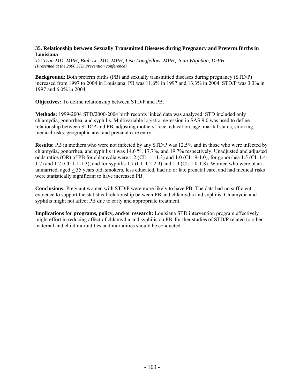### **35. Relationship between Sexually Transmitted Diseases during Pregnancy and Preterm Births in Louisiana**

*Tri Tran MD, MPH, Binh Le, MD, MPH, Lisa Longfellow, MPH, Joan Wightkin, DrPH. (Presented at the 2006 STD Prevention conference)* 

**Background**: Both preterm births (PB) and sexually transmitted diseases during pregnancy (STD/P) increased from 1997 to 2004 in Louisiana. PB was 11.6% in 1997 and 13.3% in 2004. STD/P was 3.3% in 1997 and 6.0% in 2004

**Objectives:** To define relationship between STD/P and PB.

**Methods:** 1999-2004 STD/2000-2004 birth records linked data was analyzed. STD included only chlamydia, gonorrhea, and syphilis. Multivariable logistic regression in SAS 9.0 was used to define relationship between STD/P and PB, adjusting mothers' race, education, age, marital status, smoking, medical risks, geographic area and prenatal care entry.

**Results:** PB in mothers who were not infected by any STD/P was 12.5% and in those who were infected by chlamydia, gonorrhea, and syphilis it was 14.6 %, 17.7%, and 19.7% respectively. Unadjusted and adjusted odds ratios (OR) of PB for chlamydia were 1.2 (CI: 1.1-1.3) and 1.0 (CI: .9-1.0), for gonorrhea 1.5 (CI: 1.4-1.7) and 1.2 (CI: 1.1-1.3), and for syphilis 1.7 (CI: 1.2-2.3) and 1.3 (CI: 1.0-1.8). Women who were black, unmarried, aged  $\geq$  35 years old, smokers, less educated, had no or late prenatal care, and had medical risks were statistically significant to have increased PB.

**Conclusions:** Pregnant women with STD/P were more likely to have PB. The data had no sufficient evidence to support the statistical relationship between PB and chlamydia and syphilis. Chlamydia and syphilis might not affect PB due to early and appropriate treatment.

**Implications for programs, policy, and/or research:** Louisiana STD intervention program effectively might effort in reducing affect of chlamydia and syphilis on PB. Further studies of STD/P related to other maternal and child morbidities and mortalities should be conducted.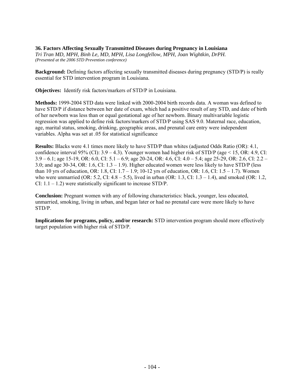## **36. Factors Affecting Sexually Transmitted Diseases during Pregnancy in Louisiana**

*Tri Tran MD, MPH, Binh Le, MD, MPH, Lisa Longfellow, MPH, Joan Wightkin, DrPH. (Presented at the 2006 STD Prevention conference)* 

**Background:** Defining factors affecting sexually transmitted diseases during pregnancy (STD/P) is really essential for STD intervention program in Louisiana.

**Objectives:** Identify risk factors/markers of STD/P in Louisiana.

**Methods:** 1999-2004 STD data were linked with 2000-2004 birth records data. A woman was defined to have STD/P if distance between her date of exam, which had a positive result of any STD, and date of birth of her newborn was less than or equal gestational age of her newborn. Binary multivariable logistic regression was applied to define risk factors/markers of STD/P using SAS 9.0. Maternal race, education, age, marital status, smoking, drinking, geographic areas, and prenatal care entry were independent variables. Alpha was set at .05 for statistical significance

**Results:** Blacks were 4.1 times more likely to have STD/P than whites (adjusted Odds Ratio (OR): 4.1, confidence interval 95% (CI):  $3.9 - 4.3$ ). Younger women had higher risk of STD/P (age < 15, OR: 4.9, CI: 3.9 – 6.1; age 15-19, OR: 6.0, CI: 5.1 – 6.9; age 20-24, OR: 4.6, CI: 4.0 – 5.4; age 25-29, OR: 2.6, CI: 2.2 – 3.0; and age 30-34, OR: 1.6, CI: 1.3 – 1.9). Higher educated women were less likely to have STD/P (less than 10 yrs of education, OR: 1.8, CI:  $1.7 - 1.9$ ; 10-12 yrs of education, OR: 1.6, CI: 1.5 – 1.7). Women who were unmarried (OR: 5.2, CI:  $4.8 - 5.5$ ), lived in urban (OR: 1.3, CI:  $1.3 - 1.4$ ), and smoked (OR: 1.2, CI:  $1.1 - 1.2$ ) were statistically significant to increase STD/P.

**Conclusion:** Pregnant women with any of following characteristics: black, younger, less educated, unmarried, smoking, living in urban, and began later or had no prenatal care were more likely to have STD/P.

**Implications for programs, policy, and/or research:** STD intervention program should more effectively target population with higher risk of STD/P.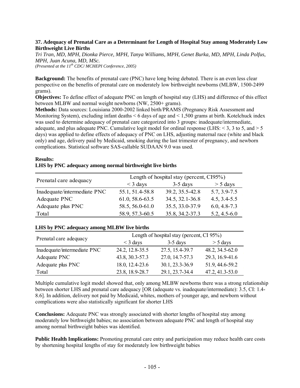## **37. Adequacy of Prenatal Care as a Determinant for Length of Hospital Stay among Moderately Low Birthweight Live Births**

*Tri Tran, MD, MPH, Dionka Pierce, MPH, Tanya Williams, MPH, Genet Burka, MD, MPH, Linda Polfus, MPH, Juan Acuna, MD, MSc. (Presented at the 11<sup>th</sup> CDC/MCHEPI Conference, 2005)* 

**Background:** The benefits of prenatal care (PNC) have long being debated. There is an even less clear perspective on the benefits of prenatal care on moderately low birthweight newborns (MLBW, 1500-2499 grams).

**Objectives:** To define effect of adequate PNC on length of hospital stay (LHS) and difference of this effect between MLBW and normal weight newborns (NW, 2500+ grams).

**Methods:** Data sources: Louisiana 2000-2002 linked birth/PRAMS (Pregnancy Risk Assessment and Monitoring System), excluding infant deaths < 6 days of age and < 1,500 grams at birth. Kotelchuck index was used to determine adequacy of prenatal care categorized into 3 groups: inadequate/intermediate, adequate, and plus adequate PNC. Cumulative logit model for ordinal response (LHS:  $\leq$  3, 3 to 5, and  $\geq$  5 days) was applied to define effects of adequacy of PNC on LHS, adjusting maternal race (white and black only) and age, delivery paid by Medicaid, smoking during the last trimester of pregnancy, and newborn complications. Statistical software SAS-callable SUDAAN 9.0 was used.

## **Results: LHS by PNC adequacy among normal birthweight live births**

| Prenatal care adequacy      | Length of hospital stay (percent, CI95%) |                 |                  |  |
|-----------------------------|------------------------------------------|-----------------|------------------|--|
|                             | $\leq$ 3 days                            | $3-5$ days      | $> 5$ days       |  |
| Inadequate/intermediate PNC | 55.1, 51.4-58.8                          | 39.2, 35.5-42.8 | $5.7, 3.9 - 7.5$ |  |
| Adequate PNC                | 61.0, 58.6-63.5                          | 34.5, 32.1-36.8 | $4.5, 3.4 - 5.5$ |  |
| Adequate plus PNC           | 58.5, 56.0-61.0                          | 35.5, 33.0-37.9 | $6.0, 4.8 - 7.3$ |  |
| Total                       | 58.9, 57.3-60.5                          | 35.8, 34.2-37.3 | $5.2, 4.5 - 6.0$ |  |

# **LHS by PNC adequacy among MLBW live births**

| Prenatal care adequacy      | Length of hospital stay (percent, CI 95%) |                 |                     |
|-----------------------------|-------------------------------------------|-----------------|---------------------|
|                             | $<$ 3 days                                | $3-5$ days      | $> 5$ days          |
| Inadequate/intermediate PNC | 24.2, 12.8-35.5                           | 27.5, 15.4-39.7 | 48.2, 34.5-62.0     |
| Adequate PNC                | 43.8, 30.3-57.3                           | 27.0, 14.7-57.3 | 29.3, 16.9-41.6     |
| Adequate plus PNC           | 18.0, 12.4-23.6                           | 30.1, 23.3-36.9 | 51.9, 44.6-59.2     |
| Total                       | 23.8, 18.9-28.7                           | 29.1, 23.7-34.4 | $47.2, 41.3 - 53.0$ |

Multiple cumulative logit model showed that, only among MLBW newborns there was a strong relationship between shorter LHS and prenatal care adequacy [OR (adequate vs. inadequate/intermediate): 3.5, CI: 1.4-8.6]. In addition, delivery not paid by Medicaid, whites, mothers of younger age, and newborn without complications were also statistically significant for shorter LHS

**Conclusions:** Adequate PNC was strongly associated with shorter lengths of hospital stay among moderately low birthweight babies; no association between adequate PNC and length of hospital stay among normal birthweight babies was identified.

**Public Health Implications:** Promoting prenatal care entry and participation may reduce health care costs by shortening hospital lengths of stay for moderately low birthweight babies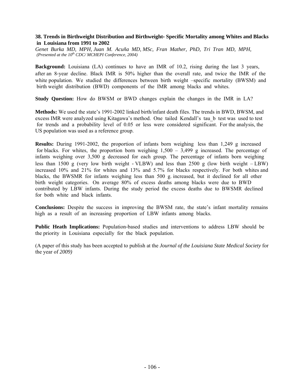## **38. Trends in Birthweight Distribution and Birthweight‐ Specific Mortality among Whites and Blacks in Louisiana from 1991 to 2002**

*Genet Burka MD, MPH, Juan M. Acuña MD, MSc, Fran Mather, PhD, Tri Tran MD, MPH, (Presented at the 10<sup>th</sup> CDC/MCHEPI Conference, 2004)* 

**Background:** Louisiana (LA) continues to have an IMR of 10.2, rising during the last 3 years, after an 8‐year decline. Black IMR is 50% higher than the overall rate, and twice the IMR of the white population. We studied the differences between birth weight –specific mortality (BWSM) and birth weight distribution (BWD) components of the IMR among blacks and whites.

**Study Question:** How do BWSM or BWD changes explain the changes in the IMR in LA?

**Methods:** We used the state's 1991‐2002 linked birth/infant death files. The trends in BWD, BWSM, and excess IMR were analyzed using Kitagawa's method.One tailedKendall's tau\_b test was used to test for trends and a probability level of 0.05 or less were considered significant. For the analysis, the US population was used as a reference group.

**Results:** During 1991‐2002, the proportion of infants born weighing less than 1,249 g increased for blacks. For whites, the proportion born weighing 1,500 – 3,499 g increased. The percentage of infants weighing over 3,500 g decreased for each group. The percentage of infants born weighing less than 1500 g (very low birth weight ‐ VLBW) and less than 2500 g (low birth weight – LBW) increased 10% and 21% for whites and 13% and 5.7% for blacks respectively. For both whites and blacks, the BWSMR for infants weighing less than 500 g. increased, but it declined for all other birth weight categories. On average 80% of excess deaths among blacks were due to BWD contributed by LBW infants. During the study period the excess deaths due to BWSMR declined for both white and black infants.

**Conclusions:** Despite the success in improving the BWSM rate, the state's infant mortality remains high as a result of an increasing proportion of LBW infants among blacks.

**Public Heath Implications:** Population‐based studies and interventions to address LBW should be the priority in Louisiana especially for the black population.

(A paper of this study has been accepted to publish at the *Journal of the Louisiana State Medical Society* for the year of *2009)*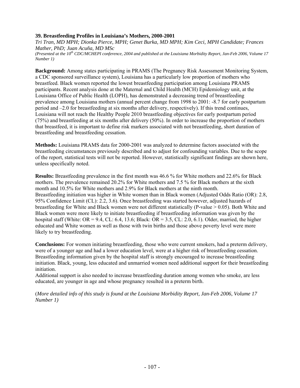## **39. Breastfeeding Profiles in Louisiana's Mothers, 2000-2001**

*Tri Tran, MD MPH; Dionka Pierce, MPH; Genet Burka, MD MPH; Kim Ceci, MPH Candidate; Frances Mather, PhD; Juan Acuña, MD MSc*

*(Presented at the 10th CDC/MCHEPI conference, 2004 and published at the Louisiana Morbidity Report, Jan-Feb 2006, Volume 17 Number 1)* 

**Background:** Among states participating in PRAMS (The Pregnancy Risk Assessment Monitoring System, a CDC sponsored surveillance system), Louisiana has a particularly low proportion of mothers who breastfeed. Black women reported the lowest breastfeeding participation among Louisiana PRAMS participants. Recent analysis done at the Maternal and Child Health (MCH) Epidemiology unit, at the Louisiana Office of Public Health (LOPH), has demonstrated a decreasing trend of breastfeeding prevalence among Louisiana mothers (annual percent change from 1998 to 2001: -8.7 for early postpartum period and –2.0 for breastfeeding at six months after delivery, respectively). If this trend continues, Louisiana will not reach the Healthy People 2010 breastfeeding objectives for early postpartum period (75%) and breastfeeding at six months after delivery (50%). In order to increase the proportion of mothers that breastfeed, it is important to define risk markers associated with not breastfeeding, short duration of breastfeeding and breastfeeding cessation.

**Methods:** Louisiana PRAMS data for 2000-2001 was analyzed to determine factors associated with the breastfeeding circumstances previously described and to adjust for confounding variables. Due to the scope of the report, statistical tests will not be reported. However, statistically significant findings are shown here, unless specifically noted.

**Results:** Breastfeeding prevalence in the first month was 46.6 % for White mothers and 22.6% for Black mothers. The prevalence remained 20.2% for White mothers and 7.5 % for Black mothers at the sixth month and 10.5% for White mothers and 2.9% for Black mothers at the ninth month. Breastfeeding initiation was higher in White women than in Black women (Adjusted Odds Ratio (OR): 2.8, 95% Confidence Limit (CL): 2.2, 3.6). Once breastfeeding was started however, adjusted hazards of breastfeeding for White and Black women were not different statistically (P-value > 0.05). Both White and Black women were more likely to initiate breastfeeding if breastfeeding information was given by the hospital staff (White:  $OR = 9.4$ , CL: 6.4, 13.6; Black:  $OR = 3.5$ , CL: 2.0, 6.1). Older, married, the higher educated and White women as well as those with twin births and those above poverty level were more likely to try breastfeeding.

**Conclusions:** For women initiating breastfeeding, those who were current smokers, had a preterm delivery, were of a younger age and had a lower education level, were at a higher risk of breastfeeding cessation. Breastfeeding information given by the hospital staff is strongly encouraged to increase breastfeeding initiation. Black, young, less educated and unmarried women need additional support for their breastfeeding initiation.

Additional support is also needed to increase breastfeeding duration among women who smoke, are less educated, are younger in age and whose pregnancy resulted in a preterm birth.

(*More detailed info of this study is found at the Louisiana Morbidity Report, Jan-Feb 2006, Volume 17 Number 1)*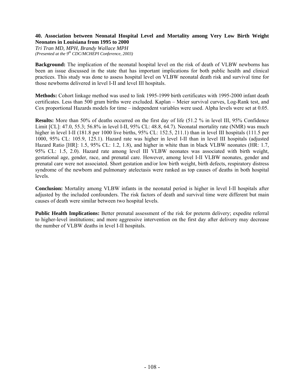## **40. Association between Neonatal Hospital Level and Mortality among Very Low Birth Weight Neonates in Louisiana from 1995 to 2000**

*Tri Tran MD, MPH, Brandy Wallace MPH (Presented at the 9<sup>th</sup> CDC/MCHEPI Conference, 2003)* 

**Background:** The implication of the neonatal hospital level on the risk of death of VLBW newborns has been an issue discussed in the state that has important implications for both public health and clinical practices. This study was done to assess hospital level on VLBW neonatal death risk and survival time for those newborns delivered in level I-II and level III hospitals.

**Methods:** Cohort linkage method was used to link 1995-1999 birth certificates with 1995-2000 infant death certificates. Less than 500 gram births were excluded. Kaplan – Meier survival curves, Log-Rank test, and Cox proportional Hazards models for time – independent variables were used. Alpha levels were set at 0.05.

**Results:** More than 50% of deaths occurred on the first day of life (51.2 % in level III, 95% Confidence Limit [CL]: 47.0, 55.3; 56.8% in level I-II, 95% CL: 48.8, 64.7). Neonatal mortality rate (NMR) was much higher in level I-II (181.8 per 1000 live births, 95% CL: 152.5, 211.1) than in level III hospitals (111.5 per 1000, 95% CL: 105.9, 125.1). Hazard rate was higher in level I-II than in level III hospitals (adjusted Hazard Ratio [HR]: 1.5, 95% CL: 1.2, 1.8), and higher in white than in black VLBW neonates (HR: 1.7, 95% CL: 1.5, 2.0). Hazard rate among level III VLBW neonates was associated with birth weight, gestational age, gender, race, and prenatal care. However, among level I-II VLBW neonates, gender and prenatal care were not associated. Short gestation and/or low birth weight, birth defects, respiratory distress syndrome of the newborn and pulmonary atelectasis were ranked as top causes of deaths in both hospital levels.

**Conclusion:** Mortality among VLBW infants in the neonatal period is higher in level I-II hospitals after adjusted by the included confounders. The risk factors of death and survival time were different but main causes of death were similar between two hospital levels.

**Public Health Implications:** Better prenatal assessment of the risk for preterm delivery; expedite referral to higher-level institutions; and more aggressive intervention on the first day after delivery may decrease the number of VLBW deaths in level I-II hospitals.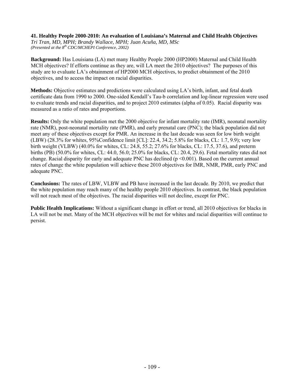### **41. Healthy People 2000-2010: An evaluation of Louisiana's Maternal and Child Health Objectives**

*Tri Tran, MD, MPH; Brandy Wallace, MPH; Juan Acuña, MD, MSc (Presented at the 8<sup>th</sup> CDC/MCHEPI Conference, 2002)* 

**Background:** Has Louisiana (LA) met many Healthy People 2000 (HP2000) Maternal and Child Health MCH objectives? If efforts continue as they are, will LA meet the 2010 objectives? The purposes of this study are to evaluate LA's obtainment of HP2000 MCH objectives, to predict obtainment of the 2010 objectives, and to access the impact on racial disparities.

**Methods:** Objective estimates and predictions were calculated using LA's birth, infant, and fetal death certificate data from 1990 to 2000. One-sided Kendall's Tau-b correlation and log-linear regression were used to evaluate trends and racial disparities, and to project 2010 estimates (alpha of 0.05). Racial disparity was measured as a ratio of rates and proportions.

**Results:** Only the white population met the 2000 objective for infant mortality rate (IMR), neonatal mortality rate (NMR), post-neonatal mortality rate (PMR), and early prenatal care (PNC); the black population did not meet any of these objectives except for PMR. An increase in the last decade was seen for low birth weight (LBW) (28.3% for whites, 95%Confidence limit [CL]: 22.4, 34.2; 5.8% for blacks, CL: 1.7, 9.9); very low birth weight (VLBW) (40.0% for whites, CL: 24.8, 55.2; 27.6% for blacks, CL: 17.5, 37.6), and preterm births (PB) (50.0% for whites, CL: 44.0, 56.0; 25.0% for blacks, CL: 20.4, 29.6). Fetal mortality rates did not change. Racial disparity for early and adequate PNC has declined ( $p \le 0.001$ ). Based on the current annual rates of change the white population will achieve these 2010 objectives for IMR, NMR, PMR, early PNC and adequate PNC.

**Conclusions:** The rates of LBW, VLBW and PB have increased in the last decade. By 2010, we predict that the white population may reach many of the healthy people 2010 objectives. In contrast, the black population will not reach most of the objectives. The racial disparities will not decline, except for PNC.

**Public Health Implications:** Without a significant change in effort or trend, all 2010 objectives for blacks in LA will not be met. Many of the MCH objectives will be met for whites and racial disparities will continue to persist.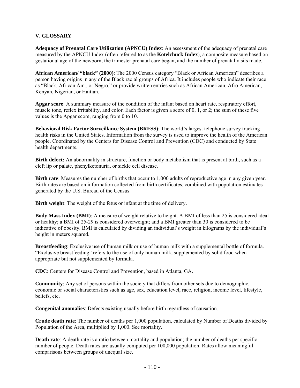# **V. GLOSSARY**

**Adequacy of Prenatal Care Utilization (APNCU) Index**: An assessment of the adequacy of prenatal care measured by the APNCU Index (often referred to as the **Kotelchuck Index**), a composite measure based on gestational age of the newborn, the trimester prenatal care began, and the number of prenatal visits made.

**African American/ "black" (2000)**: The 2000 Census category "Black or African American" describes a person having origins in any of the Black racial groups of Africa. It includes people who indicate their race as "Black, African Am., or Negro," or provide written entries such as African American, Afro American, Kenyan, Nigerian, or Haitian.

**Apgar score**: A summary measure of the condition of the infant based on heart rate, respiratory effort, muscle tone, reflex irritability, and color. Each factor is given a score of 0, 1, or 2; the sum of these five values is the Apgar score, ranging from 0 to 10.

**Behavioral Risk Factor Surveillance System (BRFSS)**: The world's largest telephone survey tracking health risks in the United States. Information from the survey is used to improve the health of the American people. Coordinated by the Centers for Disease Control and Prevention (CDC) and conducted by State health departments.

**Birth defect:** An abnormality in structure, function or body metabolism that is present at birth, such as a cleft lip or palate, phenylketonuria, or sickle cell disease.

**Birth rate**: Measures the number of births that occur to 1,000 adults of reproductive age in any given year. Birth rates are based on information collected from birth certificates, combined with population estimates generated by the U.S. Bureau of the Census.

**Birth weight**: The weight of the fetus or infant at the time of delivery.

**Body Mass Index (BMI)**: A measure of weight relative to height. A BMI of less than 25 is considered ideal or healthy; a BMI of 25-29 is considered overweight; and a BMI greater than 30 is considered to be indicative of obesity. BMI is calculated by dividing an individual's weight in kilograms by the individual's height in meters squared.

**Breastfeeding**: Exclusive use of human milk or use of human milk with a supplemental bottle of formula. "Exclusive breastfeeding" refers to the use of only human milk, supplemented by solid food when appropriate but not supplemented by formula.

**CDC**: Centers for Disease Control and Prevention, based in Atlanta, GA.

**Community**: Any set of persons within the society that differs from other sets due to demographic, economic or social characteristics such as age, sex, education level, race, religion, income level, lifestyle, beliefs, etc.

**Congenital anomalies**: Defects existing usually before birth regardless of causation.

**Crude death rate**: The number of deaths per 1,000 population, calculated by Number of Deaths divided by Population of the Area, multiplied by 1,000. See mortality.

**Death rate**: A death rate is a ratio between mortality and population; the number of deaths per specific number of people. Death rates are usually computed per 100,000 population. Rates allow meaningful comparisons between groups of unequal size.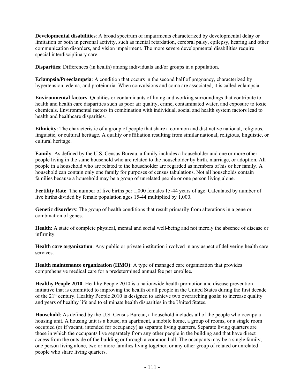**Developmental disabilities**: A broad spectrum of impairments characterized by developmental delay or limitation or both in personal activity, such as mental retardation, cerebral palsy, epilepsy, hearing and other communication disorders, and vision impairment. The more severe developmental disabilities require special interdisciplinary care.

**Disparities**: Differences (in health) among individuals and/or groups in a population.

**Eclampsia/Preeclampsia**: A condition that occurs in the second half of pregnancy, characterized by hypertension, edema, and proteinuria. When convulsions and coma are associated, it is called eclampsia.

**Environmental factors**: Qualities or contaminants of living and working surroundings that contribute to health and health care disparities such as poor air quality, crime, contaminated water, and exposure to toxic chemicals. Environmental factors in combination with individual, social and health system factors lead to health and healthcare disparities.

**Ethnicity**: The characteristic of a group of people that share a common and distinctive national, religious, linguistic, or cultural heritage. A quality or affiliation resulting from similar national, religious, linguistic, or cultural heritage.

**Family**: As defined by the U.S. Census Bureau, a family includes a householder and one or more other people living in the same household who are related to the householder by birth, marriage, or adoption. All people in a household who are related to the householder are regarded as members of his or her family. A household can contain only one family for purposes of census tabulations. Not all households contain families because a household may be a group of unrelated people or one person living alone.

**Fertility Rate**: The number of live births per 1,000 females 15-44 years of age. Calculated by number of live births divided by female population ages 15-44 multiplied by 1,000.

**Genetic disorders**: The group of health conditions that result primarily from alterations in a gene or combination of genes.

**Health**: A state of complete physical, mental and social well-being and not merely the absence of disease or infirmity.

**Health care organization**: Any public or private institution involved in any aspect of delivering health care services.

**Health maintenance organization (HMO)**: A type of managed care organization that provides comprehensive medical care for a predetermined annual fee per enrollee.

**Healthy People 2010**: Healthy People 2010 is a nationwide health promotion and disease prevention initiative that is committed to improving the health of all people in the United States during the first decade of the  $21<sup>st</sup>$  century. Healthy People 2010 is designed to achieve two overarching goals: to increase quality and years of healthy life and to eliminate health disparities in the United States.

**Household**: As defined by the U.S. Census Bureau, a household includes all of the people who occupy a housing unit. A housing unit is a house, an apartment, a mobile home, a group of rooms, or a single room occupied (or if vacant, intended for occupancy) as separate living quarters. Separate living quarters are those in which the occupants live separately from any other people in the building and that have direct access from the outside of the building or through a common hall. The occupants may be a single family, one person living alone, two or more families living together, or any other group of related or unrelated people who share living quarters.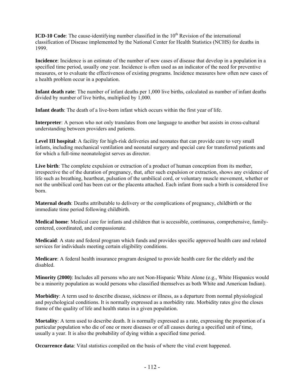**ICD-10 Code**: The cause-identifying number classified in the 10<sup>th</sup> Revision of the international classification of Disease implemented by the National Center for Health Statistics (NCHS) for deaths in 1999.

**Incidence**: Incidence is an estimate of the number of new cases of disease that develop in a population in a specified time period, usually one year. Incidence is often used as an indicator of the need for preventive measures, or to evaluate the effectiveness of existing programs. Incidence measures how often new cases of a health problem occur in a population.

**Infant death rate**: The number of infant deaths per 1,000 live births, calculated as number of infant deaths divided by number of live births, multiplied by 1,000.

**Infant death**: The death of a live-born infant which occurs within the first year of life.

**Interpreter**: A person who not only translates from one language to another but assists in cross-cultural understanding between providers and patients.

**Level III hospital**: A facility for high-risk deliveries and neonates that can provide care to very small infants, including mechanical ventilation and neonatal surgery and special care for transferred patients and for which a full-time neonatologist serves as director.

Live birth: The complete expulsion or extraction of a product of human conception from its mother, irrespective the of the duration of pregnancy, that, after such expulsion or extraction, shows any evidence of life such as breathing, heartbeat, pulsation of the umbilical cord, or voluntary muscle movement, whether or not the umbilical cord has been cut or the placenta attached. Each infant from such a birth is considered live born.

**Maternal death**: Deaths attributable to delivery or the complications of pregnancy, childbirth or the immediate time period following childbirth.

**Medical home**: Medical care for infants and children that is accessible, continuous, comprehensive, familycentered, coordinated, and compassionate.

**Medicaid**: A state and federal program which funds and provides specific approved health care and related services for individuals meeting certain eligibility conditions.

**Medicare**: A federal health insurance program designed to provide health care for the elderly and the disabled.

**Minority (2000)**: Includes all persons who are not Non-Hispanic White Alone (e.g., White Hispanics would be a minority population as would persons who classified themselves as both White and American Indian).

**Morbidity**: A term used to describe disease, sickness or illness, as a departure from normal physiological and psychological conditions. It is normally expressed as a morbidity rate. Morbidity rates give the closes frame of the quality of life and health status in a given population.

**Mortality**: A term used to describe death. It is normally expressed as a rate, expressing the proportion of a particular population who die of one or more diseases or of all causes during a specified unit of time, usually a year. It is also the probability of dying within a specified time period.

**Occurrence data**: Vital statistics compiled on the basis of where the vital event happened.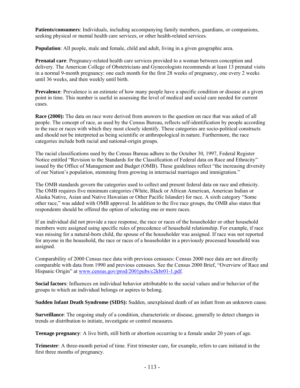**Patients/consumers**: Individuals, including accompanying family members, guardians, or companions, seeking physical or mental health care services, or other health-related services.

**Population**: All people, male and female, child and adult, living in a given geographic area.

**Prenatal care**: Pregnancy-related health care services provided to a woman between conception and delivery. The American College of Obstetricians and Gynecologists recommends at least 13 prenatal visits in a normal 9-month pregnancy: one each month for the first 28 weeks of pregnancy, one every 2 weeks until 36 weeks, and then weekly until birth.

**Prevalence**: Prevalence is an estimate of how many people have a specific condition or disease at a given point in time. This number is useful in assessing the level of medical and social care needed for current cases.

**Race (2000):** The data on race were derived from answers to the question on race that was asked of all people. The concept of race, as used by the Census Bureau, reflects self-identification by people according to the race or races with which they most closely identify. These categories are socio-political constructs and should not be interpreted as being scientific or anthropological in nature. Furthermore, the race categories include both racial and national-origin groups.

The racial classifications used by the Census Bureau adhere to the October 30, 1997, Federal Register Notice entitled "Revision to the Standards for the Classification of Federal data on Race and Ethnicity" issued by the Office of Management and Budget (OMB). These guidelines reflect "the increasing diversity of our Nation's population, stemming from growing in interracial marriages and immigration."

The OMB standards govern the categories used to collect and present federal data on race and ethnicity. The OMB requires five minimum categories (White, Black or African American, American Indian or Alaska Native, Asian and Native Hawaiian or Other Pacific Islander) for race. A sixth category "Some other race," was added with OMB approval. In addition to the five race groups, the OMB also states that respondents should be offered the option of selecting one or more races.

If an individual did not provide a race response, the race or races of the householder or other household members were assigned using specific rules of precedence of household relationship. For example, if race was missing for a natural-born child, the spouse of the householder was assigned. If race was not reported for anyone in the household, the race or races of a householder in a previously processed household was assigned.

Comparability of 2000 Census race data with previous censuses: Census 2000 race data are not directly comparable with data from 1990 and previous censuses. See the Census 2000 Brief, "Overview of Race and Hispanic Origin" at www.census.gov/prod/2001pubs/c2kbr01-1.pdf.

**Social factors**: Influences on individual behavior attributable to the social values and/or behavior of the groups to which an individual belongs or aspires to belong.

**Sudden Infant Death Syndrome (SIDS):** Sudden, unexplained death of an infant from an unknown cause.

**Surveillance**: The ongoing study of a condition, characteristic or disease, generally to detect changes in trends or distribution to initiate, investigate or control measures.

**Teenage pregnancy**: A live birth, still birth or abortion occurring to a female under 20 years of age.

**Trimester**: A three-month period of time. First trimester care, for example, refers to care initiated in the first three months of pregnancy.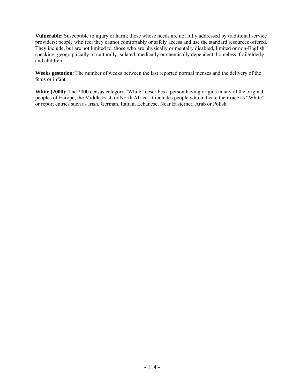**Vulnerable**: Susceptible to injury or harm; those whose needs are not fully addressed by traditional service providers; people who feel they cannot comfortably or safely access and use the standard resources offered. They include, but are not limited to, those who are physically or mentally disabled, limited or non-English speaking, geographically or culturally isolated, medically or chemically dependent, homeless, frail/elderly and children.

**Weeks gestation**: The number of weeks between the last reported normal menses and the delivery of the fetus or infant.

White (2000): The 2000 census category "White" describes a person having origins in any of the original peoples of Europe, the Middle East, or North Africa. It includes people who indicate their race as "White" or report entries such as Irish, German, Italian, Lebanese, Near Easterner, Arab or Polish.